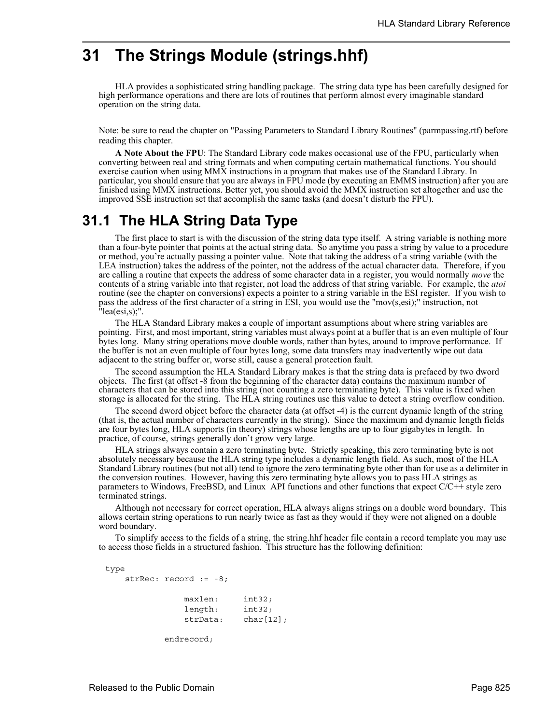# **31 The Strings Module (strings.hhf)**

HLA provides a sophisticated string handling package. The string data type has been carefully designed for high performance operations and there are lots of routines that perform almost every imaginable standard operation on the string data.

Note: be sure to read the chapter on "Passing Parameters to Standard Library Routines" (parmpassing.rtf) before reading this chapter.

**A Note About the FPU**: The Standard Library code makes occasional use of the FPU, particularly when converting between real and string formats and when computing certain mathematical functions. You should exercise caution when using MMX instructions in a program that makes use of the Standard Library. In particular, you should ensure that you are always in FPU mode (by executing an EMMS instruction) after you are finished using MMX instructions. Better yet, you should avoid the MMX instruction set altogether and use the improved SSE instruction set that accomplish the same tasks (and doesn't disturb the FPU).

## **31.1 The HLA String Data Type**

The first place to start is with the discussion of the string data type itself. A string variable is nothing more than a four-byte pointer that points at the actual string data. So anytime you pass a string by value to a procedure or method, you're actually passing a pointer value. Note that taking the address of a string variable (with the LEA instruction) takes the address of the pointer, not the address of the actual character data. Therefore, if you are calling a routine that expects the address of some character data in a register, you would normally *move* the contents of a string variable into that register, not load the address of that string variable. For example, the *atoi* routine (see the chapter on conversions) expects a pointer to a string variable in the ESI register. If you wish to pass the address of the first character of a string in ESI, you would use the "mov(s,esi);" instruction, not "lea(esi,s);".

The HLA Standard Library makes a couple of important assumptions about where string variables are pointing. First, and most important, string variables must always point at a buffer that is an even multiple of four bytes long. Many string operations move double words, rather than bytes, around to improve performance. If the buffer is not an even multiple of four bytes long, some data transfers may inadvertently wipe out data adjacent to the string buffer or, worse still, cause a general protection fault.

The second assumption the HLA Standard Library makes is that the string data is prefaced by two dword objects. The first (at offset -8 from the beginning of the character data) contains the maximum number of characters that can be stored into this string (not counting a zero terminating byte). This value is fixed when storage is allocated for the string. The HLA string routines use this value to detect a string overflow condition.

The second dword object before the character data (at offset -4) is the current dynamic length of the string (that is, the actual number of characters currently in the string). Since the maximum and dynamic length fields are four bytes long, HLA supports (in theory) strings whose lengths are up to four gigabytes in length. In practice, of course, strings generally don't grow very large.

HLA strings always contain a zero terminating byte. Strictly speaking, this zero terminating byte is not absolutely necessary because the HLA string type includes a dynamic length field. As such, most of the HLA Standard Library routines (but not all) tend to ignore the zero terminating byte other than for use as a delimiter in the conversion routines. However, having this zero terminating byte allows you to pass HLA strings as parameters to Windows, FreeBSD, and Linux API functions and other functions that expect  $C/C++$  style zero terminated strings.

Although not necessary for correct operation, HLA always aligns strings on a double word boundary. This allows certain string operations to run nearly twice as fast as they would if they were not aligned on a double word boundary.

To simplify access to the fields of a string, the string.hhf header file contain a record template you may use to access those fields in a structured fashion. This structure has the following definition:

#### type

```
 strRec: record := -8;
            maxlen: int32;
            length: int32;
           strData: char[12];
        endrecord;
```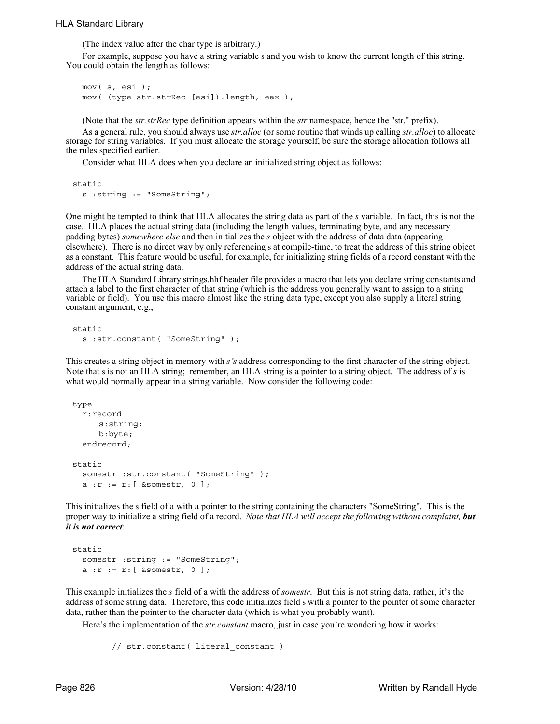## HLA Standard Library

(The index value after the char type is arbitrary.)

For example, suppose you have a string variable s and you wish to know the current length of this string. You could obtain the length as follows:

mov( s, esi ); mov( (type str.strRec [esi]).length, eax );

(Note that the *str.strRec* type definition appears within the *str* namespace, hence the "str." prefix).

As a general rule, you should always use *str.alloc* (or some routine that winds up calling *str.alloc*) to allocate storage for string variables. If you must allocate the storage yourself, be sure the storage allocation follows all the rules specified earlier.

Consider what HLA does when you declare an initialized string object as follows:

static s :string := "SomeString";

One might be tempted to think that HLA allocates the string data as part of the *s* variable. In fact, this is not the case. HLA places the actual string data (including the length values, terminating byte, and any necessary padding bytes) *somewhere else* and then initializes the *s* object with the address of data data (appearing elsewhere). There is no direct way by only referencing s at compile-time, to treat the address of this string object as a constant. This feature would be useful, for example, for initializing string fields of a record constant with the address of the actual string data.

The HLA Standard Library strings.hhf header file provides a macro that lets you declare string constants and attach a label to the first character of that string (which is the address you generally want to assign to a string variable or field). You use this macro almost like the string data type, except you also supply a literal string constant argument, e.g.,

```
static
  s :str.constant( "SomeString" );
```
This creates a string object in memory with *s's* address corresponding to the first character of the string object. Note that s is not an HLA string; remember, an HLA string is a pointer to a string object. The address of *s* is what would normally appear in a string variable. Now consider the following code:

```
type
  r:record
     s:string;
     b:byte;
  endrecord;
static
  somestr :str.constant( "SomeString" );
  a :r := r: [ &somestr, 0 ];
```
This initializes the s field of a with a pointer to the string containing the characters "SomeString". This is the proper way to initialize a string field of a record. *Note that HLA will accept the following without complaint, but it is not correct*:

```
static
  somestr :string := "SomeString";
  a :r := r:[\text{&somestr}, 0];
```
This example initializes the *s* field of a with the address of *somestr*. But this is not string data, rather, it's the address of some string data. Therefore, this code initializes field s with a pointer to the pointer of some character data, rather than the pointer to the character data (which is what you probably want).

Here's the implementation of the *str.constant* macro, just in case you're wondering how it works:

```
 // str.constant( literal_constant )
```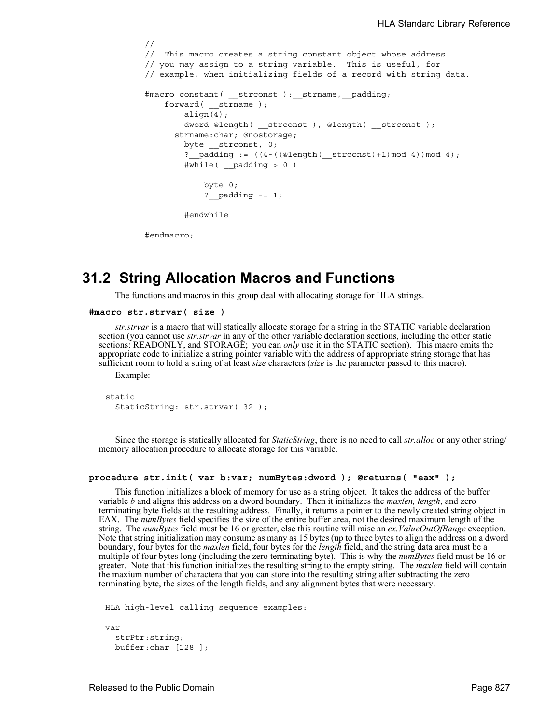```
 //
 // This macro creates a string constant object whose address
 // you may assign to a string variable. This is useful, for
 // example, when initializing fields of a record with string data.
#macro constant( strconst ): strname, padding;
   forward( strname );
         align(4);
         dword @length( __strconst ), @length( __strconst );
     __strname:char; @nostorage;
        byte __strconst, 0;
        ? padding := ((4-((@length(_strctot)+1)mod 4))mod 4); #while( __padding > 0 )
             byte 0;
            ? padding - = 1; #endwhile
```
#endmacro;

## **31.2 String Allocation Macros and Functions**

The functions and macros in this group deal with allocating storage for HLA strings.

```
#macro str.strvar( size )
```
*str.strvar* is a macro that will statically allocate storage for a string in the STATIC variable declaration section (you cannot use *str.strvar* in any of the other variable declaration sections, including the other static sections: READONLY, and STORAGE; you can *only* use it in the STATIC section). This macro emits the appropriate code to initialize a string pointer variable with the address of appropriate string storage that has sufficient room to hold a string of at least *size* characters (*size* is the parameter passed to this macro).

Example:

```
static
  StaticString: str.strvar( 32 );
```
Since the storage is statically allocated for *StaticString*, there is no need to call *str.alloc* or any other string/ memory allocation procedure to allocate storage for this variable.

### **procedure str.init( var b:var; numBytes:dword ); @returns( "eax" );**

This function initializes a block of memory for use as a string object. It takes the address of the buffer variable *b* and aligns this address on a dword boundary. Then it initializes the *maxlen, length*, and zero terminating byte fields at the resulting address. Finally, it returns a pointer to the newly created string object in EAX. The *numBytes* field specifies the size of the entire buffer area, not the desired maximum length of the string. The *numBytes* field must be 16 or greater, else this routine will raise an *ex.ValueOutOfRange* exception. Note that string initialization may consume as many as 15 bytes (up to three bytes to align the address on a dword boundary, four bytes for the *maxlen* field, four bytes for the *length* field, and the string data area must be a multiple of four bytes long (including the zero terminating byte). This is why the *numBytes* field must be 16 or greater. Note that this function initializes the resulting string to the empty string. The *maxlen* field will contain the maxium number of charactera that you can store into the resulting string after subtracting the zero terminating byte, the sizes of the length fields, and any alignment bytes that were necessary.

```
HLA high-level calling sequence examples:
var
  strPtr:string;
 buffer:char [128 ];
```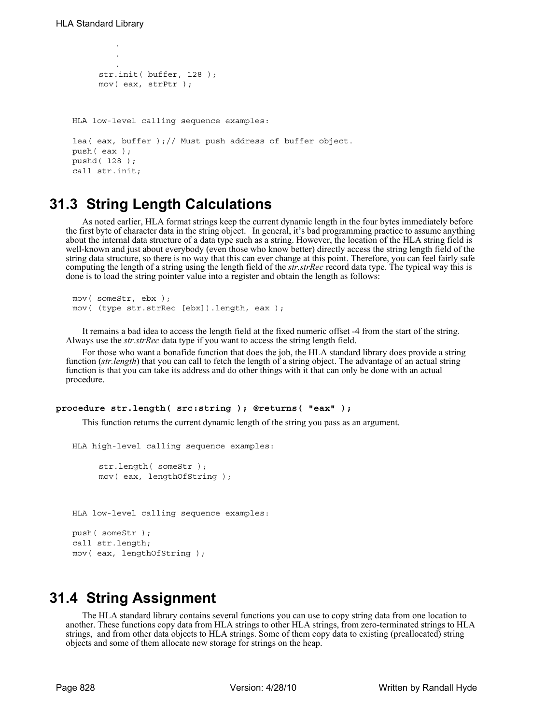.

```
.
         .
     str.init( buffer, 128 );
     mov( eax, strPtr );
HLA low-level calling sequence examples:
lea( eax, buffer );// Must push address of buffer object.
push( eax );
pushd( 128 );
call str.init;
```
## **31.3 String Length Calculations**

As noted earlier, HLA format strings keep the current dynamic length in the four bytes immediately before the first byte of character data in the string object. In general, it's bad programming practice to assume anything about the internal data structure of a data type such as a string. However, the location of the HLA string field is well-known and just about everybody (even those who know better) directly access the string length field of the string data structure, so there is no way that this can ever change at this point. Therefore, you can feel fairly safe computing the length of a string using the length field of the *str.strRec* record data type. The typical way this is done is to load the string pointer value into a register and obtain the length as follows:

```
mov( someStr, ebx );
mov( (type str.strRec [ebx]).length, eax );
```
It remains a bad idea to access the length field at the fixed numeric offset -4 from the start of the string. Always use the *str.strRec* data type if you want to access the string length field.

For those who want a bonafide function that does the job, the HLA standard library does provide a string function (*str.length*) that you can call to fetch the length of a string object. The advantage of an actual string function is that you can take its address and do other things with it that can only be done with an actual procedure.

### **procedure str.length( src:string ); @returns( "eax" );**

This function returns the current dynamic length of the string you pass as an argument.

```
HLA high-level calling sequence examples:
     str.length( someStr );
     mov( eax, lengthOfString );
HLA low-level calling sequence examples:
push( someStr );
call str.length;
mov( eax, lengthOfString );
```
## **31.4 String Assignment**

The HLA standard library contains several functions you can use to copy string data from one location to another. These functions copy data from HLA strings to other HLA strings, from zero-terminated strings to HLA strings, and from other data objects to HLA strings. Some of them copy data to existing (preallocated) string objects and some of them allocate new storage for strings on the heap.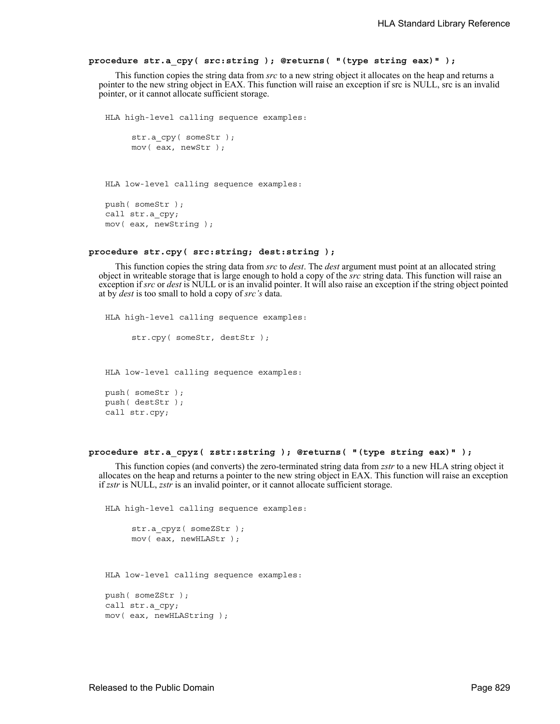## **procedure str.a\_cpy( src:string ); @returns( "(type string eax)" );**

This function copies the string data from *src* to a new string object it allocates on the heap and returns a pointer to the new string object in EAX. This function will raise an exception if src is NULL, src is an invalid pointer, or it cannot allocate sufficient storage.

```
HLA high-level calling sequence examples:
     str.a cpy( someStr );
     mov( eax, newStr );
HLA low-level calling sequence examples:
push( someStr );
call str.a_cpy;
mov( eax, newString );
```
## **procedure str.cpy( src:string; dest:string );**

This function copies the string data from *src* to *dest*. The *dest* argument must point at an allocated string object in writeable storage that is large enough to hold a copy of the *src* string data. This function will raise an exception if *src* or *dest* is NULL or is an invalid pointer. It will also raise an exception if the string object pointed at by *dest* is too small to hold a copy of *src's* data.

```
HLA high-level calling sequence examples:
     str.cpy( someStr, destStr );
HLA low-level calling sequence examples:
push( someStr );
push( destStr );
call str.cpy;
```
### **procedure str.a\_cpyz( zstr:zstring ); @returns( "(type string eax)" );**

This function copies (and converts) the zero-terminated string data from *zstr* to a new HLA string object it allocates on the heap and returns a pointer to the new string object in EAX. This function will raise an exception if *zstr* is NULL, *zstr* is an invalid pointer, or it cannot allocate sufficient storage.

```
HLA high-level calling sequence examples:
     str.a_cpyz( someZStr );
     mov( eax, newHLAStr );
HLA low-level calling sequence examples:
push( someZStr );
call str.a_cpy;
mov( eax, newHLAString );
```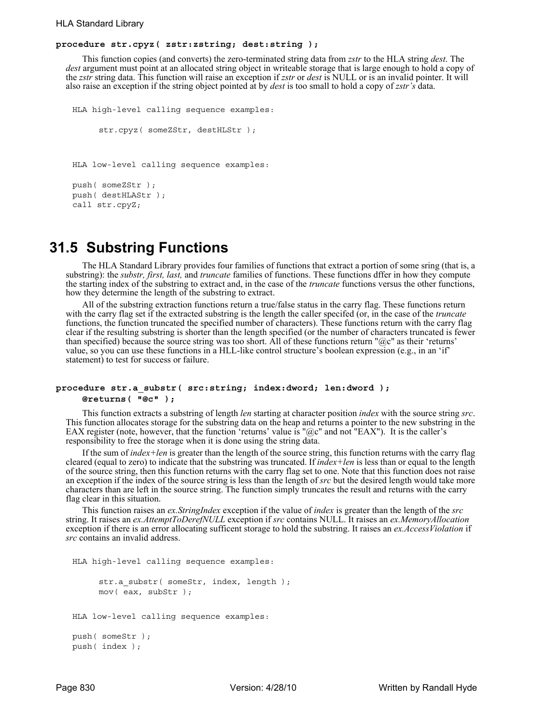## **procedure str.cpyz( zstr:zstring; dest:string );**

This function copies (and converts) the zero-terminated string data from *zstr* to the HLA string *dest*. The *dest* argument must point at an allocated string object in writeable storage that is large enough to hold a copy of the *zstr* string data. This function will raise an exception if *zstr* or *dest* is NULL or is an invalid pointer. It will also raise an exception if the string object pointed at by *dest* is too small to hold a copy of *zstr's* data.

```
HLA high-level calling sequence examples:
     str.cpyz( someZStr, destHLStr);
HLA low-level calling sequence examples:
push( someZStr );
push( destHLAStr );
call str.cpyZ;
```
## **31.5 Substring Functions**

The HLA Standard Library provides four families of functions that extract a portion of some sring (that is, a substring): the *substr, first, last,* and *truncate* families of functions. These functions dffer in how they compute the starting index of the substring to extract and, in the case of the *truncate* functions versus the other functions, how they determine the length of the substring to extract.

All of the substring extraction functions return a true/false status in the carry flag. These functions return with the carry flag set if the extracted substring is the length the caller specifed (or, in the case of the *truncate* functions, the function truncated the specified number of characters). These functions return with the carry flag clear if the resulting substring is shorter than the length specified (or the number of characters truncated is fewer than specified) because the source string was too short. All of these functions return "@c" as their 'returns' value, so you can use these functions in a HLL-like control structure's boolean expression (e.g., in an 'if' statement) to test for success or failure.

## **procedure str.a\_substr( src:string; index:dword; len:dword ); @returns( "@c" );**

This function extracts a substring of length *len* starting at character position *index* with the source string *src*. This function allocates storage for the substring data on the heap and returns a pointer to the new substring in the EAX register (note, however, that the function 'returns' value is " $@c"$  and not "EAX"). It is the caller's responsibility to free the storage when it is done using the string data.

If the sum of *index+len* is greater than the length of the source string, this function returns with the carry flag cleared (equal to zero) to indicate that the substring was truncated. If *index+len* is less than or equal to the length of the source string, then this function returns with the carry flag set to one. Note that this function does not raise an exception if the index of the source string is less than the length of *src* but the desired length would take more characters than are left in the source string. The function simply truncates the result and returns with the carry flag clear in this situation.

This function raises an *ex.StringIndex* exception if the value of *index* is greater than the length of the *src* string. It raises an *ex.AttemptToDerefNULL* exception if *src* contains NULL. It raises an *ex.MemoryAllocation* exception if there is an error allocating sufficent storage to hold the substring. It raises an *ex.AccessViolation* if *src* contains an invalid address.

```
HLA high-level calling sequence examples:
     str.a substr( someStr, index, length );
     mov( eax, subStr );
HLA low-level calling sequence examples:
push( someStr );
push( index );
```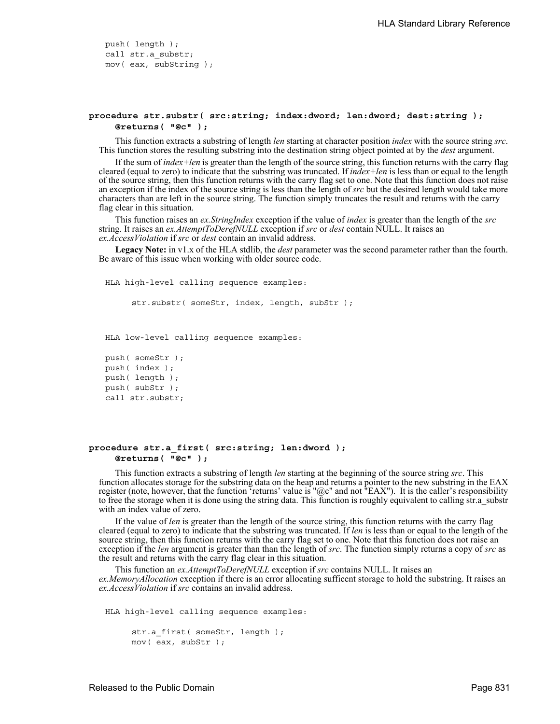push( length ); call str.a\_substr; mov( eax, subString );

## **procedure str.substr( src:string; index:dword; len:dword; dest:string ); @returns( "@c" );**

This function extracts a substring of length *len* starting at character position *index* with the source string *src*. This function stores the resulting substring into the destination string object pointed at by the *dest* argument.

If the sum of *index+len* is greater than the length of the source string, this function returns with the carry flag cleared (equal to zero) to indicate that the substring was truncated. If *index+len* is less than or equal to the length of the source string, then this function returns with the carry flag set to one. Note that this function does not raise an exception if the index of the source string is less than the length of *src* but the desired length would take more characters than are left in the source string. The function simply truncates the result and returns with the carry flag clear in this situation.

This function raises an *ex.StringIndex* exception if the value of *index* is greater than the length of the *src* string. It raises an *ex.AttemptToDerefNULL* exception if *src* or *dest* contain NULL. It raises an *ex.AccessViolation* if *src* or *dest* contain an invalid address.

**Legacy Note:** in v1.x of the HLA stdlib, the *dest* parameter was the second parameter rather than the fourth. Be aware of this issue when working with older source code.

HLA high-level calling sequence examples:

str.substr( someStr, index, length, subStr );

HLA low-level calling sequence examples:

```
push( someStr );
push( index );
push( length );
push( subStr );
call str.substr;
```
## **procedure str.a\_first( src:string; len:dword ); @returns( "@c" );**

This function extracts a substring of length *len* starting at the beginning of the source string *src*. This function allocates storage for the substring data on the heap and returns a pointer to the new substring in the EAX register (note, however, that the function 'returns' value is " $@c"$  and not "EAX"). It is the caller's responsibility to free the storage when it is done using the string data. This function is roughly equivalent to calling str.a\_substr with an index value of zero.

If the value of *len* is greater than the length of the source string, this function returns with the carry flag cleared (equal to zero) to indicate that the substring was truncated. If *len* is less than or equal to the length of the source string, then this function returns with the carry flag set to one. Note that this function does not raise an exception if the *len* argument is greater than than the length of *src*. The function simply returns a copy of *src* as the result and returns with the carry flag clear in this situation.

This function an *ex.AttemptToDerefNULL* exception if *src* contains NULL. It raises an *ex.MemoryAllocation* exception if there is an error allocating sufficent storage to hold the substring. It raises an *ex.AccessViolation* if *src* contains an invalid address.

HLA high-level calling sequence examples:

```
str.a first( someStr, length );
mov( eax, subStr );
```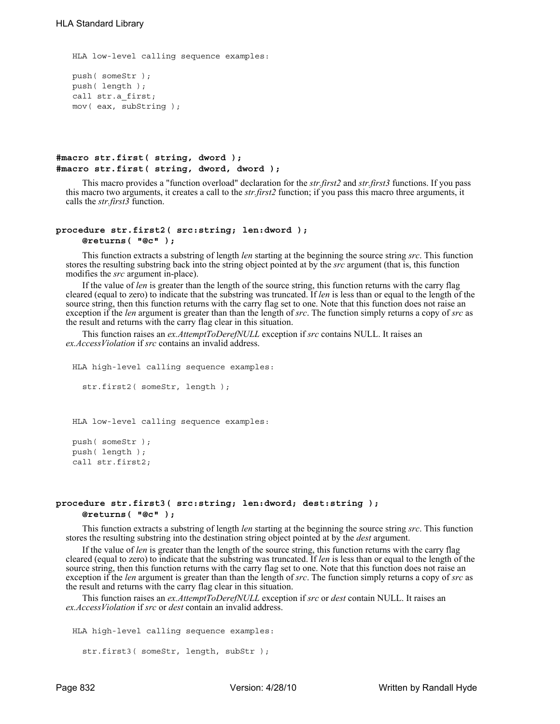```
HLA low-level calling sequence examples:
push( someStr );
push( length );
call str.a_first;
mov( eax, subString );
```
## **#macro str.first( string, dword ); #macro str.first( string, dword, dword );**

This macro provides a "function overload" declaration for the *str.first2* and *str.first3* functions. If you pass this macro two arguments, it creates a call to the *str.first2* function; if you pass this macro three arguments, it calls the *str.first3* function.

## **procedure str.first2( src:string; len:dword );**

**@returns( "@c" );**

This function extracts a substring of length *len* starting at the beginning the source string *src*. This function stores the resulting substring back into the string object pointed at by the *src* argument (that is, this function modifies the *src* argument in-place).

If the value of *len* is greater than the length of the source string, this function returns with the carry flag cleared (equal to zero) to indicate that the substring was truncated. If *len* is less than or equal to the length of the source string, then this function returns with the carry flag set to one. Note that this function does not raise an exception if the *len* argument is greater than than the length of *src*. The function simply returns a copy of *src* as the result and returns with the carry flag clear in this situation.

This function raises an *ex.AttemptToDerefNULL* exception if *src* contains NULL. It raises an *ex.AccessViolation* if *src* contains an invalid address.

```
HLA high-level calling sequence examples:
  str.first2( someStr, length );
HLA low-level calling sequence examples:
push( someStr );
```
push( length ); call str.first2;

## **procedure str.first3( src:string; len:dword; dest:string ); @returns( "@c" );**

This function extracts a substring of length *len* starting at the beginning the source string *src*. This function stores the resulting substring into the destination string object pointed at by the *dest* argument.

If the value of *len* is greater than the length of the source string, this function returns with the carry flag cleared (equal to zero) to indicate that the substring was truncated. If *len* is less than or equal to the length of the source string, then this function returns with the carry flag set to one. Note that this function does not raise an exception if the *len* argument is greater than than the length of *src*. The function simply returns a copy of *src* as the result and returns with the carry flag clear in this situation.

This function raises an *ex.AttemptToDerefNULL* exception if *src* or *dest* contain NULL. It raises an *ex.AccessViolation* if *src* or *dest* contain an invalid address.

```
HLA high-level calling sequence examples:
  str.first3( someStr, length, subStr );
```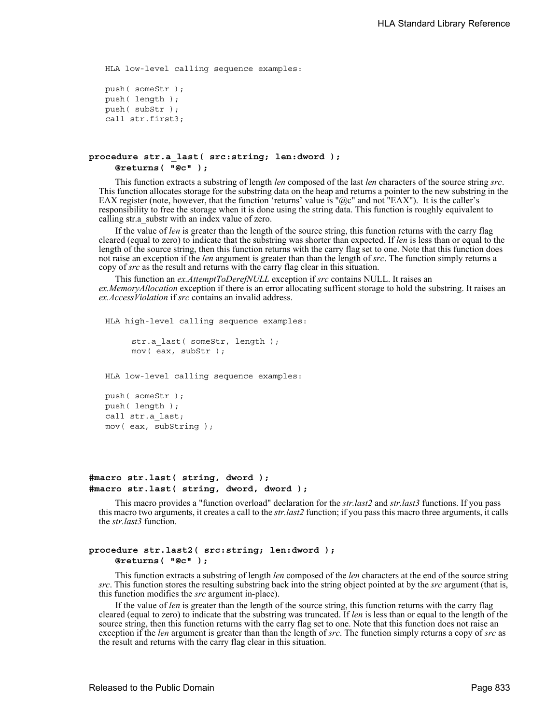```
HLA low-level calling sequence examples:
push( someStr );
push( length );
push( subStr );
call str.first3;
```

```
procedure str.a_last( src:string; len:dword ); 
     @returns( "@c" );
```
This function extracts a substring of length *len* composed of the last *len* characters of the source string *src*. This function allocates storage for the substring data on the heap and returns a pointer to the new substring in the EAX register (note, however, that the function 'returns' value is " $@c"$  and not "EAX"). It is the caller's responsibility to free the storage when it is done using the string data. This function is roughly equivalent to calling str.a\_substr with an index value of zero.

If the value of *len* is greater than the length of the source string, this function returns with the carry flag cleared (equal to zero) to indicate that the substring was shorter than expected. If *len* is less than or equal to the length of the source string, then this function returns with the carry flag set to one. Note that this function does not raise an exception if the *len* argument is greater than than the length of *src*. The function simply returns a copy of *src* as the result and returns with the carry flag clear in this situation.

This function an *ex.AttemptToDerefNULL* exception if *src* contains NULL. It raises an *ex.MemoryAllocation* exception if there is an error allocating sufficent storage to hold the substring. It raises an *ex.AccessViolation* if *src* contains an invalid address.

```
HLA high-level calling sequence examples:
```

```
str.a last( someStr, length );
mov( eax, subStr );
```
HLA low-level calling sequence examples:

```
push( someStr );
push( length );
call str.a_last;
mov( eax, subString );
```
## **#macro str.last( string, dword ); #macro str.last( string, dword, dword );**

This macro provides a "function overload" declaration for the *str.last2* and *str.last3* functions. If you pass this macro two arguments, it creates a call to the *str.last2* function; if you pass this macro three arguments, it calls the *str.last3* function.

## **procedure str.last2( src:string; len:dword ); @returns( "@c" );**

This function extracts a substring of length *len* composed of the *len* characters at the end of the source string *src*. This function stores the resulting substring back into the string object pointed at by the *src* argument (that is, this function modifies the *src* argument in-place).

If the value of *len* is greater than the length of the source string, this function returns with the carry flag cleared (equal to zero) to indicate that the substring was truncated. If *len* is less than or equal to the length of the source string, then this function returns with the carry flag set to one. Note that this function does not raise an exception if the *len* argument is greater than than the length of *src*. The function simply returns a copy of *src* as the result and returns with the carry flag clear in this situation.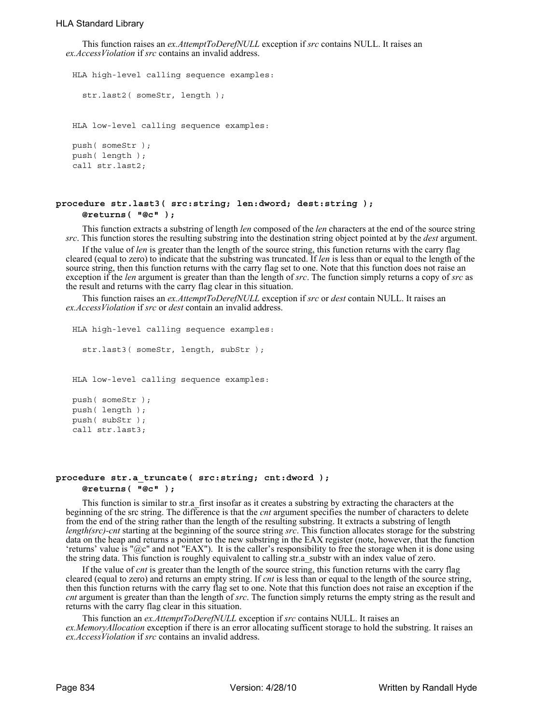This function raises an *ex.AttemptToDerefNULL* exception if *src* contains NULL. It raises an *ex.AccessViolation* if *src* contains an invalid address.

```
HLA high-level calling sequence examples:
  str.last2( someStr, length );
HLA low-level calling sequence examples:
push( someStr );
push( length );
call str.last2;
```
## **procedure str.last3( src:string; len:dword; dest:string ); @returns( "@c" );**

This function extracts a substring of length *len* composed of the *len* characters at the end of the source string *src*. This function stores the resulting substring into the destination string object pointed at by the *dest* argument.

If the value of *len* is greater than the length of the source string, this function returns with the carry flag cleared (equal to zero) to indicate that the substring was truncated. If *len* is less than or equal to the length of the source string, then this function returns with the carry flag set to one. Note that this function does not raise an exception if the *len* argument is greater than than the length of *src*. The function simply returns a copy of *src* as the result and returns with the carry flag clear in this situation.

This function raises an *ex.AttemptToDerefNULL* exception if *src* or *dest* contain NULL. It raises an *ex.AccessViolation* if *src* or *dest* contain an invalid address.

```
HLA high-level calling sequence examples:
  str.last3( someStr, length, subStr );
HLA low-level calling sequence examples:
push( someStr );
push( length );
push( subStr );
call str.last3;
```
## **procedure str.a\_truncate( src:string; cnt:dword ); @returns( "@c" );**

This function is similar to str.a\_first insofar as it creates a substring by extracting the characters at the beginning of the src string. The difference is that the *cnt* argument specifies the number of characters to delete from the end of the string rather than the length of the resulting substring. It extracts a substring of length *length(src)-cnt* starting at the beginning of the source string *src*. This function allocates storage for the substring data on the heap and returns a pointer to the new substring in the EAX register (note, however, that the function 'returns' value is "@c" and not "EAX"). It is the caller's responsibility to free the storage when it is done using the string data. This function is roughly equivalent to calling str.a\_substr with an index value of zero.

If the value of *cnt* is greater than the length of the source string, this function returns with the carry flag cleared (equal to zero) and returns an empty string. If *cnt* is less than or equal to the length of the source string, then this function returns with the carry flag set to one. Note that this function does not raise an exception if the *cnt* argument is greater than than the length of *src*. The function simply returns the empty string as the result and returns with the carry flag clear in this situation.

This function an *ex.AttemptToDerefNULL* exception if *src* contains NULL. It raises an *ex.MemoryAllocation* exception if there is an error allocating sufficent storage to hold the substring. It raises an *ex.AccessViolation* if *src* contains an invalid address.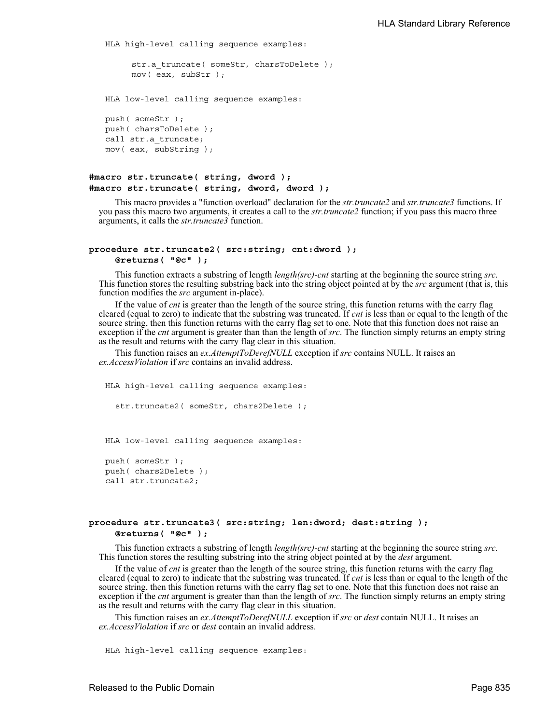```
HLA high-level calling sequence examples:
     str.a truncate( someStr, charsToDelete );
     mov( eax, subStr );
HLA low-level calling sequence examples:
push( someStr );
push( charsToDelete );
call str.a_truncate;
mov( eax, subString );
```

```
#macro str.truncate( string, dword );
#macro str.truncate( string, dword, dword );
```
This macro provides a "function overload" declaration for the *str.truncate2* and *str.truncate3* functions. If you pass this macro two arguments, it creates a call to the *str.truncate2* function; if you pass this macro three arguments, it calls the *str.truncate3* function.

## **procedure str.truncate2( src:string; cnt:dword ); @returns( "@c" );**

This function extracts a substring of length *length(src)-cnt* starting at the beginning the source string *src*. This function stores the resulting substring back into the string object pointed at by the *src* argument (that is, this function modifies the *src* argument in-place).

If the value of *cnt* is greater than the length of the source string, this function returns with the carry flag cleared (equal to zero) to indicate that the substring was truncated. If *cnt* is less than or equal to the length of the source string, then this function returns with the carry flag set to one. Note that this function does not raise an exception if the *cnt* argument is greater than than the length of *src*. The function simply returns an empty string as the result and returns with the carry flag clear in this situation.

This function raises an *ex.AttemptToDerefNULL* exception if *src* contains NULL. It raises an *ex.AccessViolation* if *src* contains an invalid address.

HLA high-level calling sequence examples: str.truncate2( someStr, chars2Delete );

HLA low-level calling sequence examples:

```
push( someStr );
push( chars2Delete );
call str.truncate2;
```
## **procedure str.truncate3( src:string; len:dword; dest:string ); @returns( "@c" );**

This function extracts a substring of length *length(src)-cnt* starting at the beginning the source string *src*. This function stores the resulting substring into the string object pointed at by the *dest* argument.

If the value of *cnt* is greater than the length of the source string, this function returns with the carry flag cleared (equal to zero) to indicate that the substring was truncated. If *cnt* is less than or equal to the length of the source string, then this function returns with the carry flag set to one. Note that this function does not raise an exception if the *cnt* argument is greater than than the length of *src*. The function simply returns an empty string as the result and returns with the carry flag clear in this situation.

This function raises an *ex.AttemptToDerefNULL* exception if *src* or *dest* contain NULL. It raises an *ex.AccessViolation* if *src* or *dest* contain an invalid address.

HLA high-level calling sequence examples: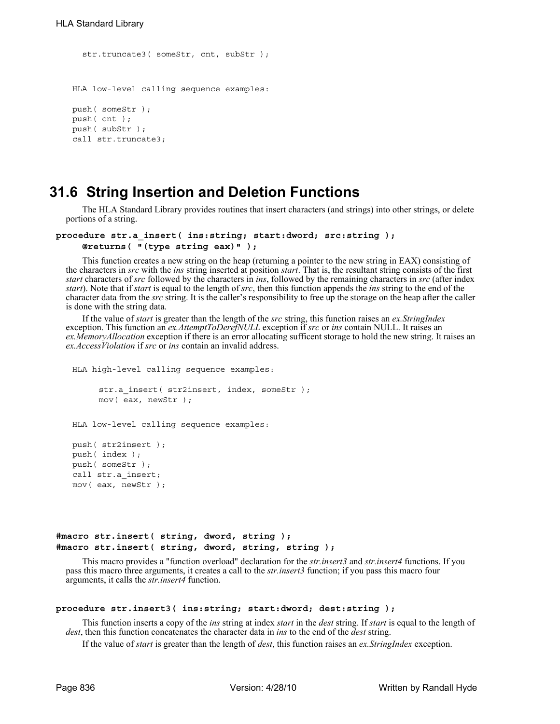```
str.truncate3( someStr, cnt, subStr );
HLA low-level calling sequence examples:
push( someStr );
push( cnt );
push( subStr );
call str.truncate3;
```
## **31.6 String Insertion and Deletion Functions**

The HLA Standard Library provides routines that insert characters (and strings) into other strings, or delete portions of a string.

```
procedure str.a_insert( ins:string; start:dword; src:string ); 
     @returns( "(type string eax)" );
```
This function creates a new string on the heap (returning a pointer to the new string in EAX) consisting of the characters in *src* with the *ins* string inserted at position *start*. That is, the resultant string consists of the first *start* characters of *src* followed by the characters in *ins*, followed by the remaining characters in *src* (after index *start*). Note that if *start* is equal to the length of *src*, then this function appends the *ins* string to the end of the character data from the *src* string. It is the caller's responsibility to free up the storage on the heap after the caller is done with the string data.

If the value of *start* is greater than the length of the *src* string, this function raises an *ex.StringIndex* exception. This function an *ex.AttemptToDerefNULL* exception if *src* or *ins* contain NULL. It raises an *ex.MemoryAllocation* exception if there is an error allocating sufficent storage to hold the new string. It raises an *ex.AccessViolation* if *src* or *ins* contain an invalid address.

```
HLA high-level calling sequence examples:
```

```
str.a insert( str2insert, index, someStr );
mov( eax, newStr );
```
HLA low-level calling sequence examples:

```
push( str2insert );
push( index );
push( someStr );
call str.a_insert;
mov( eax, newStr );
```

```
#macro str.insert( string, dword, string );
#macro str.insert( string, dword, string, string );
```
This macro provides a "function overload" declaration for the *str.insert3* and *str.insert4* functions. If you pass this macro three arguments, it creates a call to the *str.insert3* function; if you pass this macro four arguments, it calls the *str.insert4* function.

#### **procedure str.insert3( ins:string; start:dword; dest:string );**

This function inserts a copy of the *ins* string at index *start* in the *dest* string. If *start* is equal to the length of *dest*, then this function concatenates the character data in *ins* to the end of the *dest* string.

If the value of *start* is greater than the length of *dest*, this function raises an *ex.StringIndex* exception.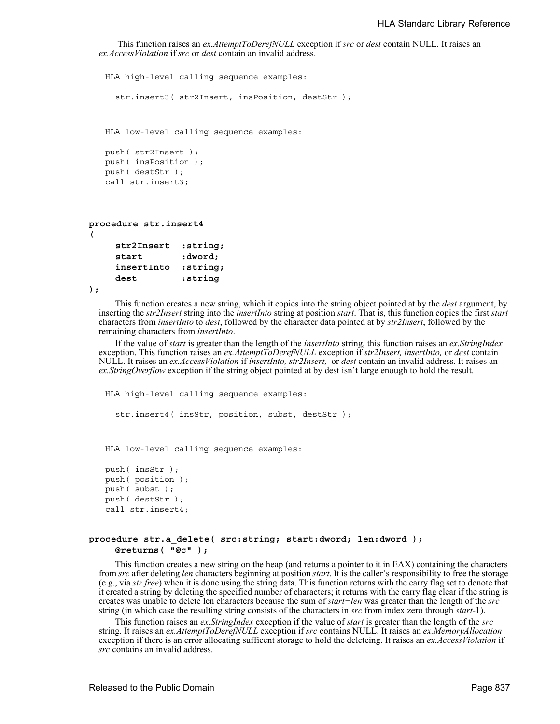```
 This function raises an ex.AttemptToDerefNULL exception if src or dest contain NULL. It raises an 
ex.AccessViolation if src or dest contain an invalid address.
```

```
HLA high-level calling sequence examples:
     str.insert3( str2Insert, insPosition, destStr);
   HLA low-level calling sequence examples:
   push( str2Insert );
   push( insPosition );
   push( destStr );
   call str.insert3;
procedure str.insert4
     str2Insert :string; 
     start :dword; 
     insertInto :string;
```
**(** 

**dest :string );** This function creates a new string, which it copies into the string object pointed at by the *dest* argument, by inserting the *str2Insert* string into the *insertInto* string at position *start*. That is, this function copies the first *start*

characters from *insertInto* to *dest*, followed by the character data pointed at by *str2Insert*, followed by the remaining characters from *insertInto*. If the value of *start* is greater than the length of the *insertInto* string, this function raises an *ex.StringIndex*

exception. This function raises an *ex.AttemptToDerefNULL* exception if *str2Insert, insertInto,* or *dest* contain NULL. It raises an *ex.AccessViolation* if *insertInto, str2Insert,* or *dest* contain an invalid address. It raises an *ex.StringOverflow* exception if the string object pointed at by dest isn't large enough to hold the result.

```
HLA high-level calling sequence examples:
  str.insert4( insStr, position, subst, destStr );
HLA low-level calling sequence examples:
push( insStr );
push( position );
push( subst );
push( destStr );
call str.insert4;
```
## **procedure str.a\_delete( src:string; start:dword; len:dword ); @returns( "@c" );**

This function creates a new string on the heap (and returns a pointer to it in EAX) containing the characters from *src* after deleting *len* characters beginning at position *start*. It is the caller's responsibility to free the storage (e.g., via *str.free*) when it is done using the string data. This function returns with the carry flag set to denote that it created a string by deleting the specified number of characters; it returns with the carry flag clear if the string is creates was unable to delete len characters because the sum of *start+len* was greater than the length of the *src* string (in which case the resulting string consists of the characters in *src* from index zero through *start*-1).

This function raises an *ex.StringIndex* exception if the value of *start* is greater than the length of the *src* string. It raises an *ex.AttemptToDerefNULL* exception if *src* contains NULL. It raises an *ex.MemoryAllocation* exception if there is an error allocating sufficent storage to hold the deleteing. It raises an *ex.AccessViolation* if *src* contains an invalid address.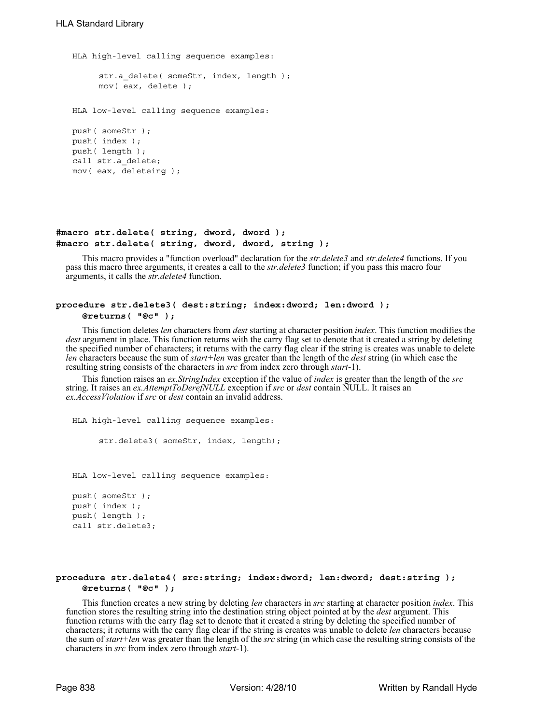HLA high-level calling sequence examples: str.a\_delete( someStr, index, length ); mov( eax, delete ); HLA low-level calling sequence examples: push( someStr ); push( index ); push( length ); call str.a\_delete; mov( eax, deleteing );

## **#macro str.delete( string, dword, dword ); #macro str.delete( string, dword, dword, string );**

This macro provides a "function overload" declaration for the *str.delete3* and *str.delete4* functions. If you pass this macro three arguments, it creates a call to the *str.delete3* function; if you pass this macro four arguments, it calls the *str.delete4* function.

## **procedure str.delete3( dest:string; index:dword; len:dword ); @returns( "@c" );**

This function deletes *len* characters from *dest* starting at character position *index*. This function modifies the *dest* argument in place. This function returns with the carry flag set to denote that it created a string by deleting the specified number of characters; it returns with the carry flag clear if the string is creates was unable to delete *len* characters because the sum of *start+len* was greater than the length of the *dest* string (in which case the resulting string consists of the characters in *src* from index zero through *start*-1).

This function raises an *ex.StringIndex* exception if the value of *index* is greater than the length of the *src* string. It raises an *ex.AttemptToDerefNULL* exception if *src* or *dest* contain NULL. It raises an *ex.AccessViolation* if *src* or *dest* contain an invalid address.

HLA high-level calling sequence examples:

str.delete3( someStr, index, length);

HLA low-level calling sequence examples:

push( someStr ); push( index ); push( length ); call str.delete3;

## **procedure str.delete4( src:string; index:dword; len:dword; dest:string ); @returns( "@c" );**

This function creates a new string by deleting *len* characters in *src* starting at character position *index*. This function stores the resulting string into the destination string object pointed at by the *dest* argument. This function returns with the carry flag set to denote that it created a string by deleting the specified number of characters; it returns with the carry flag clear if the string is creates was unable to delete *len* characters because the sum of *start+len* was greater than the length of the *src* string (in which case the resulting string consists of the characters in *src* from index zero through *start*-1).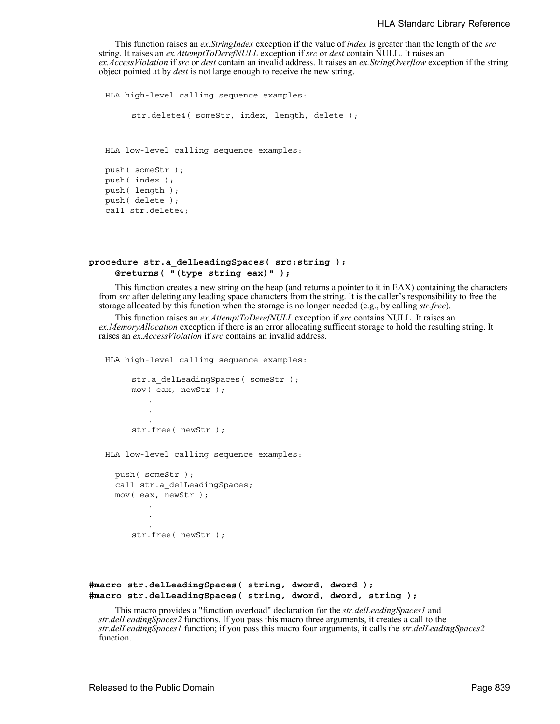This function raises an *ex.StringIndex* exception if the value of *index* is greater than the length of the *src* string. It raises an *ex.AttemptToDerefNULL* exception if *src* or *dest* contain NULL. It raises an *ex.AccessViolation* if *src* or *dest* contain an invalid address. It raises an *ex.StringOverflow* exception if the string object pointed at by *dest* is not large enough to receive the new string.

```
HLA high-level calling sequence examples:
     str.delete4( someStr, index, length, delete );
HLA low-level calling sequence examples:
push( someStr );
push( index );
push( length );
push( delete );
call str.delete4;
```
## **procedure str.a\_delLeadingSpaces( src:string ); @returns( "(type string eax)" );**

This function creates a new string on the heap (and returns a pointer to it in EAX) containing the characters from *src* after deleting any leading space characters from the string. It is the caller's responsibility to free the storage allocated by this function when the storage is no longer needed (e.g., by calling *str.free*).

This function raises an *ex.AttemptToDerefNULL* exception if *src* contains NULL. It raises an *ex.MemoryAllocation* exception if there is an error allocating sufficent storage to hold the resulting string. It raises an *ex.AccessViolation* if *src* contains an invalid address.

HLA high-level calling sequence examples:

```
str.a delLeadingSpaces( someStr );
mov( eax, newStr );
    .
    .
    .
str.free( newStr );
```
HLA low-level calling sequence examples:

push( someStr ); call str.a delLeadingSpaces; mov( eax, newStr ); .

str.free( newStr );

. .

```
#macro str.delLeadingSpaces( string, dword, dword );
#macro str.delLeadingSpaces( string, dword, dword, string );
```
This macro provides a "function overload" declaration for the *str.delLeadingSpaces1* and *str.delLeadingSpaces2* functions. If you pass this macro three arguments, it creates a call to the *str.delLeadingSpaces1* function; if you pass this macro four arguments, it calls the *str.delLeadingSpaces2*  function.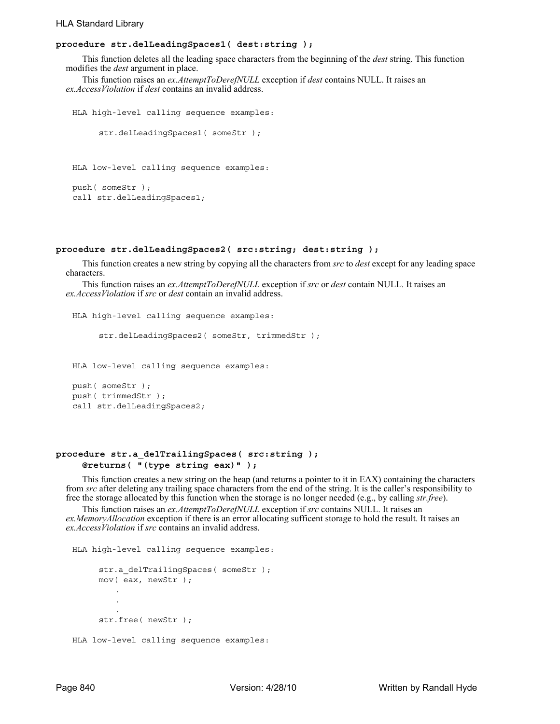## HLA Standard Library

## **procedure str.delLeadingSpaces1( dest:string );**

This function deletes all the leading space characters from the beginning of the *dest* string. This function modifies the *dest* argument in place.

This function raises an *ex.AttemptToDerefNULL* exception if *dest* contains NULL. It raises an *ex.AccessViolation* if *dest* contains an invalid address.

```
HLA high-level calling sequence examples:
     str.delLeadingSpaces1( someStr );
HLA low-level calling sequence examples:
push( someStr );
call str.delLeadingSpaces1;
```
## **procedure str.delLeadingSpaces2( src:string; dest:string );**

This function creates a new string by copying all the characters from *src* to *dest* except for any leading space characters.

This function raises an *ex.AttemptToDerefNULL* exception if *src* or *dest* contain NULL. It raises an *ex.AccessViolation* if *src* or *dest* contain an invalid address.

HLA high-level calling sequence examples:

```
str.delLeadingSpaces2( someStr, trimmedStr );
```
HLA low-level calling sequence examples:

push( someStr ); push( trimmedStr ); call str.delLeadingSpaces2;

## **procedure str.a\_delTrailingSpaces( src:string ); @returns( "(type string eax)" );**

This function creates a new string on the heap (and returns a pointer to it in EAX) containing the characters from *src* after deleting any trailing space characters from the end of the string. It is the caller's responsibility to free the storage allocated by this function when the storage is no longer needed (e.g., by calling *str.free*).

This function raises an *ex.AttemptToDerefNULL* exception if *src* contains NULL. It raises an *ex.MemoryAllocation* exception if there is an error allocating sufficent storage to hold the result. It raises an *ex.AccessViolation* if *src* contains an invalid address.

```
HLA high-level calling sequence examples:
     str.a delTrailingSpaces( someStr );
     mov( eax, newStr );
         .
         .
         .
     str.free( newStr );
HLA low-level calling sequence examples:
```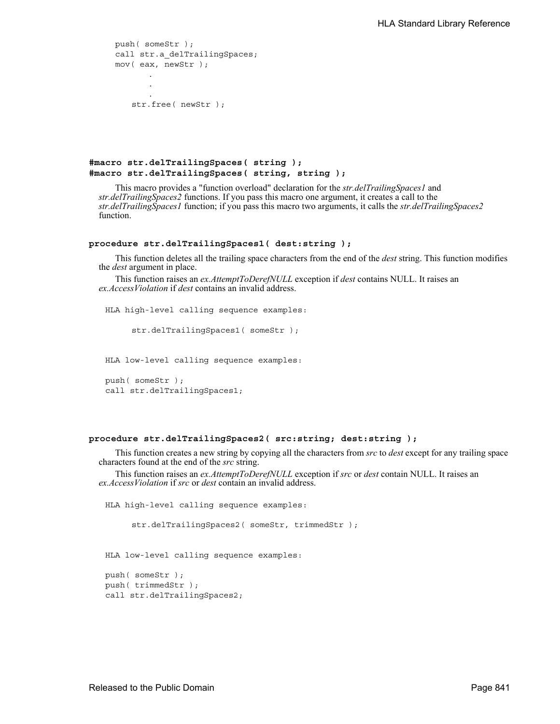```
push( someStr );
call str.a_delTrailingSpaces;
mov( eax, newStr );
       .
       .
       .
   str.free( newStr );
```
**#macro str.delTrailingSpaces( string ); #macro str.delTrailingSpaces( string, string );**

This macro provides a "function overload" declaration for the *str.delTrailingSpaces1* and *str.delTrailingSpaces2* functions. If you pass this macro one argument, it creates a call to the *str.delTrailingSpaces1* function; if you pass this macro two arguments, it calls the *str.delTrailingSpaces2*  function.

## **procedure str.delTrailingSpaces1( dest:string );**

This function deletes all the trailing space characters from the end of the *dest* string. This function modifies the *dest* argument in place.

This function raises an *ex.AttemptToDerefNULL* exception if *dest* contains NULL. It raises an *ex.AccessViolation* if *dest* contains an invalid address.

HLA high-level calling sequence examples:

str.delTrailingSpaces1( someStr );

HLA low-level calling sequence examples:

```
push( someStr );
call str.delTrailingSpaces1;
```
#### **procedure str.delTrailingSpaces2( src:string; dest:string );**

This function creates a new string by copying all the characters from *src* to *dest* except for any trailing space characters found at the end of the *src* string.

This function raises an *ex.AttemptToDerefNULL* exception if *src* or *dest* contain NULL. It raises an *ex.AccessViolation* if *src* or *dest* contain an invalid address.

```
HLA high-level calling sequence examples:
     str.delTrailingSpaces2( someStr, trimmedStr );
HLA low-level calling sequence examples:
push( someStr );
push( trimmedStr );
call str.delTrailingSpaces2;
```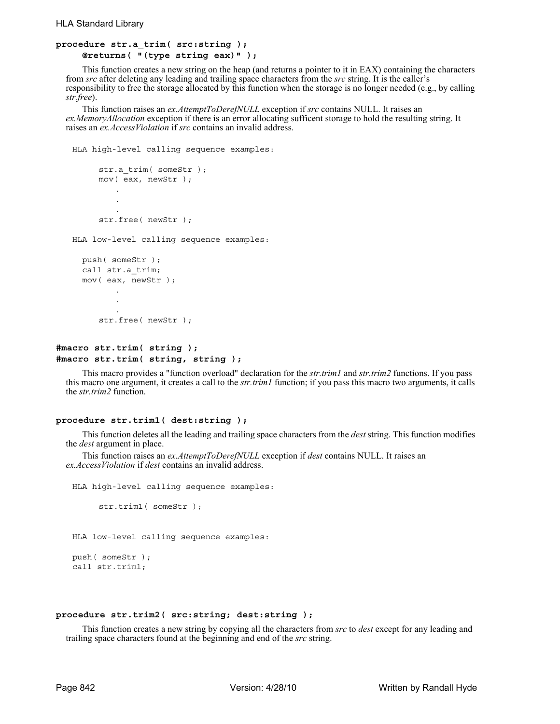```
procedure str.a_trim( src:string ); 
     @returns( "(type string eax)" );
```
This function creates a new string on the heap (and returns a pointer to it in EAX) containing the characters from *src* after deleting any leading and trailing space characters from the *src* string. It is the caller's responsibility to free the storage allocated by this function when the storage is no longer needed (e.g., by calling *str.free*).

This function raises an *ex.AttemptToDerefNULL* exception if *src* contains NULL. It raises an *ex.MemoryAllocation* exception if there is an error allocating sufficent storage to hold the resulting string. It raises an *ex.AccessViolation* if *src* contains an invalid address.

HLA high-level calling sequence examples:

```
str.a_trim( someStr );
     mov( eax, newStr );
         .
         .
         .
     str.free( newStr );
HLA low-level calling sequence examples:
 push( someStr );
  call str.a_trim;
 mov( eax, newStr );
         .
         .
     str.free( newStr );
```

```
#macro str.trim( string );
#macro str.trim( string, string );
```
This macro provides a "function overload" declaration for the *str.trim1* and *str.trim2* functions. If you pass this macro one argument, it creates a call to the *str.trim1* function; if you pass this macro two arguments, it calls the *str.trim2* function.

#### **procedure str.trim1( dest:string );**

This function deletes all the leading and trailing space characters from the *dest* string. This function modifies the *dest* argument in place.

This function raises an *ex.AttemptToDerefNULL* exception if *dest* contains NULL. It raises an *ex.AccessViolation* if *dest* contains an invalid address.

```
HLA high-level calling sequence examples:
     str.trim1( someStr );
HLA low-level calling sequence examples:
push( someStr );
call str.trim1;
```
#### **procedure str.trim2( src:string; dest:string );**

This function creates a new string by copying all the characters from *src* to *dest* except for any leading and trailing space characters found at the beginning and end of the *src* string.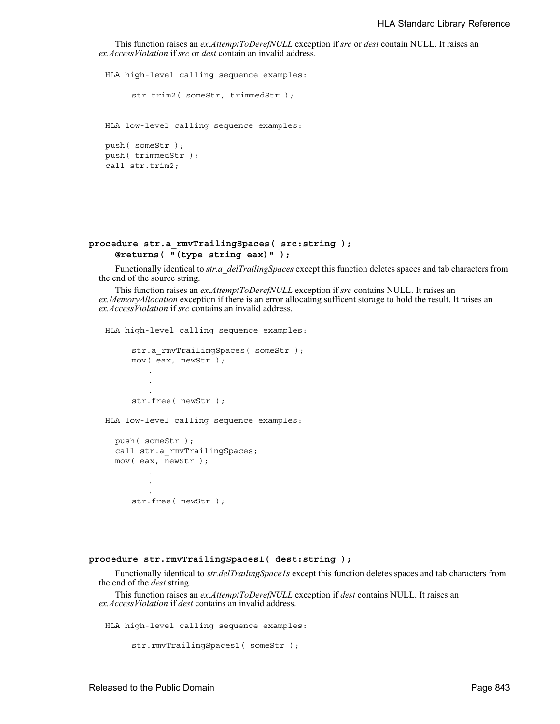This function raises an *ex.AttemptToDerefNULL* exception if *src* or *dest* contain NULL. It raises an *ex.AccessViolation* if *src* or *dest* contain an invalid address.

HLA high-level calling sequence examples: str.trim2( someStr, trimmedStr ); HLA low-level calling sequence examples: push( someStr ); push( trimmedStr ); call str.trim2;

## **procedure str.a\_rmvTrailingSpaces( src:string ); @returns( "(type string eax)" );**

Functionally identical to *str.a\_delTrailingSpaces* except this function deletes spaces and tab characters from the end of the source string.

This function raises an *ex.AttemptToDerefNULL* exception if *src* contains NULL. It raises an *ex.MemoryAllocation* exception if there is an error allocating sufficent storage to hold the result. It raises an *ex.AccessViolation* if *src* contains an invalid address.

HLA high-level calling sequence examples:

```
str.a_rmvTrailingSpaces( someStr );
     mov( eax, newStr );
         .
         .
         .
     str.free( newStr );
HLA low-level calling sequence examples:
  push( someStr );
  call str.a rmvTrailingSpaces;
  mov( eax, newStr );
```
. str.free( newStr );

. .

#### **procedure str.rmvTrailingSpaces1( dest:string );**

Functionally identical to *str.delTrailingSpace1s* except this function deletes spaces and tab characters from the end of the *dest* string.

This function raises an *ex.AttemptToDerefNULL* exception if *dest* contains NULL. It raises an *ex.AccessViolation* if *dest* contains an invalid address.

HLA high-level calling sequence examples:

```
str.rmvTrailingSpaces1( someStr );
```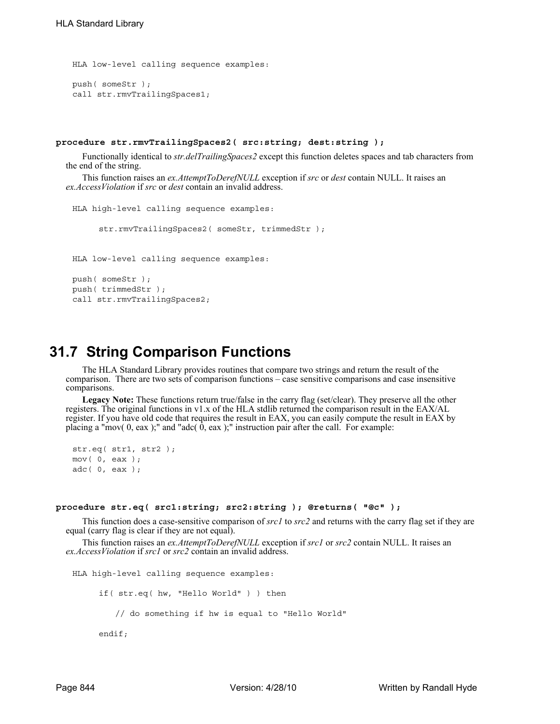```
HLA low-level calling sequence examples:
push( someStr );
call str.rmvTrailingSpaces1;
```
#### **procedure str.rmvTrailingSpaces2( src:string; dest:string );**

Functionally identical to *str.delTrailingSpaces2* except this function deletes spaces and tab characters from the end of the string.

This function raises an *ex.AttemptToDerefNULL* exception if *src* or *dest* contain NULL. It raises an *ex.AccessViolation* if *src* or *dest* contain an invalid address.

```
HLA high-level calling sequence examples:
     str.rmvTrailingSpaces2( someStr, trimmedStr);
HLA low-level calling sequence examples:
push( someStr );
push( trimmedStr );
call str.rmvTrailingSpaces2;
```
## **31.7 String Comparison Functions**

The HLA Standard Library provides routines that compare two strings and return the result of the comparison. There are two sets of comparison functions – case sensitive comparisons and case insensitive comparisons.

**Legacy Note:** These functions return true/false in the carry flag (set/clear). They preserve all the other registers. The original functions in v1.x of the HLA stdlib returned the comparison result in the EAX/AL register. If you have old code that requires the result in EAX, you can easily compute the result in EAX by placing a "mov(  $0$ , eax );" and "adc(  $0$ , eax );" instruction pair after the call. For example:

```
str.eq( str1, str2 );
mov( 0, eax );
adc( 0, eax );
```
#### **procedure str.eq( src1:string; src2:string ); @returns( "@c" );**

This function does a case-sensitive comparison of *src1* to *src2* and returns with the carry flag set if they are equal (carry flag is clear if they are not equal).

This function raises an *ex.AttemptToDerefNULL* exception if *src1* or *src2* contain NULL. It raises an *ex.AccessViolation* if *src1* or *src2* contain an invalid address.

```
HLA high-level calling sequence examples:
     if( str.eq( hw, "Hello World" ) ) then
         // do something if hw is equal to "Hello World"
     endif;
```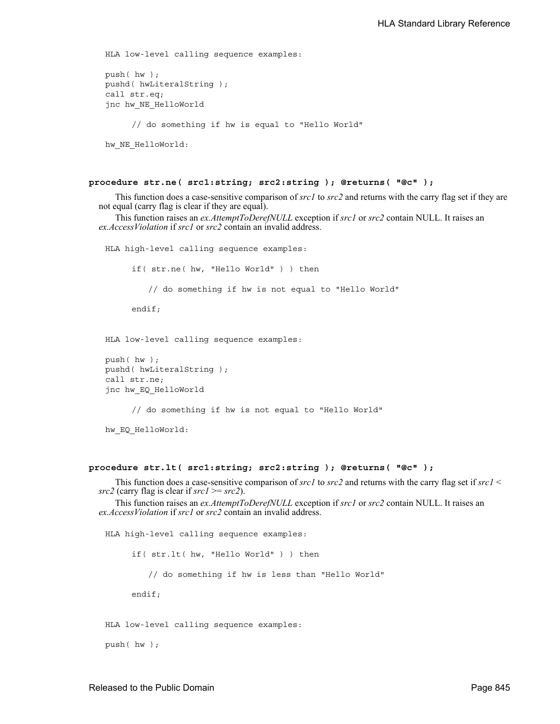```
HLA low-level calling sequence examples:
push( hw );
pushd( hwLiteralString );
call str.eq;
jnc hw_NE_HelloWorld
     // do something if hw is equal to "Hello World"
hw NE HelloWorld:
```
#### **procedure str.ne( src1:string; src2:string ); @returns( "@c" );**

This function does a case-sensitive comparison of *src1* to *src2* and returns with the carry flag set if they are not equal (carry flag is clear if they are equal).

This function raises an *ex.AttemptToDerefNULL* exception if *src1* or *src2* contain NULL. It raises an *ex.AccessViolation* if *src1* or *src2* contain an invalid address.

HLA high-level calling sequence examples: if( str.ne( hw, "Hello World" ) ) then // do something if hw is not equal to "Hello World" endif; HLA low-level calling sequence examples:

```
push( hw );
pushd( hwLiteralString );
call str.ne;
jnc hw_EQ_HelloWorld
```
// do something if hw is not equal to "Hello World"

hw\_EQ\_HelloWorld:

## **procedure str.lt( src1:string; src2:string ); @returns( "@c" );**

This function does a case-sensitive comparison of *src1* to *src2* and returns with the carry flag set if *src1* < *src2* (carry flag is clear if *src1* >= *src2*).

This function raises an *ex.AttemptToDerefNULL* exception if *src1* or *src2* contain NULL. It raises an *ex.AccessViolation* if *src1* or *src2* contain an invalid address.

HLA high-level calling sequence examples: if( str.lt( hw, "Hello World" ) ) then // do something if hw is less than "Hello World" endif;

HLA low-level calling sequence examples:

push( hw );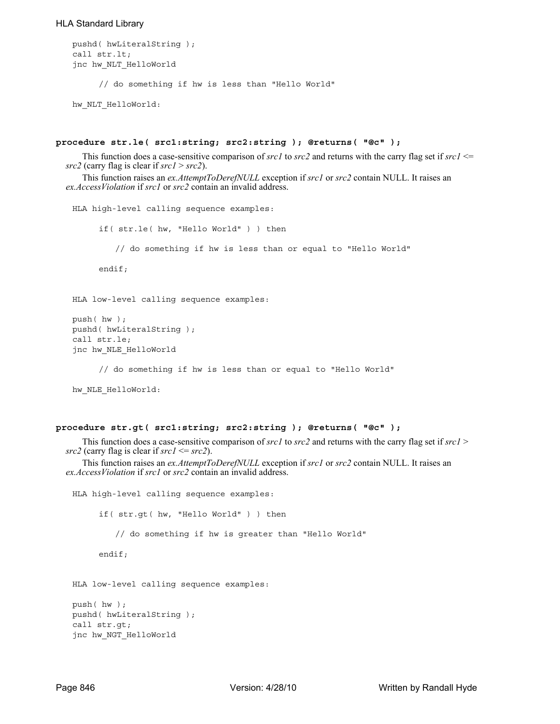## HLA Standard Library

```
pushd( hwLiteralString );
call str.lt;
jnc hw_NLT_HelloWorld
     // do something if hw is less than "Hello World"
```
hw\_NLT\_HelloWorld:

## **procedure str.le( src1:string; src2:string ); @returns( "@c" );**

This function does a case-sensitive comparison of  $srcl$  to  $src2$  and returns with the carry flag set if  $srcl \leq$ *src2* (carry flag is clear if *src1* > *src2*).

This function raises an *ex.AttemptToDerefNULL* exception if *src1* or *src2* contain NULL. It raises an *ex.AccessViolation* if *src1* or *src2* contain an invalid address.

```
HLA high-level calling sequence examples:
     if( str.le( hw, "Hello World" ) ) then
         // do something if hw is less than or equal to "Hello World"
     endif;
HLA low-level calling sequence examples:
push( hw );
pushd( hwLiteralString );
call str.le;
jnc hw_NLE_HelloWorld
     // do something if hw is less than or equal to "Hello World"
hw NLE HelloWorld:
```
## **procedure str.gt( src1:string; src2:string ); @returns( "@c" );**

This function does a case-sensitive comparison of *src1* to *src2* and returns with the carry flag set if *src1* >  $src2$  (carry flag is clear if  $src1 \leq src2$ ).

This function raises an *ex.AttemptToDerefNULL* exception if *src1* or *src2* contain NULL. It raises an *ex.AccessViolation* if *src1* or *src2* contain an invalid address.

```
HLA high-level calling sequence examples:
     if( str.gt( hw, "Hello World" ) ) then
         // do something if hw is greater than "Hello World"
     endif;
HLA low-level calling sequence examples:
push( hw );
pushd( hwLiteralString );
call str.gt;
jnc hw_NGT_HelloWorld
```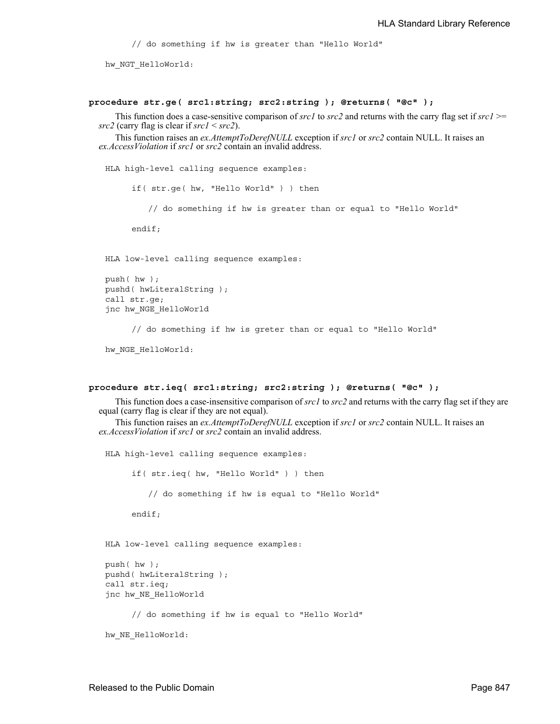// do something if hw is greater than "Hello World"

hw NGT HelloWorld:

#### **procedure str.ge( src1:string; src2:string ); @returns( "@c" );**

This function does a case-sensitive comparison of *src1* to *src2* and returns with the carry flag set if *src1* >= *src2* (carry flag is clear if *src1* < *src2*).

This function raises an *ex.AttemptToDerefNULL* exception if *src1* or *src2* contain NULL. It raises an *ex.AccessViolation* if *src1* or *src2* contain an invalid address.

HLA high-level calling sequence examples:

if( str.ge( hw, "Hello World" ) ) then

// do something if hw is greater than or equal to "Hello World"

endif;

HLA low-level calling sequence examples:

```
push( hw );
pushd( hwLiteralString );
call str.ge;
jnc hw_NGE_HelloWorld
```
// do something if hw is greter than or equal to "Hello World"

hw NGE HelloWorld:

## **procedure str.ieq( src1:string; src2:string ); @returns( "@c" );**

This function does a case-insensitive comparison of *src1* to *src2* and returns with the carry flag set if they are equal (carry flag is clear if they are not equal).

This function raises an *ex.AttemptToDerefNULL* exception if *src1* or *src2* contain NULL. It raises an *ex.AccessViolation* if *src1* or *src2* contain an invalid address.

HLA high-level calling sequence examples: if( str.ieq( hw, "Hello World" ) ) then // do something if hw is equal to "Hello World" endif; HLA low-level calling sequence examples: push( hw ); pushd( hwLiteralString ); call str.ieq; jnc hw\_NE\_HelloWorld // do something if hw is equal to "Hello World" hw NE HelloWorld: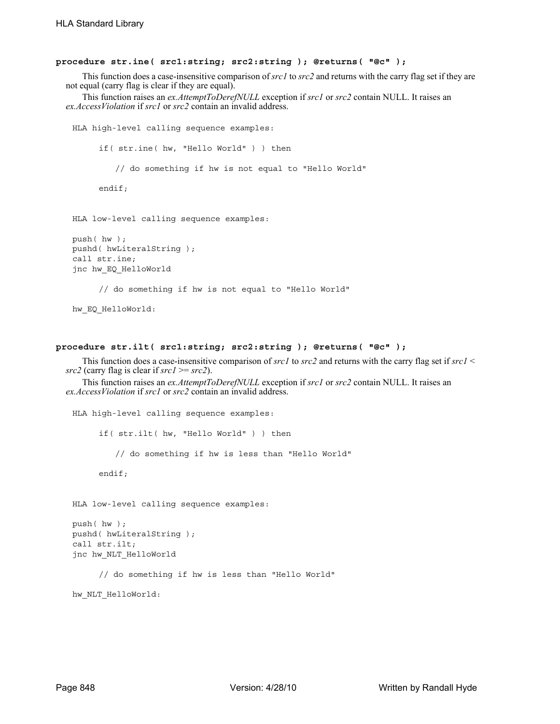### **procedure str.ine( src1:string; src2:string ); @returns( "@c" );**

This function does a case-insensitive comparison of *src1* to *src2* and returns with the carry flag set if they are not equal (carry flag is clear if they are equal).

This function raises an *ex.AttemptToDerefNULL* exception if *src1* or *src2* contain NULL. It raises an *ex.AccessViolation* if *src1* or *src2* contain an invalid address.

```
HLA high-level calling sequence examples:
     if( str.ine( hw, "Hello World" ) ) then
         // do something if hw is not equal to "Hello World"
     endif;
HLA low-level calling sequence examples:
push( hw );
pushd( hwLiteralString );
call str.ine;
jnc hw_EQ_HelloWorld
     // do something if hw is not equal to "Hello World"
```

```
hw_EQ_HelloWorld:
```
#### **procedure str.ilt( src1:string; src2:string ); @returns( "@c" );**

This function does a case-insensitive comparison of *src1* to *src2* and returns with the carry flag set if *src1* < *src2* (carry flag is clear if *src1* >= *src2*).

This function raises an *ex.AttemptToDerefNULL* exception if *src1* or *src2* contain NULL. It raises an *ex.AccessViolation* if *src1* or *src2* contain an invalid address.

```
HLA high-level calling sequence examples:
     if( str.ilt( hw, "Hello World" ) ) then
         // do something if hw is less than "Hello World"
     endif;
HLA low-level calling sequence examples:
push( hw );
pushd( hwLiteralString );
call str.ilt;
jnc hw_NLT_HelloWorld
```
// do something if hw is less than "Hello World"

hw\_NLT\_HelloWorld: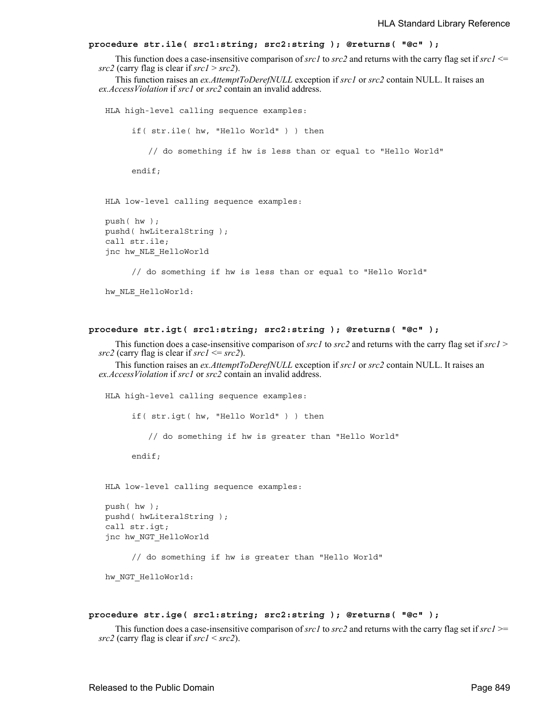```
procedure str.ile( src1:string; src2:string ); @returns( "@c" );
```
This function does a case-insensitive comparison of *src1* to *src2* and returns with the carry flag set if *src1* <= *src2* (carry flag is clear if *src1* > *src2*).

This function raises an *ex.AttemptToDerefNULL* exception if *src1* or *src2* contain NULL. It raises an *ex.AccessViolation* if *src1* or *src2* contain an invalid address.

```
HLA high-level calling sequence examples:
     if( str.ile( hw, "Hello World" ) ) then
        // do something if hw is less than or equal to "Hello World"
     endif;
HLA low-level calling sequence examples:
push( hw );
pushd( hwLiteralString );
call str.ile;
jnc hw_NLE_HelloWorld
```
// do something if hw is less than or equal to "Hello World"

```
hw NLE HelloWorld:
```

```
procedure str.igt( src1:string; src2:string ); @returns( "@c" );
```
This function does a case-insensitive comparison of *src1* to *src2* and returns with the carry flag set if *src1* > *src2* (carry flag is clear if *src1* <= *src2*).

This function raises an *ex.AttemptToDerefNULL* exception if *src1* or *src2* contain NULL. It raises an *ex.AccessViolation* if *src1* or *src2* contain an invalid address.

HLA high-level calling sequence examples: if( str.igt( hw, "Hello World" ) ) then // do something if hw is greater than "Hello World" endif; HLA low-level calling sequence examples: push( hw ); pushd( hwLiteralString ); call str.igt; jnc hw\_NGT\_HelloWorld

// do something if hw is greater than "Hello World"

hw NGT HelloWorld:

## **procedure str.ige( src1:string; src2:string ); @returns( "@c" );**

This function does a case-insensitive comparison of *src1* to *src2* and returns with the carry flag set if *src1* >= *src2* (carry flag is clear if *src1* < *src2*).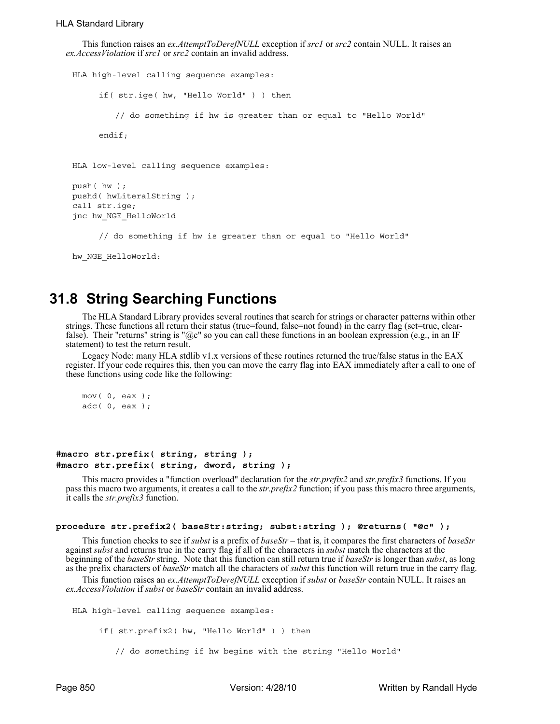```
This function raises an ex.AttemptToDerefNULL exception if src1 or src2 contain NULL. It raises an 
ex.AccessViolation if src1 or src2 contain an invalid address.
```

```
HLA high-level calling sequence examples:
     if( str.ige( hw, "Hello World" ) ) then
         // do something if hw is greater than or equal to "Hello World"
     endif;
HLA low-level calling sequence examples:
push( hw );
pushd( hwLiteralString );
call str.ige;
jnc hw_NGE_HelloWorld
     // do something if hw is greater than or equal to "Hello World"
```

```
hw NGE HelloWorld:
```
## **31.8 String Searching Functions**

The HLA Standard Library provides several routines that search for strings or character patterns within other strings. These functions all return their status (true=found, false=not found) in the carry flag (set=true, clearfalse). Their "returns" string is " $@c$ " so you can call these functions in an boolean expression (e.g., in an IF statement) to test the return result.

Legacy Node: many HLA stdlib v1.x versions of these routines returned the true/false status in the EAX register. If your code requires this, then you can move the carry flag into EAX immediately after a call to one of these functions using code like the following:

```
mov( 0, eax );
adc( 0, eax );
```
## **#macro str.prefix( string, string ); #macro str.prefix( string, dword, string );**

This macro provides a "function overload" declaration for the *str.prefix2* and *str.prefix3* functions. If you pass this macro two arguments, it creates a call to the *str.prefix2* function; if you pass this macro three arguments, it calls the *str.prefix3* function.

## **procedure str.prefix2( baseStr:string; subst:string ); @returns( "@c" );**

This function checks to see if *subst* is a prefix of *baseStr* – that is, it compares the first characters of *baseStr* against *subst* and returns true in the carry flag if all of the characters in *subst* match the characters at the beginning of the *baseStr* string. Note that this function can still return true if *baseStr* is longer than *subst*, as long as the prefix characters of *baseStr* match all the characters of *subst* this function will return true in the carry flag.

This function raises an *ex.AttemptToDerefNULL* exception if *subst* or *baseStr* contain NULL. It raises an *ex.AccessViolation* if *subst* or *baseStr* contain an invalid address.

HLA high-level calling sequence examples:

if( str.prefix2( hw, "Hello World" ) ) then

// do something if hw begins with the string "Hello World"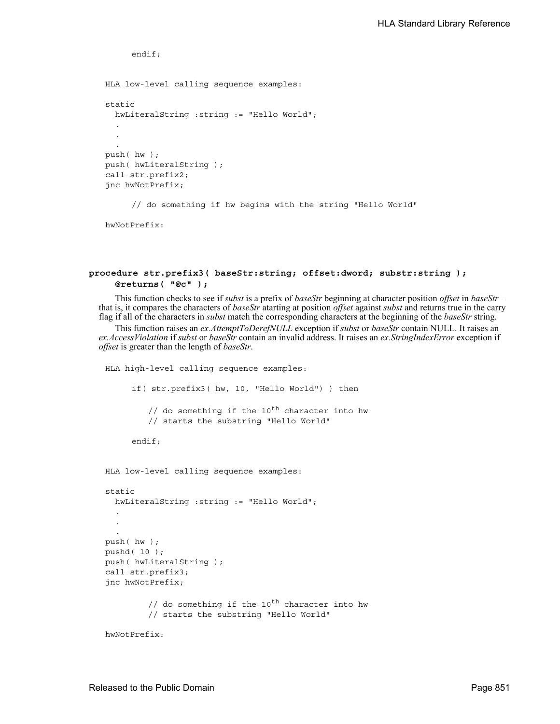```
endif;
HLA low-level calling sequence examples:
static
  hwLiteralString :string := "Hello World";
  .
  .
  .
push( hw );
push( hwLiteralString );
call str.prefix2;
jnc hwNotPrefix;
     // do something if hw begins with the string "Hello World"
```

```
hwNotPrefix:
```
## **procedure str.prefix3( baseStr:string; offset:dword; substr:string ); @returns( "@c" );**

This function checks to see if *subst* is a prefix of *baseStr* beginning at character position *offset* in *baseStr*– that is, it compares the characters of *baseStr* atarting at position *offset* against *subst* and returns true in the carry flag if all of the characters in *subst* match the corresponding characters at the beginning of the *baseStr* string.

This function raises an *ex.AttemptToDerefNULL* exception if *subst* or *baseStr* contain NULL. It raises an *ex.AccessViolation* if *subst* or *baseStr* contain an invalid address. It raises an *ex.StringIndexError* exception if *offset* is greater than the length of *baseStr*.

```
HLA high-level calling sequence examples:
     if( str.prefix3( hw, 10, "Hello World") ) then
         // do something if the 10^{th} character into hw
         // starts the substring "Hello World"
     endif;
HLA low-level calling sequence examples:
static
  hwLiteralString :string := "Hello World";
  .
  .
push( hw );
pushd( 10 );
push( hwLiteralString );
call str.prefix3;
jnc hwNotPrefix;
         // do something if the 10^{th} character into hw
         // starts the substring "Hello World"
hwNotPrefix:
```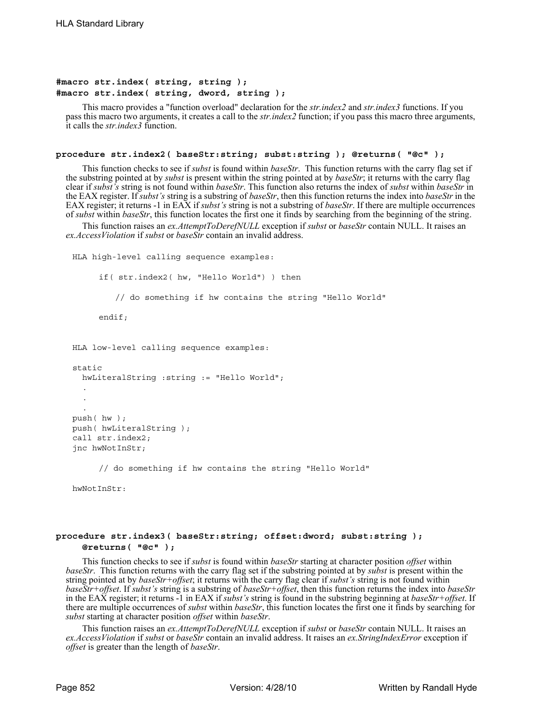## **#macro str.index( string, string ); #macro str.index( string, dword, string );**

This macro provides a "function overload" declaration for the *str.index2* and *str.index3* functions. If you pass this macro two arguments, it creates a call to the *str.index2* function; if you pass this macro three arguments, it calls the *str.index3* function.

#### **procedure str.index2( baseStr:string; subst:string ); @returns( "@c" );**

This function checks to see if *subst* is found within *baseStr*. This function returns with the carry flag set if the substring pointed at by *subst* is present within the string pointed at by *baseStr*; it returns with the carry flag clear if *subst's* string is not found within *baseStr*. This function also returns the index of *subst* within *baseStr* in the EAX register. If *subst's* string is a substring of *baseStr*, then this function returns the index into *baseStr* in the EAX register; it returns -1 in EAX if *subst's* string is not a substring of *baseStr*. If there are multiple occurrences of *subst* within *baseStr*, this function locates the first one it finds by searching from the beginning of the string.

This function raises an *ex.AttemptToDerefNULL* exception if *subst* or *baseStr* contain NULL. It raises an *ex.AccessViolation* if *subst* or *baseStr* contain an invalid address.

```
HLA high-level calling sequence examples:
     if( str.index2( hw, "Hello World") ) then
         // do something if hw contains the string "Hello World"
     endif;
HLA low-level calling sequence examples:
static
  hwLiteralString :string := "Hello World";
  .
  .
  .
push( hw );
push( hwLiteralString );
call str.index2;
jnc hwNotInStr;
     // do something if hw contains the string "Hello World"
```
hwNotInStr:

## **procedure str.index3( baseStr:string; offset:dword; subst:string ); @returns( "@c" );**

This function checks to see if *subst* is found within *baseStr* starting at character position *offset* within *baseStr*. This function returns with the carry flag set if the substring pointed at by *subst* is present within the string pointed at by *baseStr+offset*; it returns with the carry flag clear if *subst's* string is not found within *baseStr+offset*. If *subst's* string is a substring of *baseStr+offset*, then this function returns the index into *baseStr* in the EAX register; it returns -1 in EAX if *subst's* string is found in the substring beginning at *baseStr+offset*. If there are multiple occurrences of *subst* within *baseStr*, this function locates the first one it finds by searching for *subst* starting at character position *offset* within *baseStr*.

This function raises an *ex.AttemptToDerefNULL* exception if *subst* or *baseStr* contain NULL. It raises an *ex.AccessViolation* if *subst* or *baseStr* contain an invalid address. It raises an *ex.StringIndexError* exception if *offset* is greater than the length of *baseStr*.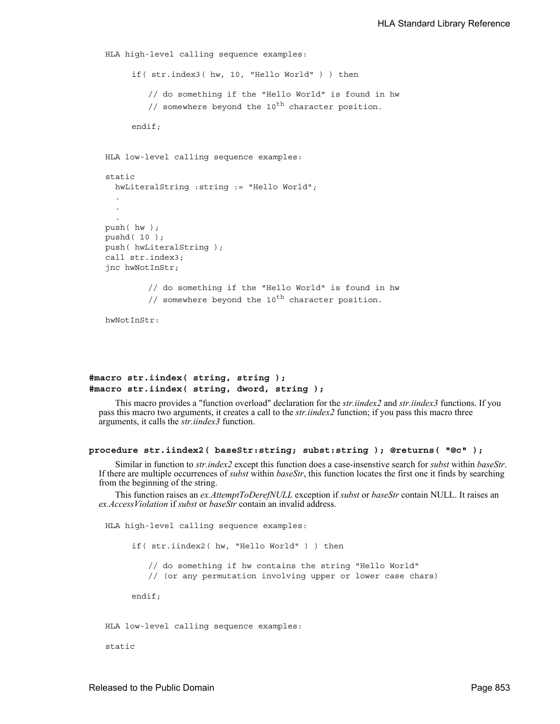```
HLA high-level calling sequence examples:
      if( str.index3( hw, 10, "Hello World" ) ) then
         // do something if the "Hello World" is found in hw
         // somewhere beyond the 10^{th} character position.
     endif;
HLA low-level calling sequence examples:
static
  hwLiteralString :string := "Hello World";
  .
  .
  .
push( hw );
pushd( 10 );
push( hwLiteralString );
call str.index3;
jnc hwNotInStr;
         // do something if the "Hello World" is found in hw
         \frac{1}{s} somewhere beyond the 10<sup>th</sup> character position.
hwNotInStr.
```
## **#macro str.iindex( string, string ); #macro str.iindex( string, dword, string );**

This macro provides a "function overload" declaration for the *str.iindex2* and *str.iindex3* functions. If you pass this macro two arguments, it creates a call to the *str.iindex2* function; if you pass this macro three arguments, it calls the *str.iindex3* function.

#### **procedure str.iindex2( baseStr:string; subst:string ); @returns( "@c" );**

Similar in function to *str.index2* except this function does a case-insenstive search for *subst* within *baseStr*. If there are multiple occurrences of *subst* within *baseStr*, this function locates the first one it fin from the beginning of the string.

This function raises an *ex.AttemptToDerefNULL* exception if *subst* or *baseStr* contain NULL. It raises an *ex.AccessViolation* if *subst* or *baseStr* contain an invalid address.

HLA high-level calling sequence examples: if( str.iindex2( hw, "Hello World" ) ) then // do something if hw contains the string "Hello World" // (or any permutation involving upper or lower case chars) endif; HLA low-level calling sequence examples:

static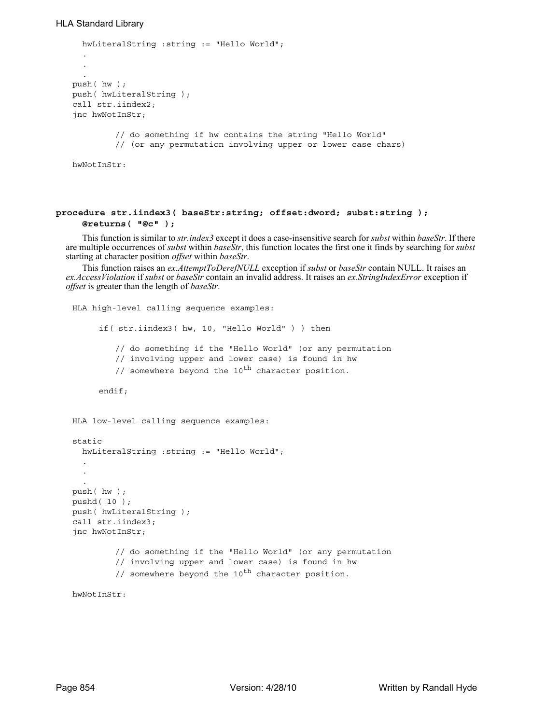```
hwLiteralString :string := "Hello World";
  .
  .
  .
push( hw );
push( hwLiteralString );
call str.iindex2;
jnc hwNotInStr;
         // do something if hw contains the string "Hello World"
         // (or any permutation involving upper or lower case chars)
hwNotInStr:
```
## **procedure str.iindex3( baseStr:string; offset:dword; subst:string ); @returns( "@c" );**

This function is similar to *str.index3* except it does a case-insensitive search for *subst* within *baseStr*. If there are multiple occurrences of *subst* within *baseStr*, this function locates the first one it finds by searching for *subst* starting at character position *offset* within *baseStr*.

This function raises an *ex.AttemptToDerefNULL* exception if *subst* or *baseStr* contain NULL. It raises an *ex.AccessViolation* if *subst* or *baseStr* contain an invalid address. It raises an *ex.StringIndexError* exception if *offset* is greater than the length of *baseStr*.

```
HLA high-level calling sequence examples:
     if( str.iindex3( hw, 10, "Hello World" ) ) then
         // do something if the "Hello World" (or any permutation 
         // involving upper and lower case) is found in hw
         // somewhere beyond the 10^{th} character position.
     endif;
HLA low-level calling sequence examples:
static
  hwLiteralString :string := "Hello World";
  .
  .
  .
push( hw );
pushd( 10 );
push( hwLiteralString );
call str.iindex3;
jnc hwNotInStr;
         // do something if the "Hello World" (or any permutation 
         // involving upper and lower case) is found in hw
         // somewhere beyond the 10^{th} character position.
```
hwNotInStr: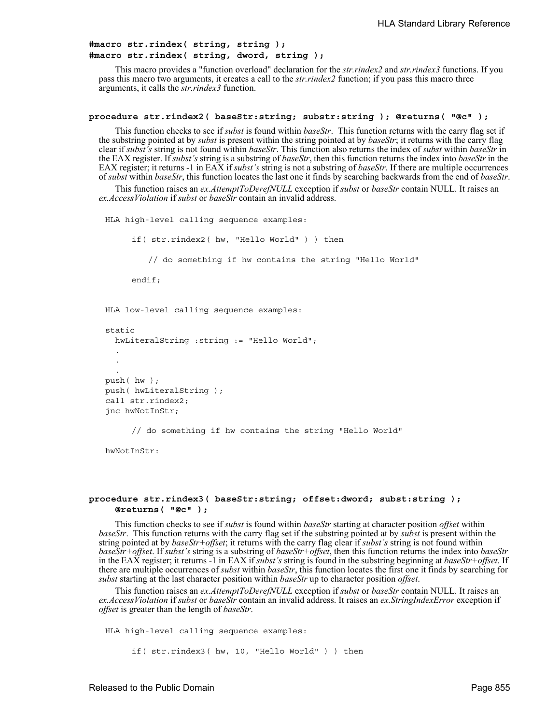## **#macro str.rindex( string, string ); #macro str.rindex( string, dword, string );**

This macro provides a "function overload" declaration for the *str.rindex2* and *str.rindex3* functions. If you pass this macro two arguments, it creates a call to the *str.rindex2* function; if you pass this macro three arguments, it calls the *str.rindex3* function.

#### **procedure str.rindex2( baseStr:string; substr:string ); @returns( "@c" );**

This function checks to see if *subst* is found within *baseStr*. This function returns with the carry flag set if the substring pointed at by *subst* is present within the string pointed at by *baseStr*; it returns with the carry flag clear if *subst's* string is not found within *baseStr*. This function also returns the index of *subst* within *baseStr* in the EAX register. If *subst's* string is a substring of *baseStr*, then this function returns the index into *baseStr* in the EAX register; it returns -1 in EAX if *subst's* string is not a substring of *baseStr*. If there are multiple occurrences of *subst* within *baseStr*, this function locates the last one it finds by searching backwards from the end of *baseStr*.

This function raises an *ex.AttemptToDerefNULL* exception if *subst* or *baseStr* contain NULL. It raises an *ex.AccessViolation* if *subst* or *baseStr* contain an invalid address.

HLA high-level calling sequence examples:

```
if( str.rindex2( hw, "Hello World" ) ) then
        // do something if hw contains the string "Hello World"
     endif;
HLA low-level calling sequence examples:
static
```

```
hwLiteralString :string := "Hello World";
  .
  .
  .
push( hw );
push( hwLiteralString );
call str.rindex2;
jnc hwNotInStr;
```
// do something if hw contains the string "Hello World"

hwNotInStr.

## **procedure str.rindex3( baseStr:string; offset:dword; subst:string ); @returns( "@c" );**

This function checks to see if *subst* is found within *baseStr* starting at character position *offset* within *baseStr*. This function returns with the carry flag set if the substring pointed at by *subst* is present within the string pointed at by *baseStr+offset*; it returns with the carry flag clear if *subst's* string is not found within *baseStr+offset*. If *subst's* string is a substring of *baseStr+offset*, then this function returns the index into *baseStr* in the EAX register; it returns -1 in EAX if *subst's* string is found in the substring beginning at *baseStr+offset*. If there are multiple occurrences of *subst* within *baseStr*, this function locates the first one it finds by searching for *subst* starting at the last character position within *baseStr* up to character position *offset*.

This function raises an *ex.AttemptToDerefNULL* exception if *subst* or *baseStr* contain NULL. It raises an *ex.AccessViolation* if *subst* or *baseStr* contain an invalid address. It raises an *ex.StringIndexError* exception if *offset* is greater than the length of *baseStr*.

HLA high-level calling sequence examples:

if( str.rindex3( hw, 10, "Hello World" ) ) then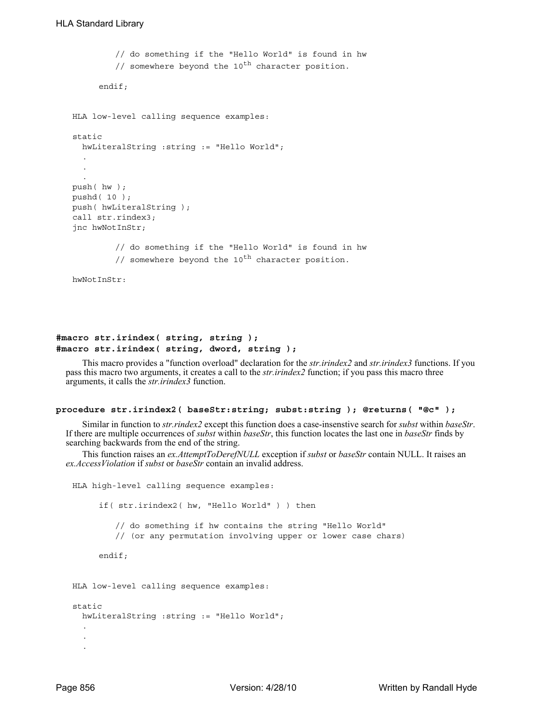```
// do something if the "Hello World" is found in hw
         // somewhere beyond the 10^{th} character position.
     endif;
HLA low-level calling sequence examples:
static
 hwLiteralString :string := "Hello World";
  .
  .
  .
push( hw );
pushd( 10 );
push( hwLiteralString );
call str.rindex3;
jnc hwNotInStr;
         // do something if the "Hello World" is found in hw
         // somewhere beyond the 10^{th} character position.
```
hwNotInStr:

## **#macro str.irindex( string, string ); #macro str.irindex( string, dword, string );**

This macro provides a "function overload" declaration for the *str.irindex2* and *str.irindex3* functions. If you pass this macro two arguments, it creates a call to the *str.irindex2* function; if you pass this macro three arguments, it calls the *str.irindex3* function.

#### **procedure str.irindex2( baseStr:string; subst:string ); @returns( "@c" );**

Similar in function to *str.rindex2* except this function does a case-insenstive search for *subst* within *baseStr*. If there are multiple occurrences of *subst* within *baseStr*, this function locates the last one in *baseStr* finds by searching backwards from the end of the string.

This function raises an *ex.AttemptToDerefNULL* exception if *subst* or *baseStr* contain NULL. It raises an *ex.AccessViolation* if *subst* or *baseStr* contain an invalid address.

```
HLA high-level calling sequence examples:
     if( str.irindex2( hw, "Hello World" ) ) then
         // do something if hw contains the string "Hello World"
         // (or any permutation involving upper or lower case chars)
     endif;
HLA low-level calling sequence examples:
static
 hwLiteralString :string := "Hello World";
  .
  .
  .
```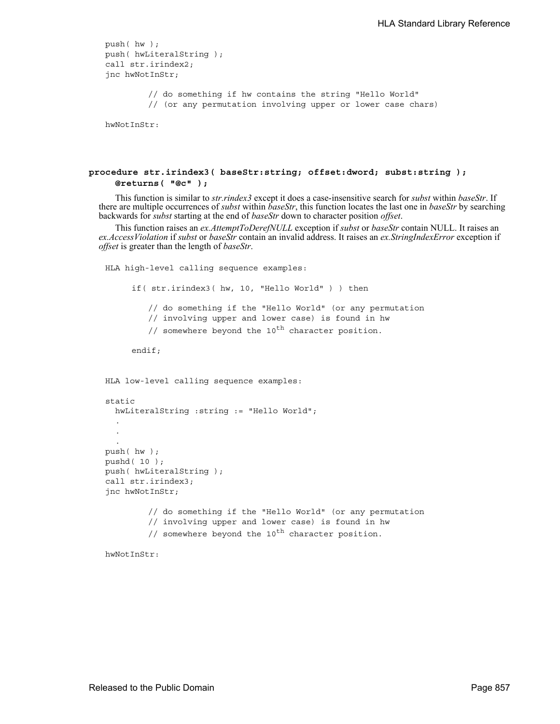```
push( hw );
push( hwLiteralString );
call str.irindex2;
jnc hwNotInStr;
```
// do something if hw contains the string "Hello World" // (or any permutation involving upper or lower case chars)

hwNotInStr:

## **procedure str.irindex3( baseStr:string; offset:dword; subst:string ); @returns( "@c" );**

This function is similar to *str.rindex3* except it does a case-insensitive search for *subst* within *baseStr*. If there are multiple occurrences of *subst* within *baseStr*, this function locates the last one in *baseStr* by searching backwards for *subst* starting at the end of *baseStr* down to character position *offset*.

This function raises an *ex.AttemptToDerefNULL* exception if *subst* or *baseStr* contain NULL. It raises an *ex.AccessViolation* if *subst* or *baseStr* contain an invalid address. It raises an *ex.StringIndexError* exception if *offset* is greater than the length of *baseStr*.

```
HLA high-level calling sequence examples:
     if( str.irindex3( hw, 10, "Hello World" ) ) then
         // do something if the "Hello World" (or any permutation 
         // involving upper and lower case) is found in hw
         // somewhere beyond the 10^{th} character position.
     endif;
HLA low-level calling sequence examples:
static
  hwLiteralString :string := "Hello World";
  .
  .
  .
push( hw );
pushd( 10 );
push( hwLiteralString );
call str.irindex3;
jnc hwNotInStr;
         // do something if the "Hello World" (or any permutation 
         // involving upper and lower case) is found in hw
         // somewhere beyond the 10^{th} character position.
```
hwNotInStr: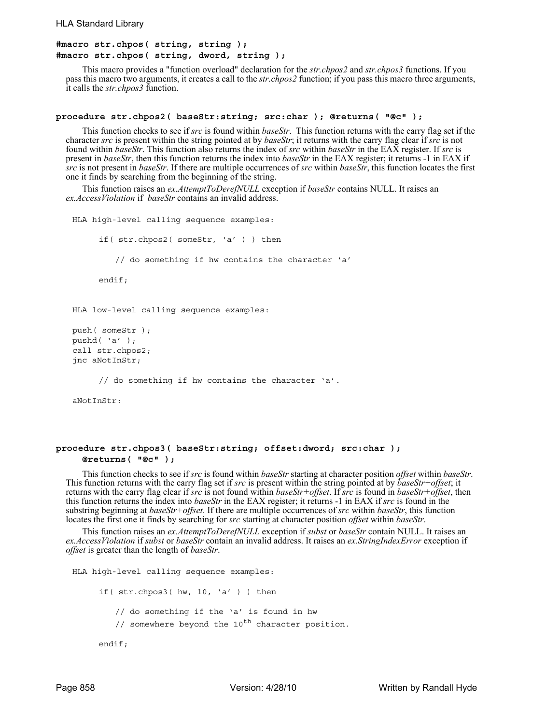```
#macro str.chpos( string, string );
#macro str.chpos( string, dword, string );
```
This macro provides a "function overload" declaration for the *str.chpos2* and *str.chpos3* functions. If you pass this macro two arguments, it creates a call to the *str.chpos2* function; if you pass this macro three arguments, it calls the *str.chpos3* function.

#### **procedure str.chpos2( baseStr:string; src:char ); @returns( "@c" );**

This function checks to see if *src* is found within *baseStr*. This function returns with the carry flag set if the character *src* is present within the string pointed at by *baseStr*; it returns with the carry flag clear if *src* is not found within *baseStr*. This function also returns the index of *src* within *baseStr* in the EAX register. If *src* is present in *baseStr*, then this function returns the index into *baseStr* in the EAX register; it returns -1 in EAX if *src* is not present in *baseStr*. If there are multiple occurrences of *src* within *baseStr*, this function locates the first one it finds by searching from the beginning of the string.

This function raises an *ex.AttemptToDerefNULL* exception if *baseStr* contains NULL. It raises an *ex.AccessViolation* if *baseStr* contains an invalid address.

```
HLA high-level calling sequence examples:
     if( str.chpos2( someStr, 'a' ) ) then
         // do something if hw contains the character 'a'
     endif;
HLA low-level calling sequence examples:
push( someStr );
pushd( 'a' );
call str.chpos2;
jnc aNotInStr;
```
// do something if hw contains the character 'a'.

aNotInStr:

### **procedure str.chpos3( baseStr:string; offset:dword; src:char ); @returns( "@c" );**

This function checks to see if *src* is found within *baseStr* starting at character position *offset* within *baseStr*.<br>This function returns with the carry flag set if *src* is present within the string pointed at by *b* returns with the carry flag clear if *src* is not found within *baseStr+offset*. If *src* is found in *baseStr+offset*, then this function returns the index into *baseStr* in the EAX register; it returns -1 in EAX if *src* is found in the substring beginning at *baseStr+offset*. If there are multiple occurrences of *src* within *baseStr*, this function locates the first one it finds by searching for *src* starting at character position *offset* within *baseStr*.

This function raises an *ex.AttemptToDerefNULL* exception if *subst* or *baseStr* contain NULL. It raises an *ex.AccessViolation* if *subst* or *baseStr* contain an invalid address. It raises an *ex.StringIndexError* exception if *offset* is greater than the length of *baseStr*.

```
HLA high-level calling sequence examples:
     if( str.chpos3( hw, 10, 'a' ) ) then
         // do something if the 'a' is found in hw
         // somewhere beyond the 10^{th} character position.
     endif;
```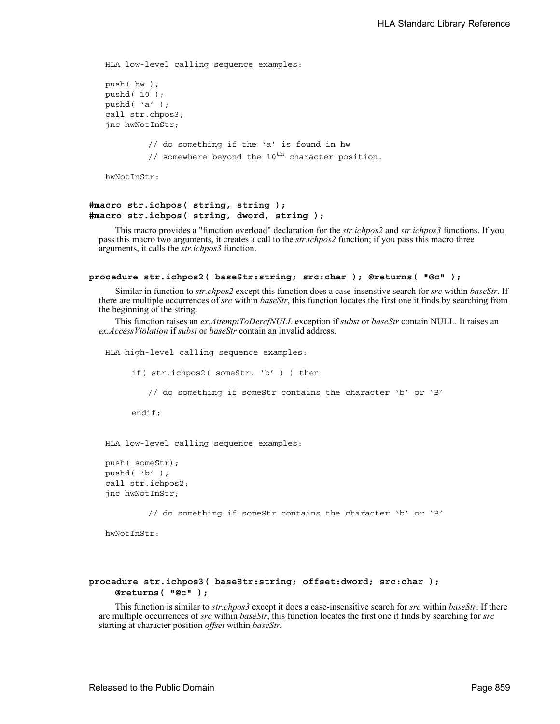```
HLA low-level calling sequence examples:
push( hw );
pushd( 10 );
pushd( 'a' );
call str.chpos3;
jnc hwNotInStr;
         // do something if the 'a' is found in hw
         // somewhere beyond the 10^{th} character position.
```

```
hwNotInStr:
```
## **#macro str.ichpos( string, string ); #macro str.ichpos( string, dword, string );**

This macro provides a "function overload" declaration for the *str.ichpos2* and *str.ichpos3* functions. If you pass this macro two arguments, it creates a call to the *str.ichpos2* function; if you pass this macro three arguments, it calls the *str.ichpos3* function.

```
procedure str.ichpos2( baseStr:string; src:char ); @returns( "@c" );
```
Similar in function to *str.chpos2* except this function does a case-insenstive search for *src* within *baseStr*. If there are multiple occurrences of *src* within *baseStr*, this function locates the first one it finds by searching from the beginning of the string.

This function raises an *ex.AttemptToDerefNULL* exception if *subst* or *baseStr* contain NULL. It raises an *ex.AccessViolation* if *subst* or *baseStr* contain an invalid address.

```
HLA high-level calling sequence examples:
     if( str.ichpos2( someStr, 'b' ) ) then
        // do something if someStr contains the character 'b' or 'B'
     endif;
HLA low-level calling sequence examples:
```

```
push( someStr);
pushd( 'b' );
call str.ichpos2;
jnc hwNotInStr;
```
// do something if someStr contains the character 'b' or 'B'

hwNotInStr:

## **procedure str.ichpos3( baseStr:string; offset:dword; src:char ); @returns( "@c" );**

This function is similar to *str.chpos3* except it does a case-insensitive search for *src* within *baseStr*. If there are multiple occurrences of *src* within *baseStr*, this function locates the first one it finds by searching for *src* starting at character position *offset* within *baseStr*.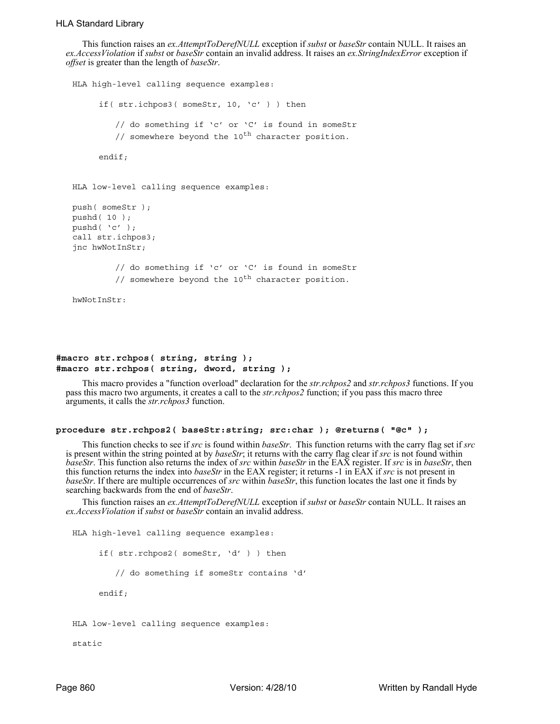This function raises an *ex.AttemptToDerefNULL* exception if *subst* or *baseStr* contain NULL. It raises an *ex.AccessViolation* if *subst* or *baseStr* contain an invalid address. It raises an *ex.StringIndexError* exception if *offset* is greater than the length of *baseStr*.

```
HLA high-level calling sequence examples:
     if( str.ichpos3( someStr, 10, 'c' ) ) then
         // do something if 'c' or 'C' is found in someStr
         // somewhere beyond the 10^{th} character position.
     endif;
HLA low-level calling sequence examples:
push( someStr );
pushd( 10 );
pushd( 'c' );
call str.ichpos3;
jnc hwNotInStr;
         // do something if 'c' or 'C' is found in someStr
         // somewhere beyond the 10^{th} character position.
hwNotInStr:
```
## **#macro str.rchpos( string, string ); #macro str.rchpos( string, dword, string );**

This macro provides a "function overload" declaration for the *str.rchpos2* and *str.rchpos3* functions. If you pass this macro two arguments, it creates a call to the *str.rchpos2* function; if you pass this macro three arguments, it calls the *str.rchpos3* function.

## **procedure str.rchpos2( baseStr:string; src:char ); @returns( "@c" );**

This function checks to see if *src* is found within *baseStr*. This function returns with the carry flag set if *src* is present within the string pointed at by *baseStr*; it returns with the carry flag clear if *src* is not found within *baseStr*. This function also returns the index of *src* within *baseStr* in the EAX register. If *src* is in *baseStr*, then this function returns the index into *baseStr* in the EAX register; it returns -1 in EAX if *src* is not present in *baseStr*. If there are multiple occurrences of *src* within *baseStr*, this function locates the last one it finds by searching backwards from the end of *baseStr*.

This function raises an *ex.AttemptToDerefNULL* exception if *subst* or *baseStr* contain NULL. It raises an *ex.AccessViolation* if *subst* or *baseStr* contain an invalid address.

```
HLA high-level calling sequence examples:
     if( str.rchpos2( someStr, 'd' ) ) then
        // do something if someStr contains 'd'
     endif;
HLA low-level calling sequence examples:
```
static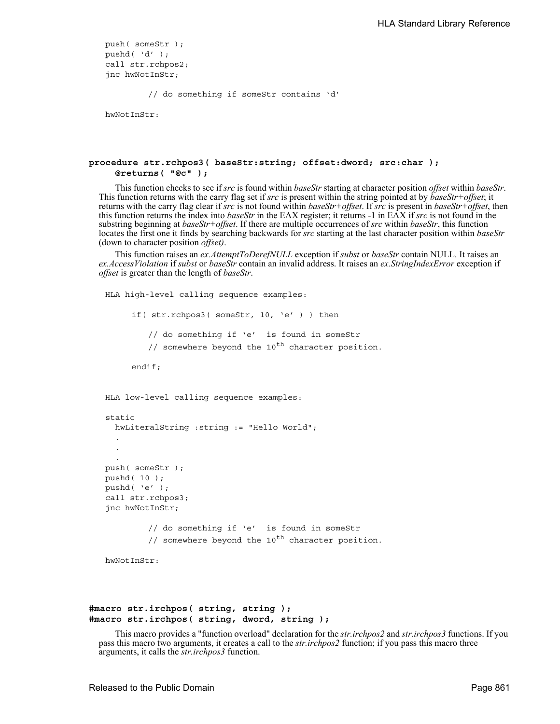```
push( someStr );
pushd( 'd' );
call str.rchpos2;
jnc hwNotInStr;
```
// do something if someStr contains 'd'

hwNotInStr:

## **procedure str.rchpos3( baseStr:string; offset:dword; src:char ); @returns( "@c" );**

This function checks to see if *src* is found within *baseStr* starting at character position *offset* within *baseStr*. This function returns with the carry flag set if *src* is present within the string pointed at by *baseStr+offset*; it returns with the carry flag clear if *src* is not found within *baseStr+offset*. If *src* is present in *baseStr+offset*, then this function returns the index into *baseStr* in the EAX register; it returns -1 in EAX if *src* is not found in the substring beginning at *baseStr+offset*. If there are multiple occurrences of *src* within *baseStr*, this function locates the first one it finds by searching backwards for *src* starting at the last character position within *baseStr* (down to character position *offset)*.

This function raises an *ex.AttemptToDerefNULL* exception if *subst* or *baseStr* contain NULL. It raises an *ex.AccessViolation* if *subst* or *baseStr* contain an invalid address. It raises an *ex.StringIndexError* exception if *offset* is greater than the length of *baseStr*.

```
HLA high-level calling sequence examples:
     if( str.rchpos3( someStr, 10, 'e' ) ) then
         // do something if 'e' is found in someStr
         // somewhere beyond the 10^{th} character position.
     endif;
HLA low-level calling sequence examples:
static
  hwLiteralString :string := "Hello World";
  .
  .
  .
push( someStr );
pushd( 10 );
pushd( 'e' );
call str.rchpos3;
jnc hwNotInStr;
         // do something if 'e' is found in someStr
         // somewhere beyond the 10^{th} character position.
```

```
hwNotInStr:
```

```
#macro str.irchpos( string, string );
#macro str.irchpos( string, dword, string );
```
This macro provides a "function overload" declaration for the *str.irchpos2* and *str.irchpos3* functions. If you pass this macro two arguments, it creates a call to the *str.irchpos2* function; if you pass this macro three arguments, it calls the *str.irchpos3* function.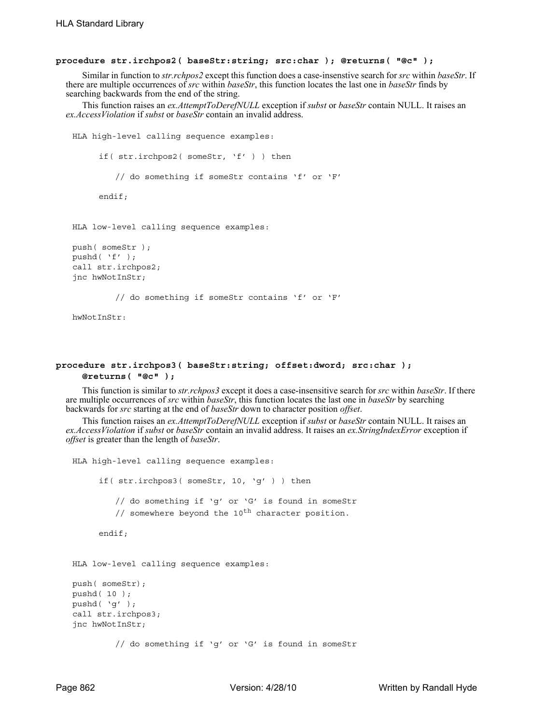#### **procedure str.irchpos2( baseStr:string; src:char ); @returns( "@c" );**

Similar in function to *str.rchpos2* except this function does a case-insenstive search for *src* within *baseStr*. If there are multiple occurrences of *src* within *baseStr*, this function locates the last one in *baseStr* finds by searching backwards from the end of the string.

This function raises an *ex.AttemptToDerefNULL* exception if *subst* or *baseStr* contain NULL. It raises an *ex.AccessViolation* if *subst* or *baseStr* contain an invalid address.

```
HLA high-level calling sequence examples:
     if( str.irchpos2( someStr, 'f' ) ) then
         // do something if someStr contains 'f' or 'F'
     endif;
HLA low-level calling sequence examples:
push( someStr );
pushd( 'f' );
call str.irchpos2;
jnc hwNotInStr;
         // do something if someStr contains 'f' or 'F'
```
hwNotInStr:

## **procedure str.irchpos3( baseStr:string; offset:dword; src:char ); @returns( "@c" );**

This function is similar to *str.rchpos3* except it does a case-insensitive search for *src* within *baseStr*. If there are multiple occurrences of *src* within *baseStr*, this function locates the last one in *baseStr* by searching backwards for *src* starting at the end of *baseStr* down to character position *offset*.

This function raises an *ex.AttemptToDerefNULL* exception if *subst* or *baseStr* contain NULL. It raises an *ex.AccessViolation* if *subst* or *baseStr* contain an invalid address. It raises an *ex.StringIndexError* exception if *offset* is greater than the length of *baseStr*.

```
HLA high-level calling sequence examples:
     if( str.irchpos3( someStr, 10, 'g' ) ) then
         // do something if 'g' or 'G' is found in someStr
         // somewhere beyond the 10^{th} character position.
     endif;
HLA low-level calling sequence examples:
push( someStr);
pushd( 10 );
pushd( 'g' );
```
// do something if 'g' or 'G' is found in someStr

call str.irchpos3; jnc hwNotInStr;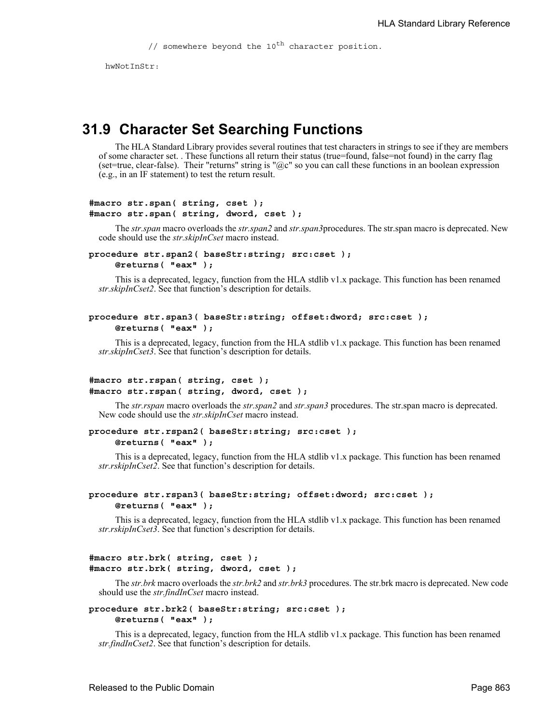// somewhere beyond the  $10^{th}$  character position.

hwNotInStr.

# **31.9 Character Set Searching Functions**

The HLA Standard Library provides several routines that test characters in strings to see if they are members of some character set. . These functions all return their status (true=found, false=not found) in the carry flag (set=true, clear-false). Their "returns" string is " $@c$ " so you can call these functions in an boolean expression (e.g., in an IF statement) to test the return result.

```
#macro str.span( string, cset );
#macro str.span( string, dword, cset );
```
The *str.span* macro overloads the *str.span2* and *str.span3*procedures. The str.span macro is deprecated. New code should use the *str.skipInCset* macro instead.

```
procedure str.span2( baseStr:string; src:cset ); 
     @returns( "eax" );
```
This is a deprecated, legacy, function from the HLA stdlib v1.x package. This function has been renamed *str.skipInCset2*. See that function's description for details.

## **procedure str.span3( baseStr:string; offset:dword; src:cset ); @returns( "eax" );**

This is a deprecated, legacy, function from the HLA stdlib v1.x package. This function has been renamed *str.skipInCset3*. See that function's description for details.

## **#macro str.rspan( string, cset ); #macro str.rspan( string, dword, cset );**

The *str.rspan* macro overloads the *str.span2* and *str.span3* procedures. The str.span macro is deprecated. New code should use the *str.skipInCset* macro instead.

#### **procedure str.rspan2( baseStr:string; src:cset ); @returns( "eax" );**

This is a deprecated, legacy, function from the HLA stdlib v1.x package. This function has been renamed *str.rskipInCset2*. See that function's description for details.

#### **procedure str.rspan3( baseStr:string; offset:dword; src:cset ); @returns( "eax" );**

This is a deprecated, legacy, function from the HLA stdlib v1.x package. This function has been renamed *str.rskipInCset3*. See that function's description for details.

```
#macro str.brk( string, cset );
#macro str.brk( string, dword, cset );
```
The *str.brk* macro overloads the *str.brk2* and *str.brk3* procedures. The str.brk macro is deprecated. New code should use the *str.findInCset* macro instead.

# **procedure str.brk2( baseStr:string; src:cset );**

**@returns( "eax" );**

This is a deprecated, legacy, function from the HLA stdlib v1.x package. This function has been renamed *str.findInCset2*. See that function's description for details.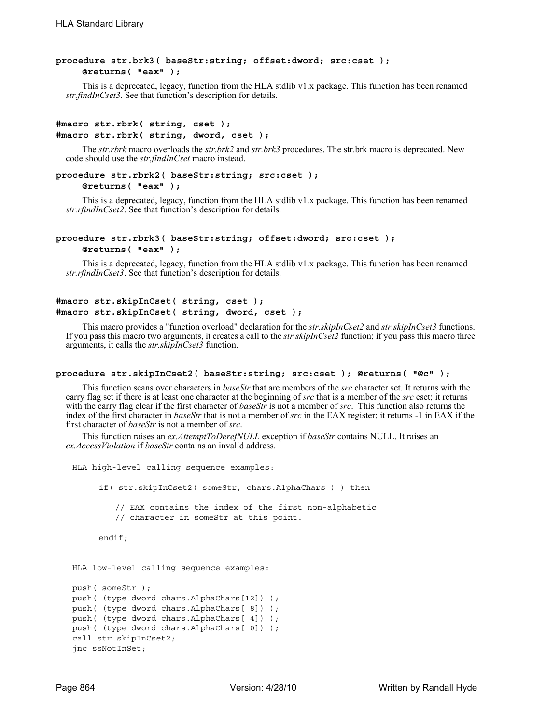## **procedure str.brk3( baseStr:string; offset:dword; src:cset ); @returns( "eax" );**

This is a deprecated, legacy, function from the HLA stdlib v1.x package. This function has been renamed *str.findInCset3*. See that function's description for details.

## **#macro str.rbrk( string, cset ); #macro str.rbrk( string, dword, cset );**

The *str.rbrk* macro overloads the *str.brk2* and *str.brk3* procedures. The str.brk macro is deprecated. New code should use the *str.findInCset* macro instead.

#### **procedure str.rbrk2( baseStr:string; src:cset ); @returns( "eax" );**

This is a deprecated, legacy, function from the HLA stdlib v1.x package. This function has been renamed *str.rfindInCset2*. See that function's description for details.

#### **procedure str.rbrk3( baseStr:string; offset:dword; src:cset ); @returns( "eax" );**

This is a deprecated, legacy, function from the HLA stdlib v1.x package. This function has been renamed *str.rfindInCset3*. See that function's description for details.

## **#macro str.skipInCset( string, cset ); #macro str.skipInCset( string, dword, cset );**

This macro provides a "function overload" declaration for the *str.skipInCset2* and *str.skipInCset3* functions. If you pass this macro two arguments, it creates a call to the *str.skipInCset2* function; if you pass this macro three arguments, it calls the *str.skipInCset3* function.

#### **procedure str.skipInCset2( baseStr:string; src:cset ); @returns( "@c" );**

This function scans over characters in *baseStr* that are members of the *src* character set. It returns with the carry flag set if there is at least one character at the beginning of *src* that is a member of the *src* cset; it returns with the carry flag clear if the first character of *baseStr* is not a member of *src*. This function also returns the index of the first character in *baseStr* that is not a member of *src* in the EAX register; it returns -1 in EAX if the first character of *baseStr* is not a member of *src*.

```
HLA high-level calling sequence examples:
     if( str.skipInCset2( someStr, chars.AlphaChars ) ) then
         // EAX contains the index of the first non-alphabetic
         // character in someStr at this point.
     endif;
HLA low-level calling sequence examples:
push( someStr );
push( (type dword chars.AlphaChars[12]) );
push( (type dword chars.AlphaChars[ 8]) );
push( (type dword chars.AlphaChars[ 4]) );
push( (type dword chars.AlphaChars[ 0]) );
call str.skipInCset2;
jnc ssNotInSet;
```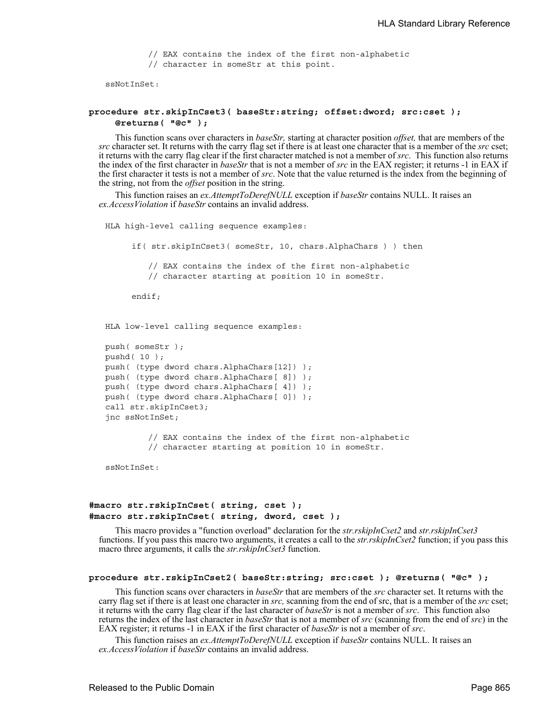// EAX contains the index of the first non-alphabetic // character in someStr at this point.

ssNotInSet:

#### **procedure str.skipInCset3( baseStr:string; offset:dword; src:cset ); @returns( "@c" );**

This function scans over characters in *baseStr,* starting at character position *offset,* that are members of the *src* character set. It returns with the carry flag set if there is at least one character that is a member of the *src* cset; it returns with the carry flag clear if the first character matched is not a member of *src*. This function also returns the index of the first character in *baseStr* that is not a member of *src* in the EAX register; it returns -1 in EAX if the first character it tests is not a member of *src*. Note that the value returned is the index from the beginning of the string, not from the *offset* position in the string.

This function raises an *ex.AttemptToDerefNULL* exception if *baseStr* contains NULL. It raises an *ex.AccessViolation* if *baseStr* contains an invalid address.

HLA high-level calling sequence examples: if( str.skipInCset3( someStr, 10, chars.AlphaChars ) ) then // EAX contains the index of the first non-alphabetic // character starting at position 10 in someStr. endif; HLA low-level calling sequence examples: push( someStr ); pushd( 10 ); push( (type dword chars.AlphaChars[12]) ); push( (type dword chars.AlphaChars[ 8]) ); push( (type dword chars.AlphaChars[ 4]) ); push( (type dword chars.AlphaChars[ 0]) ); call str.skipInCset3; jnc ssNotInSet;

> // EAX contains the index of the first non-alphabetic // character starting at position 10 in someStr.

ssNotInSet ·

## **#macro str.rskipInCset( string, cset ); #macro str.rskipInCset( string, dword, cset );**

This macro provides a "function overload" declaration for the *str.rskipInCset2* and *str.rskipInCset3* functions. If you pass this macro two arguments, it creates a call to the *str.rskipInCset2* function; if you pass this macro three arguments, it calls the *str.rskipInCset3* function.

#### **procedure str.rskipInCset2( baseStr:string; src:cset ); @returns( "@c" );**

This function scans over characters in *baseStr* that are members of the *src* character set. It returns with the carry flag set if there is at least one character in *src,* scanning from the end of src, that is a member of the *src* cset; it returns with the carry flag clear if the last character of *baseStr* is not a member of *src*. This function also returns the index of the last character in *baseStr* that is not a member of *src* (scanning from the end of *src*) in the EAX register; it returns -1 in EAX if the first character of *baseStr* is not a member of *src*.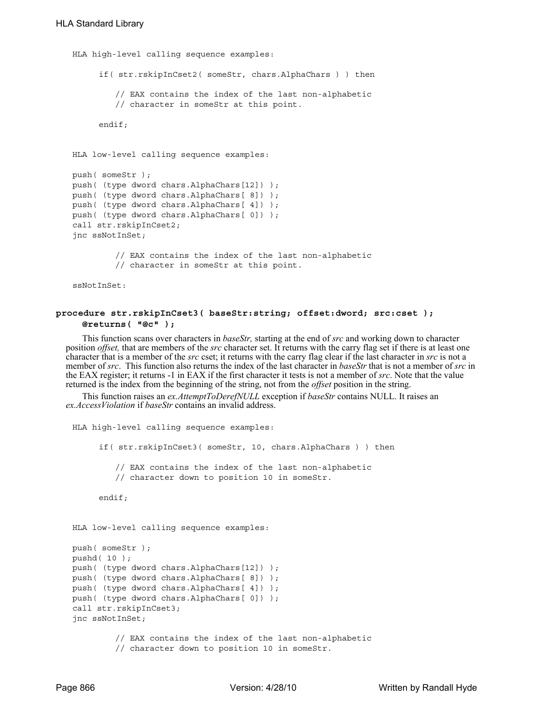```
HLA high-level calling sequence examples:
     if( str.rskipInCset2( someStr, chars.AlphaChars ) ) then
         // EAX contains the index of the last non-alphabetic
         // character in someStr at this point.
     endif;
HLA low-level calling sequence examples:
push( someStr );
push( (type dword chars.AlphaChars[12]) );
push( (type dword chars.AlphaChars[ 8]) );
push( (type dword chars.AlphaChars[ 4]) );
push( (type dword chars.AlphaChars[ 0]) );
call str.rskipInCset2;
jnc ssNotInSet;
         // EAX contains the index of the last non-alphabetic
         // character in someStr at this point.
```
ssNotInSet:

## **procedure str.rskipInCset3( baseStr:string; offset:dword; src:cset ); @returns( "@c" );**

This function scans over characters in *baseStr,* starting at the end of *src* and working down to character position *offset,* that are members of the *src* character set. It returns with the carry flag set if there is at least one character that is a member of the *src* cset; it returns with the carry flag clear if the last character in *src* is not a member of *src*. This function also returns the index of the last character in *baseStr* that is not a member of *src* in the EAX register; it returns -1 in EAX if the first character it tests is not a member of *src*. Note that the value returned is the index from the beginning of the string, not from the *offset* position in the string.

```
HLA high-level calling sequence examples:
     if( str.rskipInCset3( someStr, 10, chars.AlphaChars ) ) then
         // EAX contains the index of the last non-alphabetic
         // character down to position 10 in someStr.
     endif;
HLA low-level calling sequence examples:
push( someStr );
pushd( 10 );
push( (type dword chars.AlphaChars[12]) );
push( (type dword chars.AlphaChars[ 8]) );
push( (type dword chars.AlphaChars[ 4]) );
push( (type dword chars.AlphaChars[ 0]) );
call str.rskipInCset3;
jnc ssNotInSet;
         // EAX contains the index of the last non-alphabetic
         // character down to position 10 in someStr.
```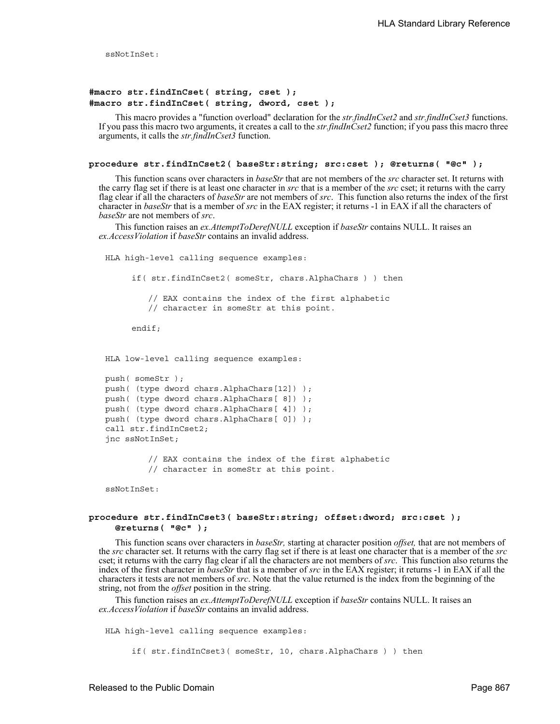ssNotInSet:

## **#macro str.findInCset( string, cset ); #macro str.findInCset( string, dword, cset );**

This macro provides a "function overload" declaration for the *str.findInCset2* and *str.findInCset3* functions. If you pass this macro two arguments, it creates a call to the *str.findInCset2* function; if you pass this macro three arguments, it calls the *str.findInCset3* function.

## **procedure str.findInCset2( baseStr:string; src:cset ); @returns( "@c" );**

This function scans over characters in *baseStr* that are not members of the *src* character set. It returns with the carry flag set if there is at least one character in *src* that is a member of the *src* cset; it returns with the carry flag clear if all the characters of *baseStr* are not members of *src*. This function also returns the index of the first character in *baseStr* that is a member of *src* in the EAX register; it returns -1 in EAX if all the characters of *baseStr* are not members of *src*.

This function raises an *ex.AttemptToDerefNULL* exception if *baseStr* contains NULL. It raises an *ex.AccessViolation* if *baseStr* contains an invalid address.

HLA high-level calling sequence examples: if( str.findInCset2( someStr, chars.AlphaChars ) ) then // EAX contains the index of the first alphabetic // character in someStr at this point. endif; HLA low-level calling sequence examples: push( someStr ); push( (type dword chars.AlphaChars[12]) ); push( (type dword chars.AlphaChars[ 8]) ); push( (type dword chars.AlphaChars[ 4]) ); push( (type dword chars.AlphaChars[ 0]) );

> // EAX contains the index of the first alphabetic // character in someStr at this point.

ssNotInSet:

call str.findInCset2; jnc ssNotInSet;

## **procedure str.findInCset3( baseStr:string; offset:dword; src:cset ); @returns( "@c" );**

This function scans over characters in *baseStr,* starting at character position *offset,* that are not members of the *src* character set. It returns with the carry flag set if there is at least one character that is a member of the *src* cset; it returns with the carry flag clear if all the characters are not members of *src*. This function also returns the index of the first character in *baseStr* that is a member of *src* in the EAX register; it returns -1 in EAX if all the characters it tests are not members of *src*. Note that the value returned is the index from the beginning of the string, not from the *offset* position in the string.

This function raises an *ex.AttemptToDerefNULL* exception if *baseStr* contains NULL. It raises an *ex.AccessViolation* if *baseStr* contains an invalid address.

HLA high-level calling sequence examples:

if( str.findInCset3( someStr, 10, chars.AlphaChars ) ) then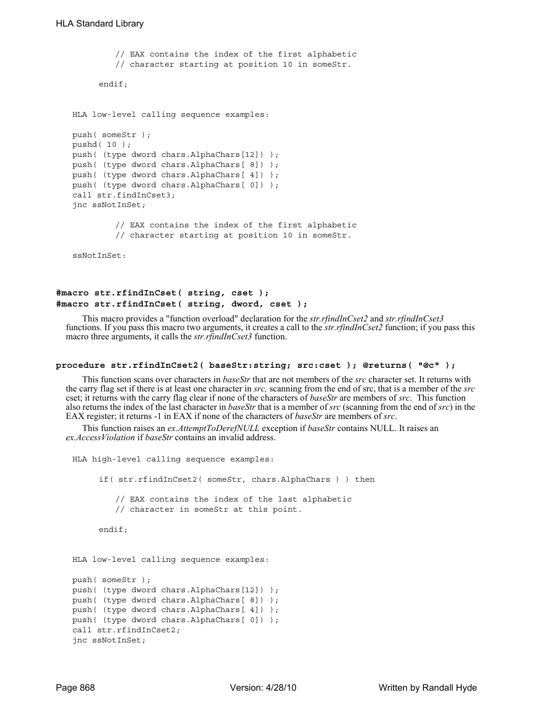```
// EAX contains the index of the first alphabetic
         // character starting at position 10 in someStr.
     endif;
HLA low-level calling sequence examples:
push( someStr );
pushd( 10 );
push( (type dword chars.AlphaChars[12]) );
push( (type dword chars.AlphaChars[ 8]) );
push( (type dword chars.AlphaChars[ 4]) );
push( (type dword chars.AlphaChars[ 0]) );
call str.findInCset3;
jnc ssNotInSet;
         // EAX contains the index of the first alphabetic
         // character starting at position 10 in someStr.
ssNotInSet:
```
## **#macro str.rfindInCset( string, cset ); #macro str.rfindInCset( string, dword, cset );**

This macro provides a "function overload" declaration for the *str.rfindInCset2* and *str.rfindInCset3* functions. If you pass this macro two arguments, it creates a call to the *str.rfindInCset2* function; if you pass this macro three arguments, it calls the *str.rfindInCset3* function.

#### **procedure str.rfindInCset2( baseStr:string; src:cset ); @returns( "@c" );**

This function scans over characters in *baseStr* that are not members of the *src* character set. It returns with the carry flag set if there is at least one character in *src,* scanning from the end of src, that is a member of the *src* cset; it returns with the carry flag clear if none of the characters of *baseStr* are members of *src*. This function also returns the index of the last character in *baseStr* that is a member of *src* (scanning from the end of *src*) in the EAX register; it returns -1 in EAX if none of the characters of *baseStr* are members of *src*.

```
HLA high-level calling sequence examples:
     if( str.rfindInCset2( someStr, chars.AlphaChars ) ) then
         // EAX contains the index of the last alphabetic
         // character in someStr at this point.
     endif;
HLA low-level calling sequence examples:
push( someStr );
push( (type dword chars.AlphaChars[12]) );
push( (type dword chars.AlphaChars[ 8]) );
push( (type dword chars.AlphaChars[ 4]) );
push( (type dword chars.AlphaChars[ 0]) );
call str.rfindInCset2;
jnc ssNotInSet;
```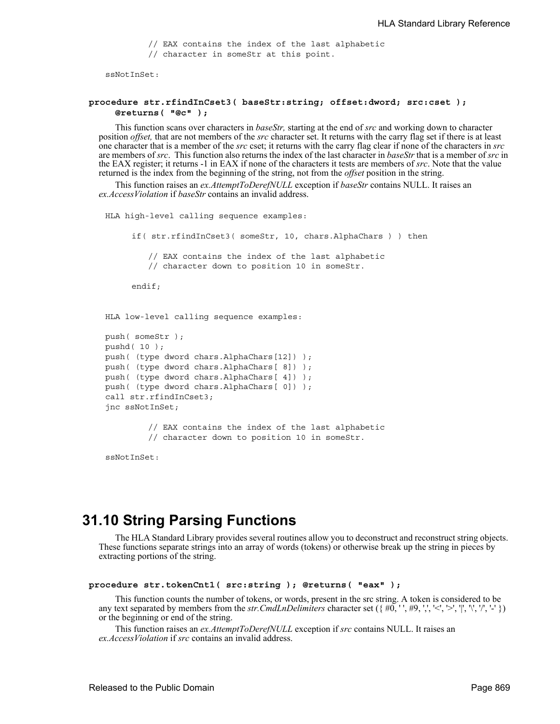// EAX contains the index of the last alphabetic

// character in someStr at this point.

ssNotInSet:

## **procedure str.rfindInCset3( baseStr:string; offset:dword; src:cset ); @returns( "@c" );**

This function scans over characters in *baseStr,* starting at the end of *src* and working down to character position *offset,* that are not members of the *src* character set. It returns with the carry flag set if there is at least one character that is a member of the *src* cset; it returns with the carry flag clear if none of the characters in *src* are members of *src*. This function also returns the index of the last character in *baseStr* that is a member of *src* in the EAX register; it returns -1 in EAX if none of the characters it tests are members of *src*. Note that the value returned is the index from the beginning of the string, not from the *offset* position in the string.

This function raises an *ex.AttemptToDerefNULL* exception if *baseStr* contains NULL. It raises an *ex.AccessViolation* if *baseStr* contains an invalid address.

```
HLA high-level calling sequence examples:
     if( str.rfindInCset3( someStr, 10, chars.AlphaChars ) ) then
        // EAX contains the index of the last alphabetic
        // character down to position 10 in someStr.
     endif;
HLA low-level calling sequence examples:
push( someStr );
pushd( 10 );
push( (type dword chars.AlphaChars[12]) );
push( (type dword chars.AlphaChars[ 8]) );
push( (type dword chars.AlphaChars[ 4]) );
push( (type dword chars.AlphaChars[ 0]) );
call str.rfindInCset3;
jnc ssNotInSet;
        // EAX contains the index of the last alphabetic
        // character down to position 10 in someStr.
```
ssNotInSet:

# **31.10 String Parsing Functions**

The HLA Standard Library provides several routines allow you to deconstruct and reconstruct string objects. These functions separate strings into an array of words (tokens) or otherwise break up the string in pieces by extracting portions of the string.

```
procedure str.tokenCnt1( src:string ); @returns( "eax" );
```
This function counts the number of tokens, or words, present in the src string. A token is considered to be any text separated by members from the *str.CmdLnDelimiters* character set  $({\#0, '', \#9, ',', '<, >', '', '', '', '', '')})$ or the beginning or end of the string.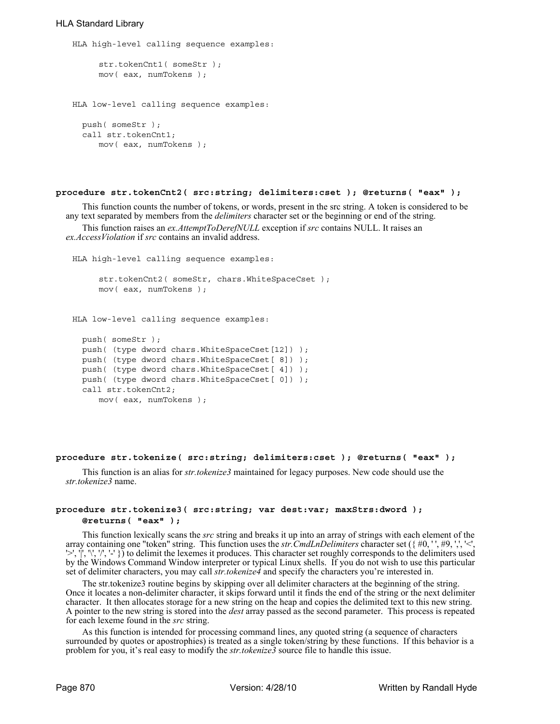## HLA Standard Library

```
HLA high-level calling sequence examples:
     str.tokenCnt1( someStr );
     mov( eax, numTokens );
HLA low-level calling sequence examples:
  push( someStr );
  call str.tokenCnt1;
     mov( eax, numTokens );
```
#### **procedure str.tokenCnt2( src:string; delimiters:cset ); @returns( "eax" );**

This function counts the number of tokens, or words, present in the src string. A token is considered to be any text separated by members from the *delimiters* character set or the beginning or end of the string.

This function raises an *ex.AttemptToDerefNULL* exception if *src* contains NULL. It raises an *ex.AccessViolation* if *src* contains an invalid address.

```
HLA high-level calling sequence examples:
     str.tokenCnt2( someStr, chars.WhiteSpaceCset );
     mov( eax, numTokens );
HLA low-level calling sequence examples:
  push( someStr );
  push( (type dword chars.WhiteSpaceCset[12]) );
  push( (type dword chars.WhiteSpaceCset[ 8]) );
 push( (type dword chars.WhiteSpaceCset[ 4]) );
 push( (type dword chars.WhiteSpaceCset[ 0]) );
  call str.tokenCnt2;
     mov( eax, numTokens );
```
#### **procedure str.tokenize( src:string; delimiters:cset ); @returns( "eax" );**

This function is an alias for *str.tokenize3* maintained for legacy purposes. New code should use the *str.tokenize3* name.

## **procedure str.tokenize3( src:string; var dest:var; maxStrs:dword ); @returns( "eax" );**

This function lexically scans the *src* string and breaks it up into an array of strings with each element of the array containing one "token" string. This function uses the *str*.CmdLnDelimiters character set ({#0,'',#9,', '>', '|', '\', '/', '-' }) to delimit the lexemes it produces. This character set roughly corresponds to the delimiters used by the Windows Command Window interpreter or typical Linux shells. If you do not wish to use this particular set of delimiter characters, you may call *str.tokenize4* and specify the characters you're interested in.

The str.tokenize3 routine begins by skipping over all delimiter characters at the beginning of the string. Once it locates a non-delimiter character, it skips forward until it finds the end of the string or the next delimiter character. It then allocates storage for a new string on the heap and copies the delimited text to this new string. A pointer to the new string is stored into the *dest* array passed as the second parameter. This process is repeated for each lexeme found in the *src* string.

As this function is intended for processing command lines, any quoted string (a sequence of characters surrounded by quotes or apostrophies) is treated as a single token/string by these functions. If this behavior is a problem for you, it's real easy to modify the *str.tokenize3* source file to handle this issue.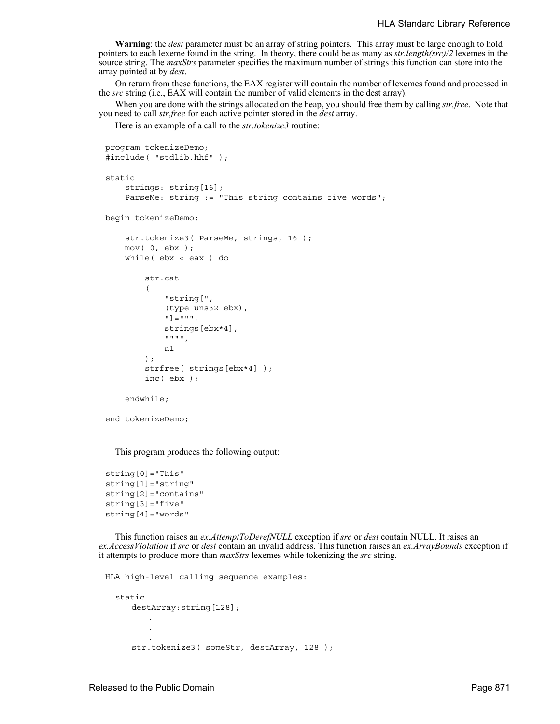**Warning**: the *dest* parameter must be an array of string pointers. This array must be large enough to hold pointers to each lexeme found in the string. In theory, there could be as many as *str.length(src)/2* lexemes in the source string. The *maxStrs* parameter specifies the maximum number of strings this function can store into the array pointed at by *dest*.

On return from these functions, the EAX register will contain the number of lexemes found and processed in the *src* string (i.e., EAX will contain the number of valid elements in the dest array).

When you are done with the strings allocated on the heap, you should free them by calling *str.free*. Note that you need to call *str.free* for each active pointer stored in the *dest* array.

Here is an example of a call to the *str.tokenize3* routine:

```
program tokenizeDemo;
#include( "stdlib.hhf" );
static
     strings: string[16];
    ParseMe: string := "This string contains five words";
begin tokenizeDemo;
     str.tokenize3( ParseMe, strings, 16 );
     mov( 0, ebx );
     while( ebx < eax ) do
         str.cat
\overline{\phantom{a}} "string[", 
              (type uns32 ebx), 
              "]=""", 
              strings[ebx*4], 
              """", 
              nl 
         );
          strfree( strings[ebx*4] );
          inc( ebx );
     endwhile;
end tokenizeDemo;
```
This program produces the following output:

```
string[0]="This"
string[1]="string"
string[2]="contains"
string[3]="five"
string[4]="words"
```
This function raises an *ex.AttemptToDerefNULL* exception if *src* or *dest* contain NULL. It raises an *ex.AccessViolation* if *src* or *dest* contain an invalid address. This function raises an *ex.ArrayBounds* exception if it attempts to produce more than *maxStrs* lexemes while tokenizing the *src* string.

```
HLA high-level calling sequence examples:
  static
     destArray:string[128];
         .
         .
         .
     str.tokenize3( someStr, destArray, 128 );
```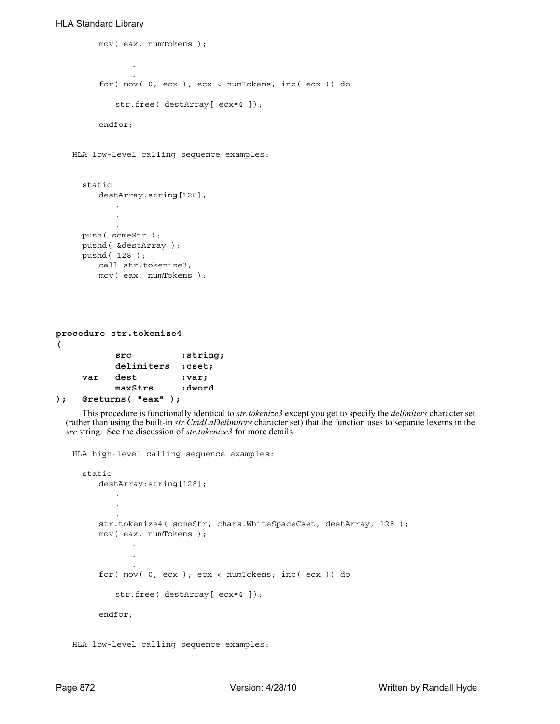## HLA Standard Library

```
mov( eax, numTokens );
             .
             .
             .
     for( mov( 0, ecx ); ecx < numTokens; inc( ecx )) do
         str.free( destArray[ ecx*4 ]);
     endfor;
HLA low-level calling sequence examples:
  static
     destArray:string[128];
         .
         .
         .
  push( someStr );
  pushd( &destArray );
  pushd( 128 );
     call str.tokenize3;
     mov( eax, numTokens );
```

```
procedure str.tokenize4
( 
         src :string; 
         delimiters :cset;
    var dest :var;
         maxStrs :dword 
); @returns( "eax" );
```
This procedure is functionally identical to *str.tokenize3* except you get to specify the *delimiters* character set (rather than using the built-in *str.CmdLnDelimiters* character set) that the function uses to separate lexems in the *src* string. See the discussion of *str.tokenize3* for more details.

```
HLA high-level calling sequence examples:
  static
     destArray:string[128];
         .
         .
         .
     str.tokenize4( someStr, chars.WhiteSpaceCset, destArray, 128 );
     mov( eax, numTokens );
             .
             .
             .
     for( mov( 0, ecx ); ecx < numTokens; inc( ecx )) do
         str.free( destArray[ ecx*4 ]);
     endfor;
```
HLA low-level calling sequence examples: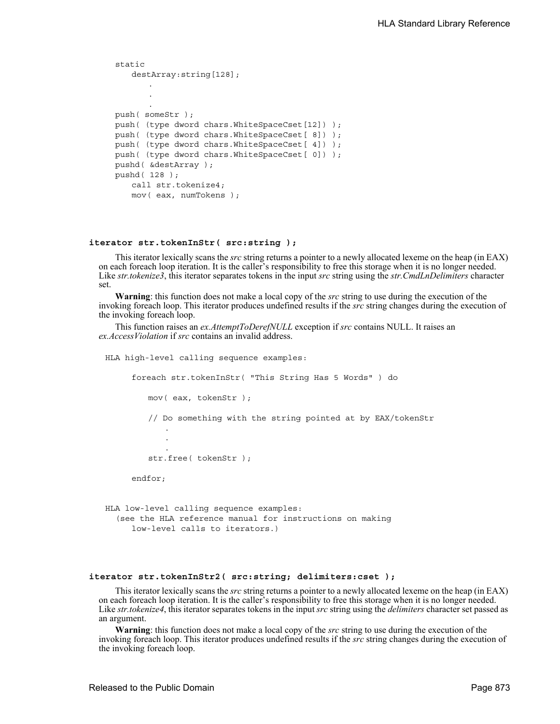```
static
   destArray:string[128];
       .
       .
       .
push( someStr );
push( (type dword chars.WhiteSpaceCset[12]) );
push( (type dword chars.WhiteSpaceCset[ 8]) );
push( (type dword chars.WhiteSpaceCset[ 4]) );
push( (type dword chars.WhiteSpaceCset[ 0]) );
pushd( &destArray );
pushd( 128 );
   call str.tokenize4;
   mov( eax, numTokens );
```
#### **iterator str.tokenInStr( src:string );**

This iterator lexically scans the *src* string returns a pointer to a newly allocated lexeme on the heap (in EAX) on each foreach loop iteration. It is the caller's responsibility to free this storage when it is no longer needed. Like *str.tokenize3*, this iterator separates tokens in the input *src* string using the *str.CmdLnDelimiters* character set.

**Warning**: this function does not make a local copy of the *src* string to use during the execution of the invoking foreach loop. This iterator produces undefined results if the *src* string changes during the execution of the invoking foreach loop.

This function raises an *ex.AttemptToDerefNULL* exception if *src* contains NULL. It raises an *ex.AccessViolation* if *src* contains an invalid address.

```
HLA high-level calling sequence examples:
     foreach str.tokenInStr( "This String Has 5 Words" ) do
         mov( eax, tokenStr );
         // Do something with the string pointed at by EAX/tokenStr
            .
            .
            .
         str.free( tokenStr );
     endfor;
HLA low-level calling sequence examples:
  (see the HLA reference manual for instructions on making
     low-level calls to iterators.)
```
#### **iterator str.tokenInStr2( src:string; delimiters:cset );**

This iterator lexically scans the *src* string returns a pointer to a newly allocated lexeme on the heap (in EAX) on each foreach loop iteration. It is the caller's responsibility to free this storage when it is no longer needed. Like *str.tokenize4*, this iterator separates tokens in the input *src* string using the *delimiters* character set passed as an argument.

**Warning**: this function does not make a local copy of the *src* string to use during the execution of the invoking foreach loop. This iterator produces undefined results if the *src* string changes during the execution of the invoking foreach loop.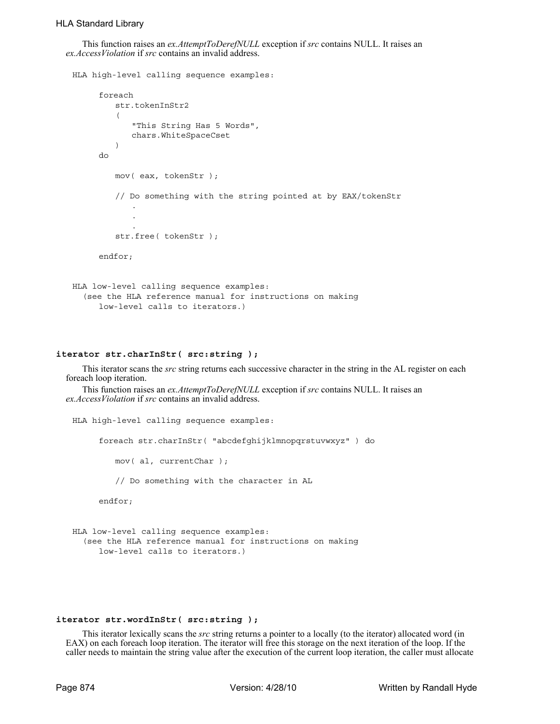This function raises an *ex.AttemptToDerefNULL* exception if *src* contains NULL. It raises an *ex.AccessViolation* if *src* contains an invalid address.

```
HLA high-level calling sequence examples:
      foreach 
         str.tokenInStr2
         ( 
             "This String Has 5 Words", 
            chars.WhiteSpaceCset 
         ) 
     do
         mov( eax, tokenStr );
         // Do something with the string pointed at by EAX/tokenStr
             .
             .
             .
         str.free( tokenStr );
      endfor;
HLA low-level calling sequence examples:
  (see the HLA reference manual for instructions on making
```
## low-level calls to iterators.)

#### **iterator str.charInStr( src:string );**

This iterator scans the *src* string returns each successive character in the string in the AL register on each foreach loop iteration.

This function raises an *ex.AttemptToDerefNULL* exception if *src* contains NULL. It raises an *ex.AccessViolation* if *src* contains an invalid address.

```
HLA high-level calling sequence examples:
     foreach str.charInStr( "abcdefghijklmnopqrstuvwxyz" ) do
        mov( al, currentChar );
        // Do something with the character in AL
     endfor;
```

```
HLA low-level calling sequence examples:
  (see the HLA reference manual for instructions on making
     low-level calls to iterators.)
```
#### **iterator str.wordInStr( src:string );**

This iterator lexically scans the *src* string returns a pointer to a locally (to the iterator) allocated word (in EAX) on each foreach loop iteration. The iterator will free this storage on the next iteration of the loop. If the caller needs to maintain the string value after the execution of the current loop iteration, the caller must allocate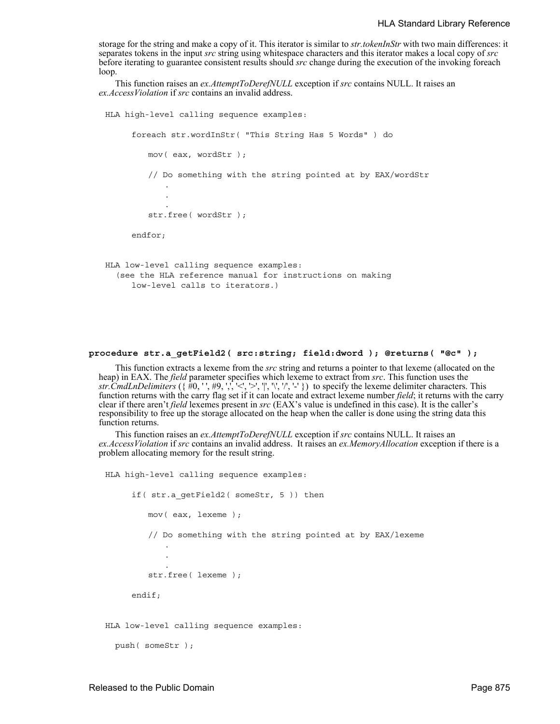storage for the string and make a copy of it. This iterator is similar to *str.tokenInStr* with two main differences: it separates tokens in the input *src* string using whitespace characters and this iterator makes a local copy of *src* before iterating to guarantee consistent results should *src* change during the execution of the invoking foreach loop.

This function raises an *ex.AttemptToDerefNULL* exception if *src* contains NULL. It raises an *ex.AccessViolation* if *src* contains an invalid address.

```
HLA high-level calling sequence examples:
     foreach str.wordInStr( "This String Has 5 Words" ) do
        mov( eax, wordStr );
         // Do something with the string pointed at by EAX/wordStr
            .
            .
            .
         str.free( wordStr );
     endfor;
HLA low-level calling sequence examples:
  (see the HLA reference manual for instructions on making
     low-level calls to iterators.)
```
#### **procedure str.a\_getField2( src:string; field:dword ); @returns( "@c" );**

This function extracts a lexeme from the *src* string and returns a pointer to that lexeme (allocated on the heap) in EAX. The *field* parameter specifies which lexeme to extract from *src*. This function uses the *str.CmdLnDelimiters* ({ $#0, '', #9, '', '<, '>, ''', '', '-'$ }) to specify the lexeme delimiter characters. This function returns with the carry flag set if it can locate and extract lexeme number *field*; it returns with the carry clear if there aren't *field* lexemes present in *src* (EAX's value is undefined in this case). It is the caller's responsibility to free up the storage allocated on the heap when the caller is done using the string data this function returns.

This function raises an *ex.AttemptToDerefNULL* exception if *src* contains NULL. It raises an *ex.AccessViolation* if *src* contains an invalid address. It raises an *ex.MemoryAllocation* exception if there is a problem allocating memory for the result string.

```
HLA high-level calling sequence examples:
     if( str.a_getField2( someStr, 5 )) then
        mov( eax, lexeme );
         // Do something with the string pointed at by EAX/lexeme
            .
            .
            .
         str.free( lexeme );
     endif;
```
HLA low-level calling sequence examples:

```
push( someStr );
```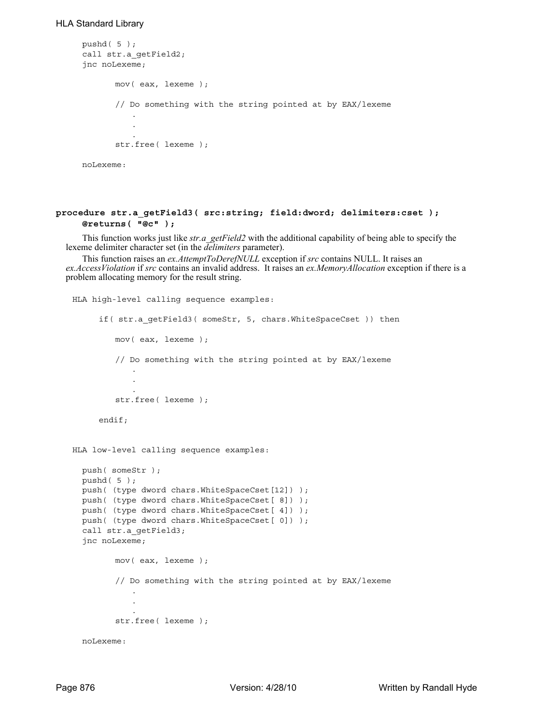## HLA Standard Library

```
pushd( 5 );
call str.a_getField2;
jnc noLexeme;
       mov( eax, lexeme );
       // Do something with the string pointed at by EAX/lexeme
          .
          .
          .
       str.free( lexeme );
noLexeme:
```
## **procedure str.a\_getField3( src:string; field:dword; delimiters:cset ); @returns( "@c" );**

This function works just like *str.a\_getField2* with the additional capability of being able to specify the lexeme delimiter character set (in the *delimiters* parameter).

This function raises an *ex.AttemptToDerefNULL* exception if *src* contains NULL. It raises an *ex.AccessViolation* if *src* contains an invalid address. It raises an *ex.MemoryAllocation* exception if there is a problem allocating memory for the result string.

```
HLA high-level calling sequence examples:
     if( str.a getField3( someStr, 5, chars.WhiteSpaceCset )) then
        mov( eax, lexeme );
         // Do something with the string pointed at by EAX/lexeme
            .
            .
            .
         str.free( lexeme );
     endif;
HLA low-level calling sequence examples:
 push( someStr );
 pushd( 5 );
 push( (type dword chars.WhiteSpaceCset[12]) );
 push( (type dword chars.WhiteSpaceCset[ 8]) );
 push( (type dword chars.WhiteSpaceCset[ 4]) );
  push( (type dword chars.WhiteSpaceCset[ 0]) );
  call str.a getField3;
  jnc noLexeme;
        mov( eax, lexeme );
         // Do something with the string pointed at by EAX/lexeme
            .
            .
            .
         str.free( lexeme );
  noLexeme:
```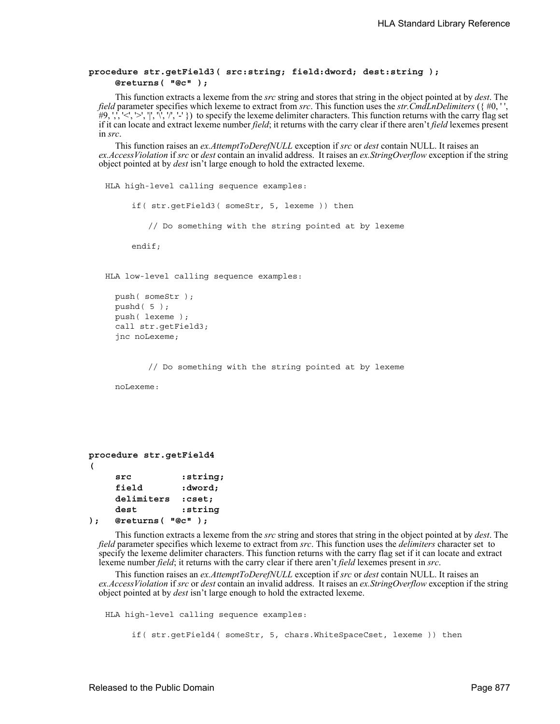## **procedure str.getField3( src:string; field:dword; dest:string ); @returns( "@c" );**

This function extracts a lexeme from the *src* string and stores that string in the object pointed at by *dest*. The *field* parameter specifies which lexeme to extract from *src*. This function uses the *str.CmdLnDelimiters* ({ #0, ' ',  $\#9, \frac{1}{2}$ ,  $\frac{1}{2}$ ,  $\frac{1}{2}$ ,  $\frac{1}{2}$ ,  $\frac{1}{2}$ ,  $\frac{1}{2}$ ,  $\frac{1}{2}$  to specify the lexeme delimiter characters. This function returns with the carry flag set if it can locate and extract lexeme number *field*; it returns with the carry clear if there aren't *field* lexemes present in *src*.

This function raises an *ex.AttemptToDerefNULL* exception if *src* or *dest* contain NULL. It raises an *ex.AccessViolation* if *src* or *dest* contain an invalid address. It raises an *ex.StringOverflow* exception if the string object pointed at by *dest* isn't large enough to hold the extracted lexeme.

HLA high-level calling sequence examples:

if( str.getField3( someStr, 5, lexeme )) then

// Do something with the string pointed at by lexeme

endif;

HLA low-level calling sequence examples:

```
push( someStr );
pushd( 5 );
push( lexeme );
call str.getField3;
jnc noLexeme;
```
// Do something with the string pointed at by lexeme

noLexeme:

```
( 
    src :string; 
    field :dword; 
    delimiters :cset;
```
**dest :string** 

**procedure str.getField4**

**); @returns( "@c" );** This function extracts a lexeme from the *src* string and stores that string in the object pointed at by *dest*. The *field* parameter specifies which lexeme to extract from *src*. This function uses the *delimiters* character set to specify the lexeme delimiter characters. This function returns with the carry flag set if it can locate and extract

lexeme number *field*; it returns with the carry clear if there aren't *field* lexemes present in *src*. This function raises an *ex.AttemptToDerefNULL* exception if *src* or *dest* contain NULL. It raises an *ex.AccessViolation* if *src* or *dest* contain an invalid address. It raises an *ex.StringOverflow* exception if the string object pointed at by *dest* isn't large enough to hold the extracted lexeme.

HLA high-level calling sequence examples: if( str.getField4( someStr, 5, chars.WhiteSpaceCset, lexeme )) then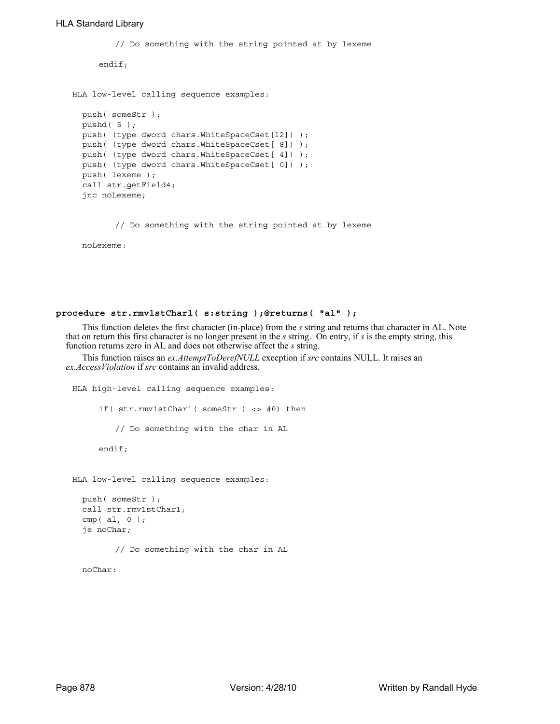```
// Do something with the string pointed at by lexeme
     endif;
HLA low-level calling sequence examples:
  push( someStr );
 pushd( 5 );
  push( (type dword chars.WhiteSpaceCset[12]) );
  push( (type dword chars.WhiteSpaceCset[ 8]) );
 push( (type dword chars.WhiteSpaceCset[ 4]) );
 push( (type dword chars.WhiteSpaceCset[ 0]) );
 push( lexeme );
 call str.getField4;
  jnc noLexeme;
```
// Do something with the string pointed at by lexeme

noLexeme:

## **procedure str.rmv1stChar1( s:string );@returns( "al" );**

This function deletes the first character (in-place) from the *s* string and returns that character in AL. Note that on return this first character is no longer present in the *s* string. On entry, if *s* is the empty string, this function returns zero in AL and does not otherwise affect the *s* string.

This function raises an *ex.AttemptToDerefNULL* exception if *src* contains NULL. It raises an *ex.AccessViolation* if *src* contains an invalid address.

```
HLA high-level calling sequence examples:
     if( str.rmv1stChar1( someStr ) <> #0) then
        // Do something with the char in AL
     endif;
HLA low-level calling sequence examples:
 push( someStr );
 call str.rmv1stChar1;
 cmp(al, 0);
```
je noChar;

// Do something with the char in AL

noChar: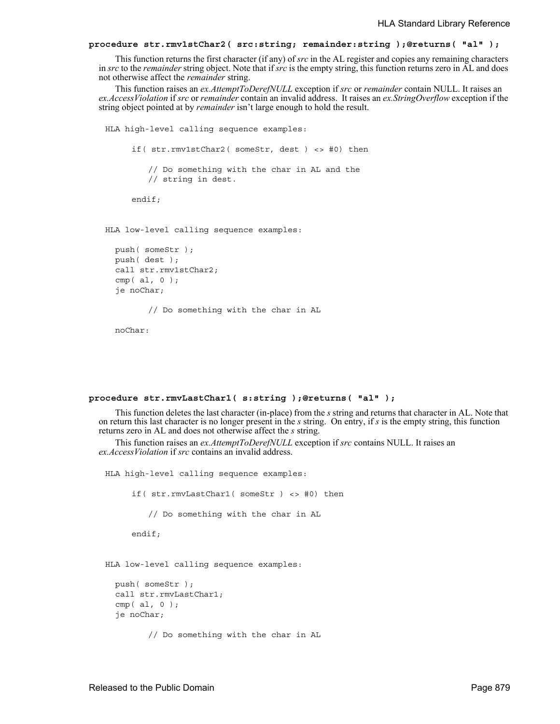## **procedure str.rmv1stChar2( src:string; remainder:string );@returns( "al" );**

This function returns the first character (if any) of *src* in the AL register and copies any remaining characters in *src* to the *remainder* string object. Note that if *src* is the empty string, this function returns zero in AL and does not otherwise affect the *remainder* string.

This function raises an *ex.AttemptToDerefNULL* exception if *src* or *remainder* contain NULL. It raises an *ex.AccessViolation* if *src* or *remainder* contain an invalid address. It raises an *ex.StringOverflow* exception if the string object pointed at by *remainder* isn't large enough to hold the result.

```
HLA high-level calling sequence examples:
     if( str.rmv1stChar2( someStr, dest ) <> #0) then
        // Do something with the char in AL and the
        // string in dest.
     endif;
HLA low-level calling sequence examples:
 push( someStr );
 push( dest );
 call str.rmv1stChar2;
  cmp(al, 0);
```
je noChar;

// Do something with the char in AL

noChar:

#### **procedure str.rmvLastChar1( s:string );@returns( "al" );**

This function deletes the last character (in-place) from the *s* string and returns that character in AL. Note that on return this last character is no longer present in the *s* string. On entry, if *s* is the empty string, this function returns zero in AL and does not otherwise affect the *s* string.

This function raises an *ex.AttemptToDerefNULL* exception if *src* contains NULL. It raises an *ex.AccessViolation* if *src* contains an invalid address.

HLA high-level calling sequence examples:

if( str.rmvLastChar1( someStr ) <> #0) then

// Do something with the char in AL

endif;

HLA low-level calling sequence examples:

```
push( someStr );
call str.rmvLastChar1;
cmp( al, 0 );
je noChar;
```
// Do something with the char in AL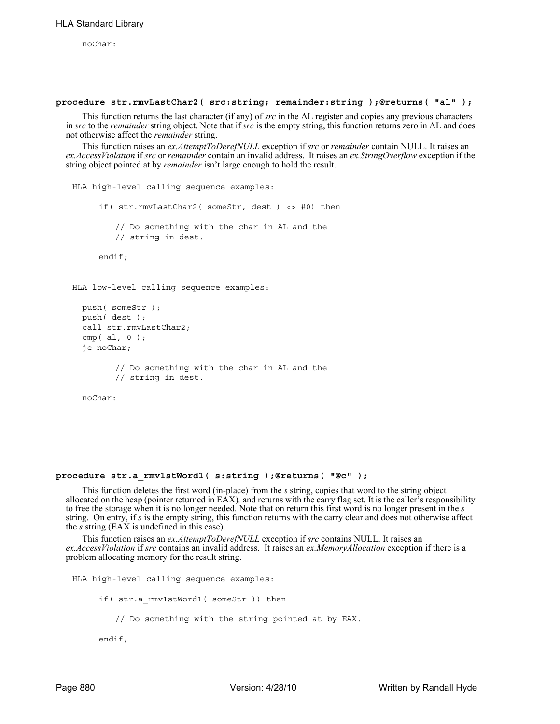noChar:

#### **procedure str.rmvLastChar2( src:string; remainder:string );@returns( "al" );**

This function returns the last character (if any) of *src* in the AL register and copies any previous characters in *src* to the *remainder* string object. Note that if *src* is the empty string, this function returns zero in AL and does not otherwise affect the *remainder* string.

This function raises an *ex.AttemptToDerefNULL* exception if *src* or *remainder* contain NULL. It raises an *ex.AccessViolation* if *src* or *remainder* contain an invalid address. It raises an *ex.StringOverflow* exception if the string object pointed at by *remainder* isn't large enough to hold the result.

```
HLA high-level calling sequence examples:
     if( str.rmvLastChar2( someStr, dest ) <> #0) then
         // Do something with the char in AL and the
         // string in dest.
     endif;
HLA low-level calling sequence examples:
  push( someStr );
  push( dest );
  call str.rmvLastChar2;
  cmp( al, 0 );
  je noChar;
         // Do something with the char in AL and the
         // string in dest.
  noChar:
```
#### **procedure str.a\_rmv1stWord1( s:string );@returns( "@c" );**

This function deletes the first word (in-place) from the *s* string, copies that word to the string object allocated on the heap (pointer returned in EAX)*,* and returns with the carry flag set. It is the caller's responsibility to free the storage when it is no longer needed. Note that on return this first word is no longer present in the *s* string. On entry, if *s* is the empty string, this function returns with the carry clear and does not otherwise affect the *s* string (EAX is undefined in this case).

This function raises an *ex.AttemptToDerefNULL* exception if *src* contains NULL. It raises an *ex.AccessViolation* if *src* contains an invalid address. It raises an *ex.MemoryAllocation* exception if there is a problem allocating memory for the result string.

```
HLA high-level calling sequence examples:
     if( str.a_rmv1stWord1( someStr )) then
        // Do something with the string pointed at by EAX.
     endif;
```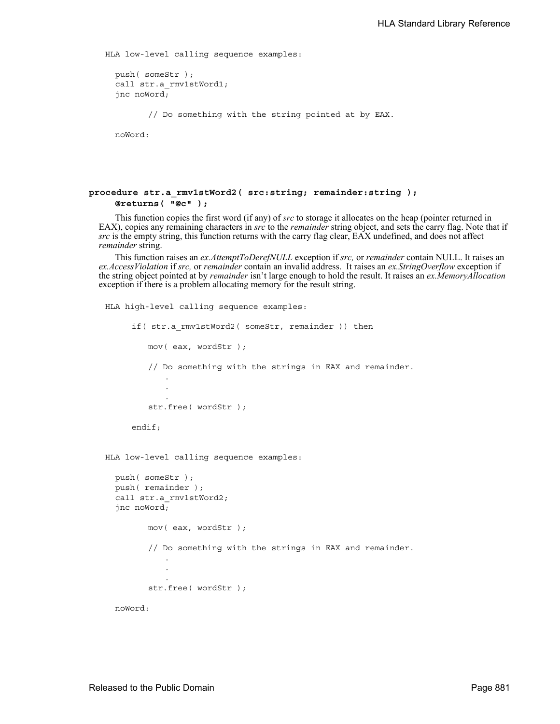HLA low-level calling sequence examples:

```
push( someStr );
call str.a rmv1stWord1;
jnc noWord;
```
// Do something with the string pointed at by EAX.

noWord:

## **procedure str.a\_rmv1stWord2( src:string; remainder:string ); @returns( "@c" );**

This function copies the first word (if any) of *src* to storage it allocates on the heap (pointer returned in EAX), copies any remaining characters in *src* to the *remainder* string object, and sets the carry flag. Note that if *src* is the empty string, this function returns with the carry flag clear, EAX undefined, and does not affect *remainder* string.

This function raises an *ex.AttemptToDerefNULL* exception if *src,* or *remainder* contain NULL. It raises an *ex.AccessViolation* if *src,* or *remainder* contain an invalid address. It raises an *ex.StringOverflow* exception if the string object pointed at by *remainder* isn't large enough to hold the result. It raises an *ex.MemoryAllocation* exception if there is a problem allocating memory for the result string.

```
HLA high-level calling sequence examples:
     if( str.a rmv1stWord2( someStr, remainder )) then
         mov( eax, wordStr );
         // Do something with the strings in EAX and remainder.
            .
            .
            .
         str.free( wordStr );
     endif;
HLA low-level calling sequence examples:
  push( someStr );
  push( remainder );
  call str.a rmv1stWord2;
  jnc noWord;
         mov( eax, wordStr );
         // Do something with the strings in EAX and remainder.
            .
            .
            .
         str.free( wordStr );
  noWord:
```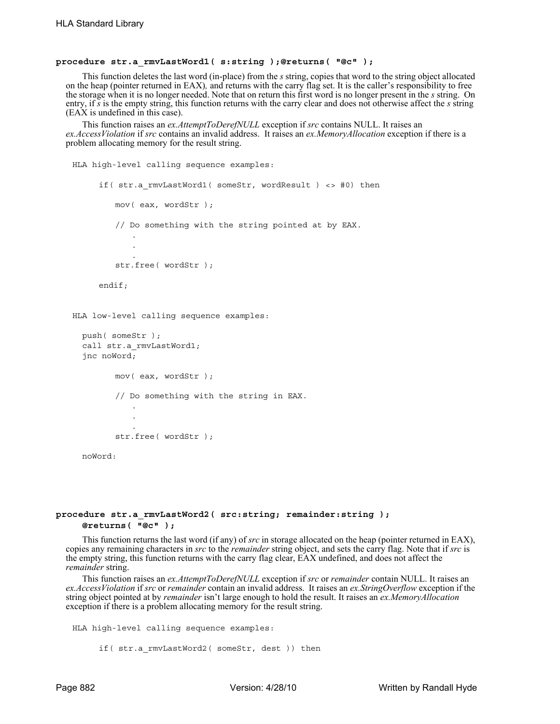## **procedure str.a\_rmvLastWord1( s:string );@returns( "@c" );**

This function deletes the last word (in-place) from the *s* string, copies that word to the string object allocated on the heap (pointer returned in EAX)*,* and returns with the carry flag set. It is the caller's responsibility to free the storage when it is no longer needed. Note that on return this first word is no longer present in the *s* string. On entry, if *s* is the empty string, this function returns with the carry clear and does not otherwise affect the *s* string (EAX is undefined in this case).

This function raises an *ex.AttemptToDerefNULL* exception if *src* contains NULL. It raises an *ex.AccessViolation* if *src* contains an invalid address. It raises an *ex.MemoryAllocation* exception if there is a problem allocating memory for the result string.

```
HLA high-level calling sequence examples:
     if( str.a_rmvLastWord1( someStr, wordResult ) <> #0) then
        mov( eax, wordStr );
         // Do something with the string pointed at by EAX.
            .
            .
            .
         str.free( wordStr );
     endif;
HLA low-level calling sequence examples:
  push( someStr );
  call str.a rmvLastWord1;
  jnc noWord;
        mov( eax, wordStr );
         // Do something with the string in EAX.
            .
            .
            .
         str.free( wordStr );
  noWord:
```
## **procedure str.a\_rmvLastWord2( src:string; remainder:string ); @returns( "@c" );**

This function returns the last word (if any) of *src* in storage allocated on the heap (pointer returned in EAX), copies any remaining characters in *src* to the *remainder* string object, and sets the carry flag. Note that if *src* is the empty string, this function returns with the carry flag clear, EAX undefined, and does not affect the *remainder* string.

This function raises an *ex.AttemptToDerefNULL* exception if *src* or *remainder* contain NULL. It raises an *ex.AccessViolation* if *src* or *remainder* contain an invalid address. It raises an *ex.StringOverflow* exception if the string object pointed at by *remainder* isn't large enough to hold the result. It raises an *ex.MemoryAllocation* exception if there is a problem allocating memory for the result string.

```
HLA high-level calling sequence examples:
```

```
if( str.a rmvLastWord2( someStr, dest )) then
```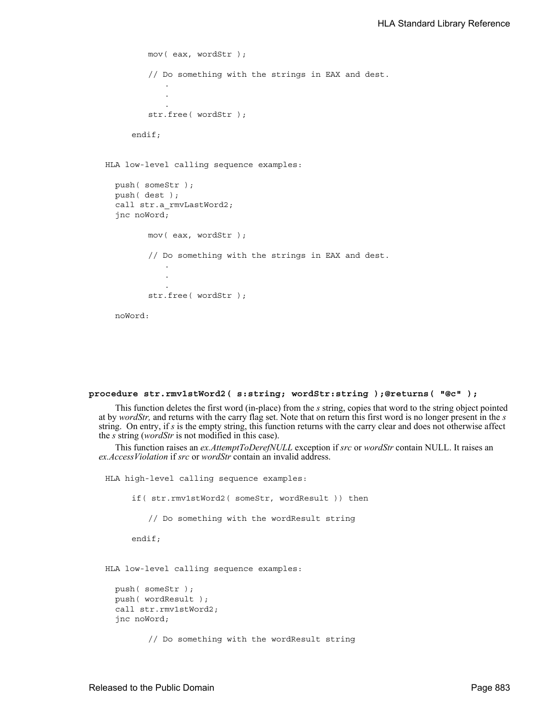```
mov( eax, wordStr );
   // Do something with the strings in EAX and dest.
       .
       .
       .
   str.free( wordStr );
endif;
```
HLA low-level calling sequence examples:

```
push( someStr );
push( dest );
call str.a_rmvLastWord2;
jnc noWord;
       mov( eax, wordStr );
       // Do something with the strings in EAX and dest.
          .
          .
          .
       str.free( wordStr );
noWord:
```

```
procedure str.rmv1stWord2( s:string; wordStr:string );@returns( "@c" );
```
This function deletes the first word (in-place) from the *s* string, copies that word to the string object pointed at by *wordStr,* and returns with the carry flag set. Note that on return this first word is no longer present in the *s* string. On entry, if *s* is the empty string, this function returns with the carry clear and does not otherwise affect the *s* string (*wordStr* is not modified in this case).

```
HLA high-level calling sequence examples:
     if( str.rmv1stWord2( someStr, wordResult )) then
         // Do something with the wordResult string
     endif;
HLA low-level calling sequence examples:
  push( someStr );
  push( wordResult );
  call str.rmv1stWord2;
  jnc noWord;
         // Do something with the wordResult string
```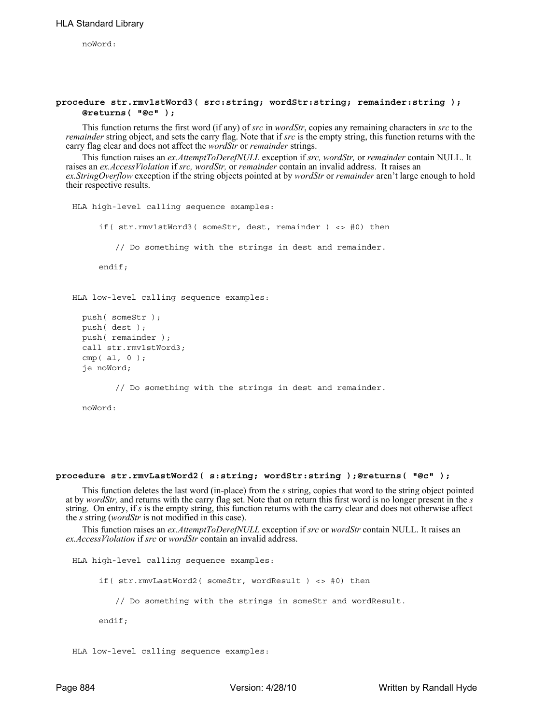noWord:

## **procedure str.rmv1stWord3( src:string; wordStr:string; remainder:string ); @returns( "@c" );**

This function returns the first word (if any) of *src* in *wordStr*, copies any remaining characters in *src* to the *remainder* string object, and sets the carry flag. Note that if *src* is the empty string, this function returns with the carry flag clear and does not affect the *wordStr* or *remainder* strings.

This function raises an *ex.AttemptToDerefNULL* exception if *src, wordStr,* or *remainder* contain NULL. It raises an *ex.AccessViolation* if *src, wordStr,* or *remainder* contain an invalid address. It raises an *ex.StringOverflow* exception if the string objects pointed at by *wordStr* or *remainder* aren't large enough to hold their respective results.

```
HLA high-level calling sequence examples:
     if( str.rmv1stWord3( someStr, dest, remainder ) <> #0) then
         // Do something with the strings in dest and remainder.
     endif;
HLA low-level calling sequence examples:
  push( someStr );
  push( dest );
  push( remainder );
  call str.rmv1stWord3;
  cmp( al, 0 );
  je noWord;
```
// Do something with the strings in dest and remainder.

noWord:

#### **procedure str.rmvLastWord2( s:string; wordStr:string );@returns( "@c" );**

This function deletes the last word (in-place) from the *s* string, copies that word to the string object pointed at by *wordStr,* and returns with the carry flag set. Note that on return this first word is no longer present in the *s* string. On entry, if *s* is the empty string, this function returns with the carry clear and does not otherwise affect the *s* string (*wordStr* is not modified in this case).

This function raises an *ex.AttemptToDerefNULL* exception if *src* or *wordStr* contain NULL. It raises an *ex.AccessViolation* if *src* or *wordStr* contain an invalid address.

HLA high-level calling sequence examples: if( str.rmvLastWord2( someStr, wordResult ) <> #0) then // Do something with the strings in someStr and wordResult. endif;

```
HLA low-level calling sequence examples:
```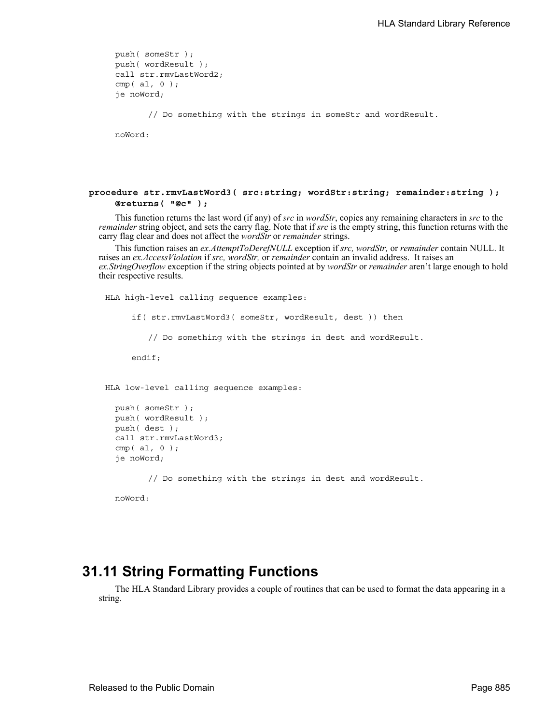```
push( someStr );
push( wordResult );
call str.rmvLastWord2;
cmp( al, 0 );
je noWord;
```
// Do something with the strings in someStr and wordResult.

noWord:

## **procedure str.rmvLastWord3( src:string; wordStr:string; remainder:string ); @returns( "@c" );**

This function returns the last word (if any) of *src* in *wordStr*, copies any remaining characters in *src* to the *remainder* string object, and sets the carry flag. Note that if *src* is the empty string, this function returns with the carry flag clear and does not affect the *wordStr* or *remainder* strings.

This function raises an *ex.AttemptToDerefNULL* exception if *src, wordStr,* or *remainder* contain NULL. It raises an *ex.AccessViolation* if *src, wordStr,* or *remainder* contain an invalid address. It raises an *ex.StringOverflow* exception if the string objects pointed at by *wordStr* or *remainder* aren't large enough to hold their respective results.

HLA high-level calling sequence examples:

if( str.rmvLastWord3( someStr, wordResult, dest )) then

// Do something with the strings in dest and wordResult.

endif;

HLA low-level calling sequence examples:

```
push( someStr );
push( wordResult );
push( dest );
call str.rmvLastWord3;
cmp( al, 0 );
je noWord;
```
// Do something with the strings in dest and wordResult.

noWord:

# **31.11 String Formatting Functions**

The HLA Standard Library provides a couple of routines that can be used to format the data appearing in a string.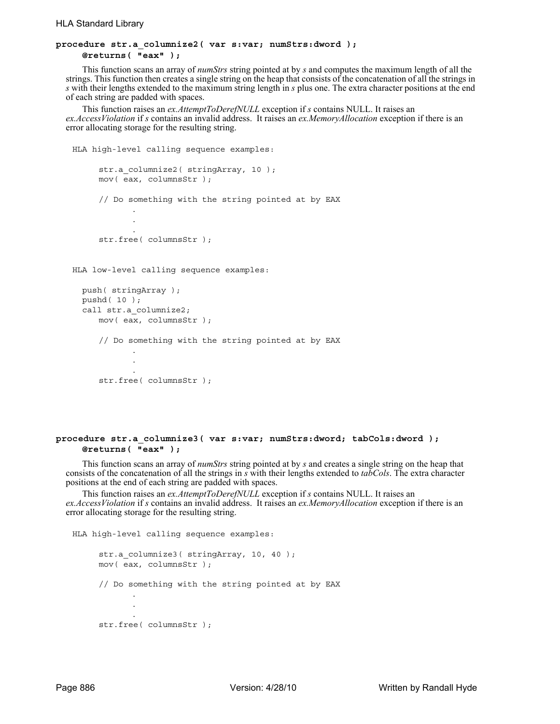## **procedure str.a\_columnize2( var s:var; numStrs:dword ); @returns( "eax" );**

This function scans an array of *numStrs* string pointed at by *s* and computes the maximum length of all the strings. This function then creates a single string on the heap that consists of the concatenation of all the strings in *s* with their lengths extended to the maximum string length in *s* plus one. The extra character positions at the end of each string are padded with spaces.

This function raises an *ex.AttemptToDerefNULL* exception if *s* contains NULL. It raises an *ex.AccessViolation* if *s* contains an invalid address. It raises an *ex.MemoryAllocation* exception if there is an error allocating storage for the resulting string.

```
HLA high-level calling sequence examples:
     str.a_columnize2( stringArray, 10 );
     mov( eax, columnsStr );
     // Do something with the string pointed at by EAX
            .
            .
            .
     str.free( columnsStr );
HLA low-level calling sequence examples:
  push( stringArray );
```

```
pushd( 10 );
call str.a_columnize2;
   mov( eax, columnsStr );
   // Do something with the string pointed at by EAX
           .
           .
           .
   str.free( columnsStr );
```
## **procedure str.a\_columnize3( var s:var; numStrs:dword; tabCols:dword ); @returns( "eax" );**

This function scans an array of *numStrs* string pointed at by *s* and creates a single string on the heap that consists of the concatenation of all the strings in *s* with their lengths extended to *tabCols*. The extra character positions at the end of each string are padded with spaces.

This function raises an *ex.AttemptToDerefNULL* exception if *s* contains NULL. It raises an *ex.AccessViolation* if *s* contains an invalid address. It raises an *ex.MemoryAllocation* exception if there is an error allocating storage for the resulting string.

```
HLA high-level calling sequence examples:
     str.a columnize3( stringArray, 10, 40 );
     mov( eax, columnsStr );
     // Do something with the string pointed at by EAX
            .
            .
            .
     str.free( columnsStr );
```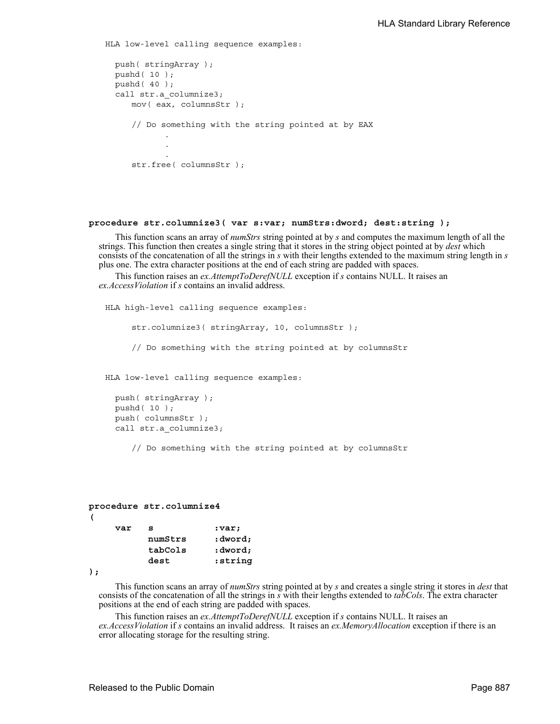```
HLA low-level calling sequence examples:
  push( stringArray );
  pushd( 10 );
  pushd( 40 );
  call str.a columnize3;
     mov( eax, columnsStr );
     // Do something with the string pointed at by EAX
            .
            .
            .
     str.free( columnsStr );
```
## **procedure str.columnize3( var s:var; numStrs:dword; dest:string );**

This function scans an array of *numStrs* string pointed at by *s* and computes the maximum length of all the strings. This function then creates a single string that it stores in the string object pointed at by *dest* which consists of the concatenation of all the strings in *s* with their lengths extended to the maximum string length in *s* plus one. The extra character positions at the end of each string are padded with spaces.

This function raises an *ex.AttemptToDerefNULL* exception if *s* contains NULL. It raises an *ex.AccessViolation* if *s* contains an invalid address.

HLA high-level calling sequence examples:

str.columnize3( stringArray, 10, columnsStr );

// Do something with the string pointed at by columnsStr

HLA low-level calling sequence examples:

```
push( stringArray );
pushd( 10 );
push( columnsStr );
call str.a_columnize3;
```
// Do something with the string pointed at by columnsStr

## **procedure str.columnize4 (**  var s :var;

| numStrs | :dword; |
|---------|---------|
| tabCols | :dword; |
| dest    | :string |

```
);
```
This function scans an array of *numStrs* string pointed at by *s* and creates a single string it stores in *dest* that consists of the concatenation of all the strings in *s* with their lengths extended to *tabCols*. The extra character positions at the end of each string are padded with spaces.

This function raises an *ex.AttemptToDerefNULL* exception if *s* contains NULL. It raises an *ex.AccessViolation* if *s* contains an invalid address. It raises an *ex.MemoryAllocation* exception if there is an error allocating storage for the resulting string.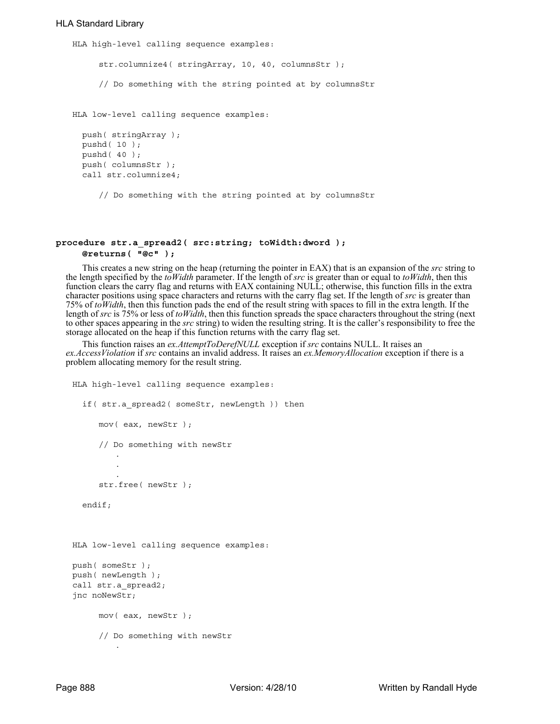## HLA Standard Library

HLA high-level calling sequence examples:

str.columnize4( stringArray, 10, 40, columnsStr );

// Do something with the string pointed at by columnsStr

HLA low-level calling sequence examples:

```
push( stringArray );
pushd( 10 );
pushd( 40 );
push( columnsStr );
call str.columnize4;
```
// Do something with the string pointed at by columnsStr

#### **procedure str.a\_spread2( src:string; toWidth:dword ); @returns( "@c" );**

This creates a new string on the heap (returning the pointer in EAX) that is an expansion of the *src* string to the length specified by the *toWidth* parameter. If the length of *src* is greater than or equal to *toWidth*, then this function clears the carry flag and returns with EAX containing NULL; otherwise, this function fills in the extra character positions using space characters and returns with the carry flag set. If the length of *src* is greater than 75% of *toWidth*, then this function pads the end of the result string with spaces to fill in the extra length. If the length of *src* is 75% or less of *toWidth*, then this function spreads the space characters throughout the string (next to other spaces appearing in the *src* string) to widen the resulting string. It is the caller's responsibility to free the storage allocated on the heap if this function returns with the carry flag set.

This function raises an *ex.AttemptToDerefNULL* exception if *src* contains NULL. It raises an *ex.AccessViolation* if *src* contains an invalid address. It raises an *ex.MemoryAllocation* exception if there is a problem allocating memory for the result string.

```
HLA high-level calling sequence examples:
  if( str.a_spread2( someStr, newLength )) then
     mov( eax, newStr );
     // Do something with newStr
         .
         .
         .
     str.free( newStr );
  endif;
HLA low-level calling sequence examples:
push( someStr );
push( newLength );
call str.a spread2;
jnc noNewStr;
     mov( eax, newStr );
     // Do something with newStr
         .
```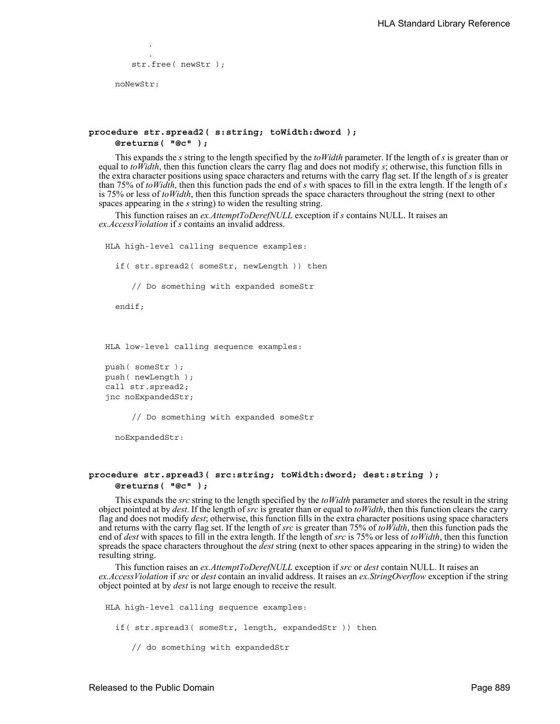```
.
   str.free( newStr );
noNewStr:
```
.

## **procedure str.spread2( s:string; toWidth:dword ); @returns( "@c" );**

This expands the *s* string to the length specified by the *toWidth* parameter. If the length of *s* is greater than or equal to *to Width*, then this function clears the carry flag and does not modify *s*; otherwise, this function fills in the extra character positions using space characters and returns with the carry flag set. If the length of *s* is greater than 75% of *toWidth*, then this function pads the end of *s* with spaces to fill in the extra length. If the length of *s* is 75% or less of *toWidth*, then this function spreads the space characters throughout the string (next to other spaces appearing in the *s* string) to widen the resulting string.

This function raises an *ex.AttemptToDerefNULL* exception if *s* contains NULL. It raises an *ex.AccessViolation* if *s* contains an invalid address.

HLA high-level calling sequence examples:

if( str.spread2( someStr, newLength )) then

// Do something with expanded someStr

endif;

HLA low-level calling sequence examples:

```
push( someStr );
push( newLength );
call str.spread2;
jnc noExpandedStr;
```
// Do something with expanded someStr

noExpandedStr:

## **procedure str.spread3( src:string; toWidth:dword; dest:string ); @returns( "@c" );**

This expands the *src* string to the length specified by the *toWidth* parameter and stores the result in the string object pointed at by *dest*. If the length of *src* is greater than or equal to *toWidth*, then this function clears the carry flag and does not modify *dest*; otherwise, this function fills in the extra character positions using space characters and returns with the carry flag set. If the length of *src* is greater than 75% of *toWidth*, then this function pads the end of *dest* with spaces to fill in the extra length. If the length of *src* is 75% or less of *toWidth*, then this function spreads the space characters throughout the *dest* string (next to other spaces appearing in the string) to widen the resulting string.

This function raises an *ex.AttemptToDerefNULL* exception if *src* or *dest* contain NULL. It raises an *ex.AccessViolation* if *src* or *dest* contain an invalid address. It raises an *ex.StringOverflow* exception if the string object pointed at by *dest* is not large enough to receive the result.

HLA high-level calling sequence examples:

if( str.spread3( someStr, length, expandedStr )) then

// do something with expandedStr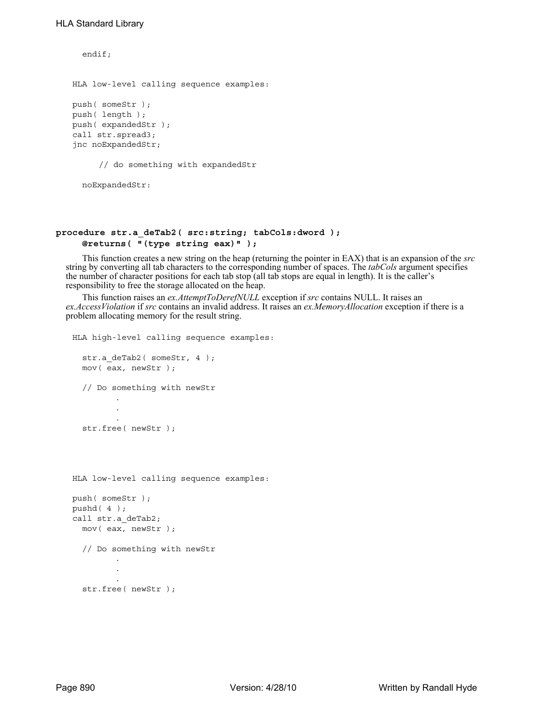```
endif;
HLA low-level calling sequence examples:
push( someStr );
push( length );
push( expandedStr );
call str.spread3;
jnc noExpandedStr;
     // do something with expandedStr
```

```
noExpandedStr:
```
## **procedure str.a\_deTab2( src:string; tabCols:dword ); @returns( "(type string eax)" );**

This function creates a new string on the heap (returning the pointer in EAX) that is an expansion of the *src* string by converting all tab characters to the corresponding number of spaces. The *tabCols* argument specifies the number of character positions for each tab stop (all tab stops are equal in length). It is the caller's responsibility to free the storage allocated on the heap.

This function raises an *ex.AttemptToDerefNULL* exception if *src* contains NULL. It raises an *ex.AccessViolation* if *src* contains an invalid address. It raises an *ex.MemoryAllocation* exception if there is a problem allocating memory for the result string.

```
HLA high-level calling sequence examples:
  str.a deTab2( someStr, 4 );
  mov( eax, newStr );
  // Do something with newStr
         .
         .
         .
  str.free( newStr );
HLA low-level calling sequence examples:
push( someStr );
pushd( 4 );
call str.a_deTab2;
  mov( eax, newStr );
  // Do something with newStr
         .
         .
        .
  str.free( newStr );
```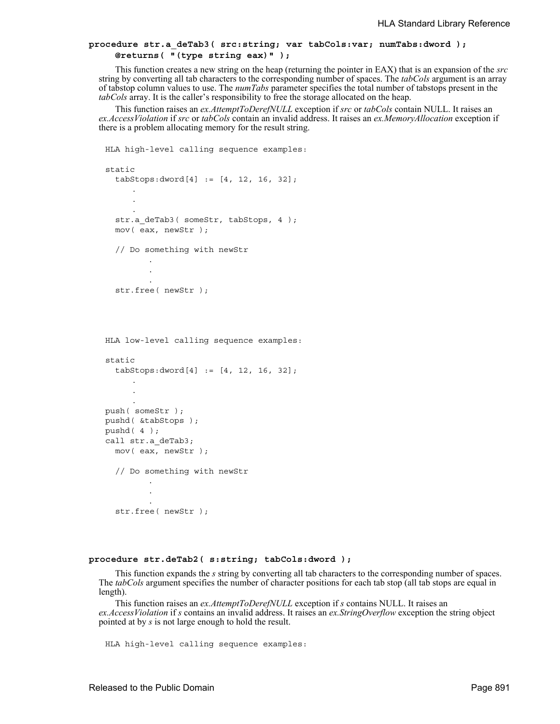## **procedure str.a\_deTab3( src:string; var tabCols:var; numTabs:dword ); @returns( "(type string eax)" );**

This function creates a new string on the heap (returning the pointer in EAX) that is an expansion of the *src* string by converting all tab characters to the corresponding number of spaces. The *tabCols* argument is an array of tabstop column values to use. The *numTabs* parameter specifies the total number of tabstops present in the *tabCols* array. It is the caller's responsibility to free the storage allocated on the heap.

This function raises an *ex.AttemptToDerefNULL* exception if *src* or *tabCols* contain NULL. It raises an *ex.AccessViolation* if *src* or *tabCols* contain an invalid address. It raises an *ex.MemoryAllocation* exception if there is a problem allocating memory for the result string.

```
HLA high-level calling sequence examples:
static
  tabSteps:dword[4] := [4, 12, 16, 32];.
     .
     .
  str.a deTab3( someStr, tabStops, 4 );
  mov( eax, newStr );
  // Do something with newStr
         .
         .
  str.free( newStr );
HLA low-level calling sequence examples:
static
  tabStops:dword[4] := [4, 12, 16, 32];
     .
     .
     .
push( someStr );
pushd( &tabStops );
pushd( 4 );
call str.a_deTab3;
 mov( eax, newStr );
  // Do something with newStr
         .
         .
         .
  str.free( newStr );
```
#### **procedure str.deTab2( s:string; tabCols:dword );**

This function expands the *s* string by converting all tab characters to the corresponding number of spaces. The *tabCols* argument specifies the number of character positions for each tab stop (all tab stops are equal in length).

This function raises an *ex.AttemptToDerefNULL* exception if *s* contains NULL. It raises an *ex.AccessViolation* if *s* contains an invalid address. It raises an *ex.StringOverflow* exception the string object pointed at by *s* is not large enough to hold the result.

```
HLA high-level calling sequence examples:
```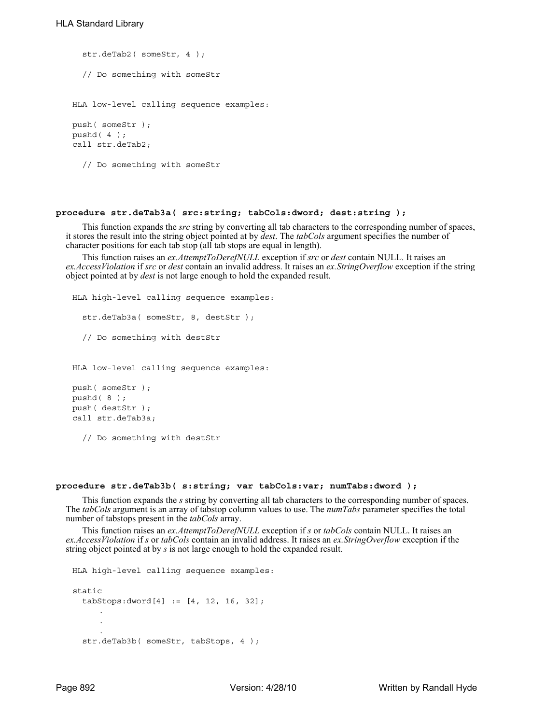```
str.deTab2( someStr, 4 );
  // Do something with someStr
HLA low-level calling sequence examples:
push( someStr );
pushd( 4 );
call str.deTab2;
  // Do something with someStr
```
## **procedure str.deTab3a( src:string; tabCols:dword; dest:string );**

This function expands the *src* string by converting all tab characters to the corresponding number of spaces, it stores the result into the string object pointed at by *dest*. The *tabCols* argument specifies the number of character positions for each tab stop (all tab stops are equal in length).

This function raises an *ex.AttemptToDerefNULL* exception if *src* or *dest* contain NULL. It raises an *ex.AccessViolation* if *src* or *dest* contain an invalid address. It raises an *ex.StringOverflow* exception if the string object pointed at by *dest* is not large enough to hold the expanded result.

```
HLA high-level calling sequence examples:
  str.deTab3a( someStr, 8, destStr );
  // Do something with destStr 
HLA low-level calling sequence examples:
push( someStr );
pushd( 8 );
push( destStr );
call str.deTab3a;
```
// Do something with destStr

#### **procedure str.deTab3b( s:string; var tabCols:var; numTabs:dword );**

This function expands the *s* string by converting all tab characters to the corresponding number of spaces. The *tabCols* argument is an array of tabstop column values to use. The *numTabs* parameter specifies the total number of tabstops present in the *tabCols* array.

This function raises an *ex.AttemptToDerefNULL* exception if *s* or *tabCols* contain NULL. It raises an *ex.AccessViolation* if *s* or *tabCols* contain an invalid address. It raises an *ex.StringOverflow* exception if the string object pointed at by *s* is not large enough to hold the expanded result.

```
HLA high-level calling sequence examples:
static
  tabSteps: <math>dword[4] := [4, 12, 16, 32]</math>;.
      .
      .
  str.deTab3b( someStr, tabStops, 4 );
```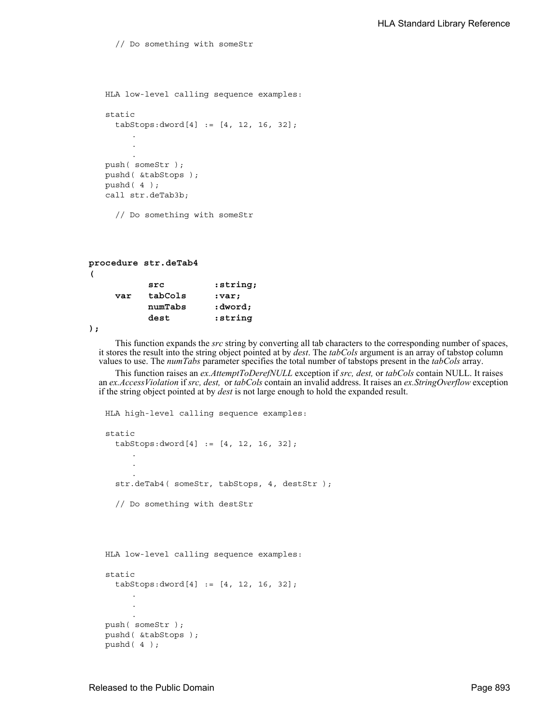// Do something with someStr

```
HLA low-level calling sequence examples:
static
  tabStops:dword[4] := [4, 12, 16, 32];
     .
     .
      .
push( someStr );
pushd( &tabStops );
pushd( 4 );
call str.deTab3b;
  // Do something with someStr
```
# **procedure str.deTab4 ( src :string;**

| var | tabCols | :var;   |
|-----|---------|---------|
|     | numTabs | :dword; |
|     | dest    | :string |

**);**

This function expands the *src* string by converting all tab characters to the corresponding number of spaces, it stores the result into the string object pointed at by *dest*. The *tabCols* argument is an array of tabstop column values to use. The *numTabs* parameter specifies the total number of tabstops present in the *tabCols* array.

This function raises an *ex.AttemptToDerefNULL* exception if *src, dest,* or *tabCols* contain NULL. It raises an *ex.AccessViolation* if *src, dest,* or *tabCols* contain an invalid address. It raises an *ex.StringOverflow* exception if the string object pointed at by *dest* is not large enough to hold the expanded result.

```
HLA high-level calling sequence examples:
static
  tabStops:dword[4] := [4, 12, 16, 32];
     .
      .
      .
  str.deTab4( someStr, tabStops, 4, destStr );
  // Do something with destStr
```

```
HLA low-level calling sequence examples:
static
  tabStops:dword[4] := [4, 12, 16, 32];
      .
      .
      .
push( someStr );
pushd( &tabStops );
pushd( 4 );
```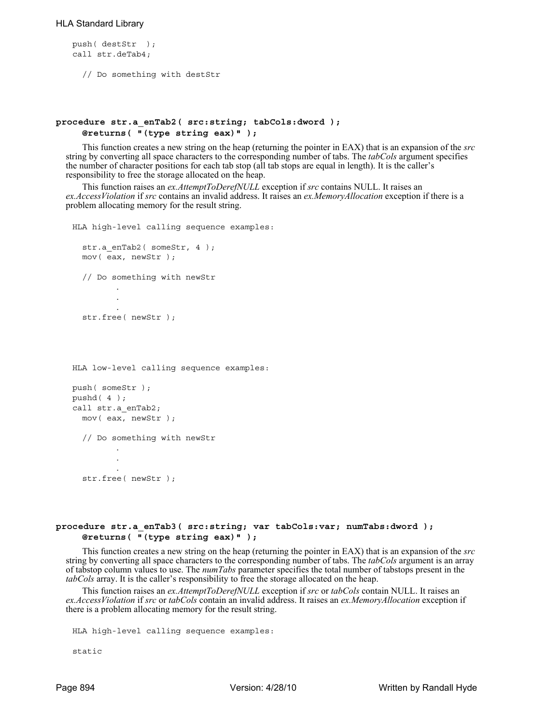## HLA Standard Library

```
push( destStr );
call str.deTab4;
```
// Do something with destStr

## **procedure str.a\_enTab2( src:string; tabCols:dword ); @returns( "(type string eax)" );**

This function creates a new string on the heap (returning the pointer in EAX) that is an expansion of the *src* string by converting all space characters to the corresponding number of tabs. The *tabCols* argument specifies the number of character positions for each tab stop (all tab stops are equal in length). It is the caller's responsibility to free the storage allocated on the heap.

This function raises an *ex.AttemptToDerefNULL* exception if *src* contains NULL. It raises an *ex.AccessViolation* if *src* contains an invalid address. It raises an *ex.MemoryAllocation* exception if there is a problem allocating memory for the result string.

```
HLA high-level calling sequence examples:
  str.a enTab2( someStr, 4 );
  mov( eax, newStr );
  // Do something with newStr
         .
         .
         .
  str.free( newStr );
HLA low-level calling sequence examples:
push( someStr );
pushd( 4 );
call str.a_enTab2;
```
// Do something with newStr

.

```
.
str.free( newStr );
```
.

mov( eax, newStr );

## **procedure str.a\_enTab3( src:string; var tabCols:var; numTabs:dword ); @returns( "(type string eax)" );**

This function creates a new string on the heap (returning the pointer in EAX) that is an expansion of the *src* string by converting all space characters to the corresponding number of tabs. The *tabCols* argument is an array of tabstop column values to use. The *numTabs* parameter specifies the total number of tabstops present in the *tabCols* array. It is the caller's responsibility to free the storage allocated on the heap.

This function raises an *ex.AttemptToDerefNULL* exception if *src* or *tabCols* contain NULL. It raises an *ex.AccessViolation* if *src* or *tabCols* contain an invalid address. It raises an *ex.MemoryAllocation* exception if there is a problem allocating memory for the result string.

```
HLA high-level calling sequence examples:
```
static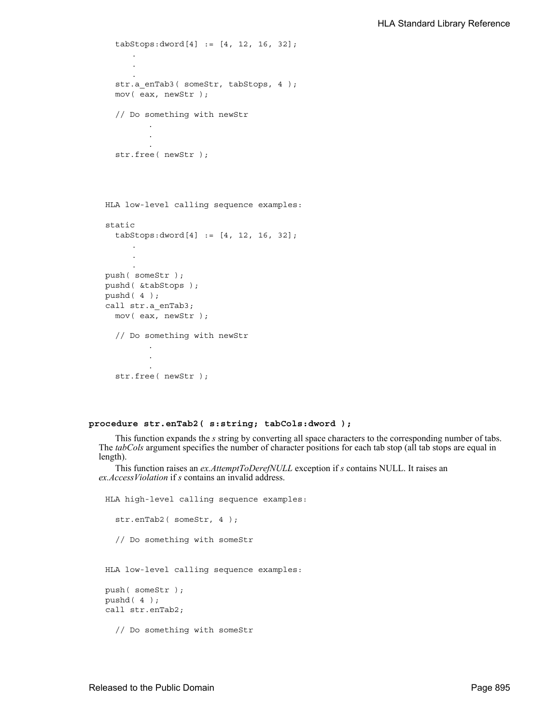```
tabStops:dword[4] := [4, 12, 16, 32];
      .
      .
      .
  str.a_enTab3( someStr, tabStops, 4 );
  mov( eax, newStr );
  // Do something with newStr
         .
         .
         .
  str.free( newStr );
HLA low-level calling sequence examples:
static
  tabStops:dword[4] := [4, 12, 16, 32];
      .
     .
      .
push( someStr );
pushd( &tabStops );
pushd( 4 );
call str.a_enTab3;
 mov( eax, newStr );
  // Do something with newStr
         .
         .
         .
  str.free( newStr );
```
## **procedure str.enTab2( s:string; tabCols:dword );**

This function expands the *s* string by converting all space characters to the corresponding number of tabs. The *tabCols* argument specifies the number of character positions for each tab stop (all tab stops are equal in length).

This function raises an *ex.AttemptToDerefNULL* exception if *s* contains NULL. It raises an *ex.AccessViolation* if *s* contains an invalid address.

```
HLA high-level calling sequence examples:
  str.enTab2( someStr, 4 );
  // Do something with someStr
HLA low-level calling sequence examples:
push( someStr );
pushd( 4 );
call str.enTab2;
```
// Do something with someStr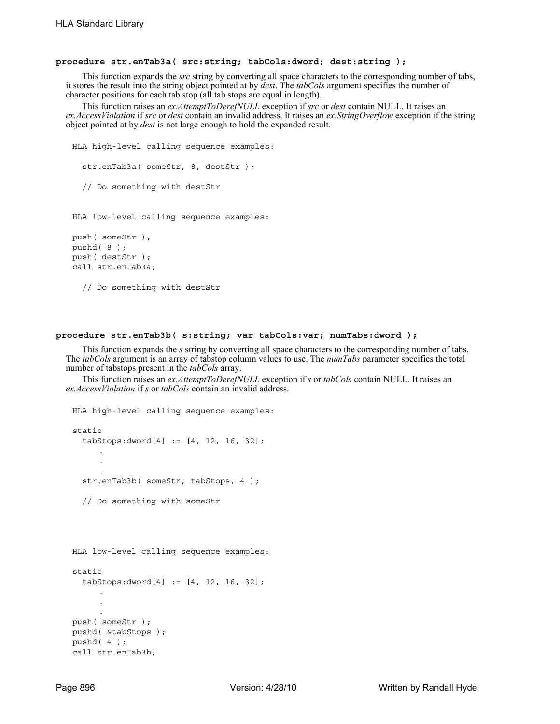#### **procedure str.enTab3a( src:string; tabCols:dword; dest:string );**

This function expands the *src* string by converting all space characters to the corresponding number of tabs, it stores the result into the string object pointed at by *dest*. The *tabCols* argument specifies the number of character positions for each tab stop (all tab stops are equal in length).

This function raises an *ex.AttemptToDerefNULL* exception if *src* or *dest* contain NULL. It raises an *ex.AccessViolation* if *src* or *dest* contain an invalid address. It raises an *ex.StringOverflow* exception if the string object pointed at by *dest* is not large enough to hold the expanded result.

```
HLA high-level calling sequence examples:
  str.enTab3a( someStr, 8, destStr );
  // Do something with destStr 
HLA low-level calling sequence examples:
push( someStr );
pushd( 8 );
push( destStr );
call str.enTab3a;
  // Do something with destStr
```
## **procedure str.enTab3b( s:string; var tabCols:var; numTabs:dword );**

This function expands the *s* string by converting all space characters to the corresponding number of tabs. The *tabCols* argument is an array of tabstop column values to use. The *numTabs* parameter specifies the total number of tabstops present in the *tabCols* array.

This function raises an *ex.AttemptToDerefNULL* exception if *s* or *tabCols* contain NULL. It raises an *ex.AccessViolation* if *s* or *tabCols* contain an invalid address.

```
HLA high-level calling sequence examples:
static
  tabStops:dword[4] := [4, 12, 16, 32];
      .
      .
      .
  str.enTab3b( someStr, tabStops, 4 );
  // Do something with someStr
HLA low-level calling sequence examples:
static
  tabStops:dword[4] := [4, 12, 16, 32];
      .
     .
      .
push( someStr );
pushd( &tabStops );
pushd( 4 );
call str.enTab3b;
```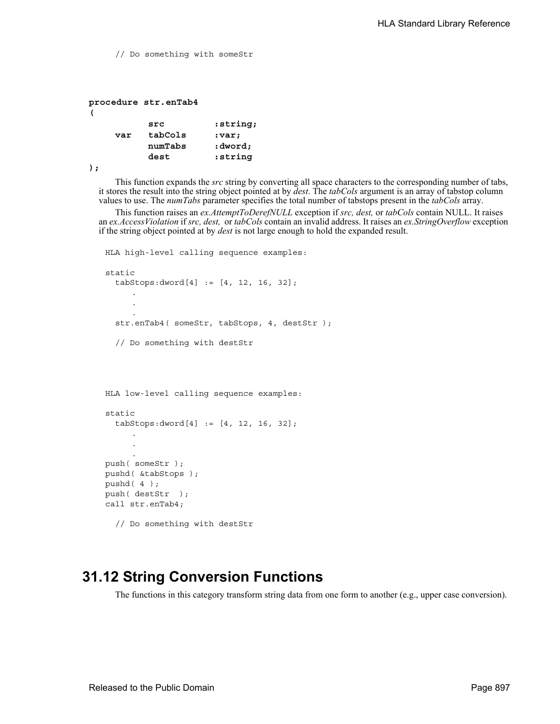// Do something with someStr **procedure str.enTab4 ( src :string; var tabCols :var;** 

> **numTabs :dword; dest :string**

```
);
```
This function expands the *src* string by converting all space characters to the corresponding number of tabs, it stores the result into the string object pointed at by *dest*. The *tabCols* argument is an array of tabstop column values to use. The *numTabs* parameter specifies the total number of tabstops present in the *tabCols* array.

This function raises an *ex.AttemptToDerefNULL* exception if *src, dest,* or *tabCols* contain NULL. It raises an *ex.AccessViolation* if *src, dest,* or *tabCols* contain an invalid address. It raises an *ex.StringOverflow* exception if the string object pointed at by *dest* is not large enough to hold the expanded result.

```
HLA high-level calling sequence examples:
static
  tabStops:dword[4] := [4, 12, 16, 32];
     .
     .
     .
  str.enTab4( someStr, tabStops, 4, destStr);
  // Do something with destStr 
HLA low-level calling sequence examples:
static
  tabSteps:dword[4] := [4, 12, 16, 32];.
     .
     .
push( someStr );
pushd( &tabStops );
pushd( 4 );
push( destStr );
call str.enTab4;
  // Do something with destStr
```
# **31.12 String Conversion Functions**

The functions in this category transform string data from one form to another (e.g., upper case conversion).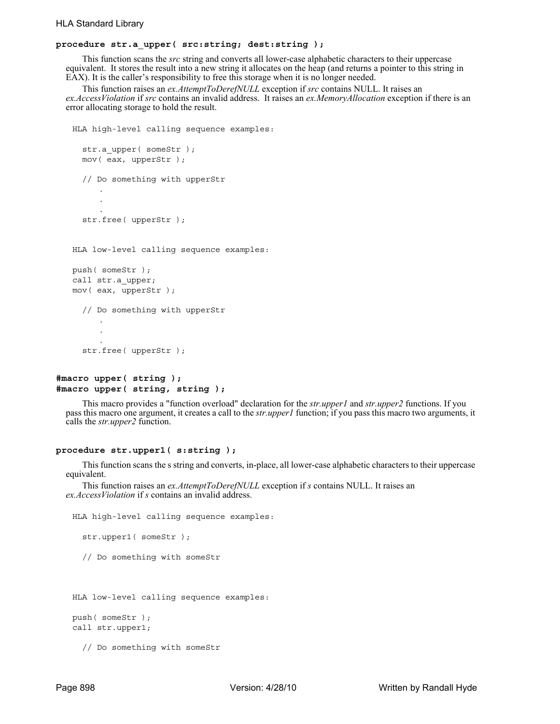# **procedure str.a\_upper( src:string; dest:string );**

This function scans the *src* string and converts all lower-case alphabetic characters to their uppercase equivalent. It stores the result into a new string it allocates on the heap (and returns a pointer to this string in EAX). It is the caller's responsibility to free this storage when it is no longer needed.

This function raises an *ex.AttemptToDerefNULL* exception if *src* contains NULL. It raises an *ex.AccessViolation* if *src* contains an invalid address. It raises an *ex.MemoryAllocation* exception if there is an error allocating storage to hold the result.

```
HLA high-level calling sequence examples:
  str.a upper( someStr );
  mov( eax, upperStr );
  // Do something with upperStr
      .
      .
      .
  str.free( upperStr ); 
HLA low-level calling sequence examples:
push( someStr );
call str.a_upper;
mov( eax, upperStr );
  // Do something with upperStr 
      .
      .
      .
  str.free( upperStr );
```
# **#macro upper( string ); #macro upper( string, string );**

This macro provides a "function overload" declaration for the *str.upper1* and *str.upper2* functions. If you pass this macro one argument, it creates a call to the *str.upper1* function; if you pass this macro two arguments, it calls the *str.upper2* function.

#### **procedure str.upper1( s:string );**

This function scans the s string and converts, in-place, all lower-case alphabetic characters to their uppercase equivalent.

This function raises an *ex.AttemptToDerefNULL* exception if *s* contains NULL. It raises an *ex.AccessViolation* if *s* contains an invalid address.

```
HLA high-level calling sequence examples:
  str.upper1( someStr );
  // Do something with someStr
HLA low-level calling sequence examples:
push( someStr );
call str.upper1;
```
// Do something with someStr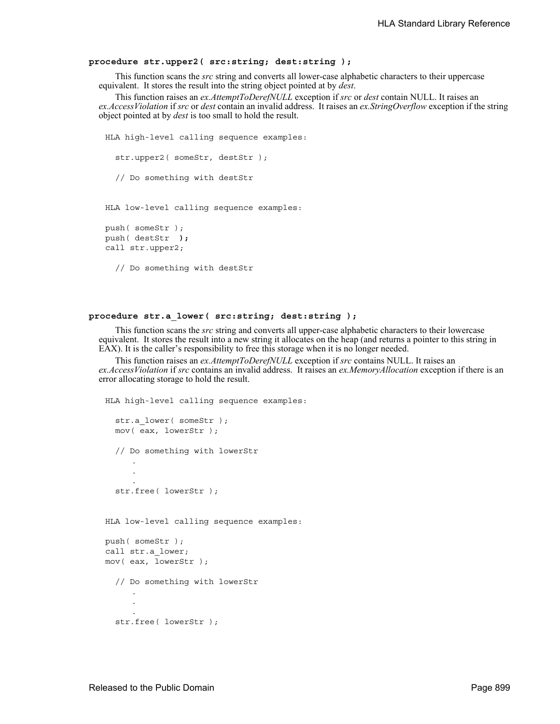### **procedure str.upper2( src:string; dest:string );**

This function scans the *src* string and converts all lower-case alphabetic characters to their uppercase equivalent. It stores the result into the string object pointed at by *dest*.

This function raises an *ex.AttemptToDerefNULL* exception if *src* or *dest* contain NULL. It raises an *ex.AccessViolation* if *src* or *dest* contain an invalid address. It raises an *ex.StringOverflow* exception if the string object pointed at by *dest* is too small to hold the result.

```
HLA high-level calling sequence examples:
  str.upper2( someStr, destStr );
  // Do something with destStr 
HLA low-level calling sequence examples:
push( someStr );
push( destStr );
call str.upper2;
  // Do something with destStr
```
# **procedure str.a\_lower( src:string; dest:string );**

This function scans the *src* string and converts all upper-case alphabetic characters to their lowercase equivalent. It stores the result into a new string it allocates on the heap (and returns a pointer to this string in EAX). It is the caller's responsibility to free this storage when it is no longer needed.

This function raises an *ex.AttemptToDerefNULL* exception if *src* contains NULL. It raises an *ex.AccessViolation* if *src* contains an invalid address. It raises an *ex.MemoryAllocation* exception if there is an error allocating storage to hold the result.

```
HLA high-level calling sequence examples:
  str.a lower( someStr );
  mov( eax, lowerStr );
  // Do something with lowerStr
      .
      .
      .
  str.free( lowerStr ); 
HLA low-level calling sequence examples:
push( someStr );
call str.a_lower;
mov( eax, lowerStr );
  // Do something with lowerStr 
      .
      .
      .
  str.free( lowerStr );
```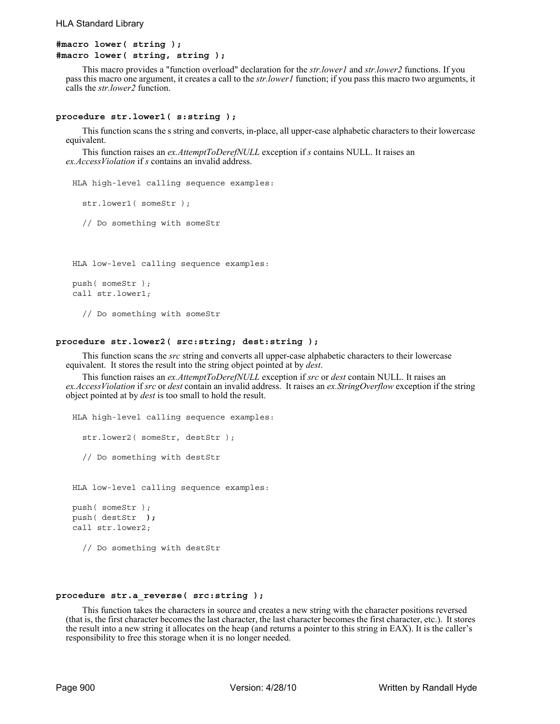```
#macro lower( string );
#macro lower( string, string );
```
This macro provides a "function overload" declaration for the *str.lower1* and *str.lower2* functions. If you pass this macro one argument, it creates a call to the *str.lower1* function; if you pass this macro two arguments, it calls the *str.lower2* function.

### **procedure str.lower1( s:string );**

This function scans the s string and converts, in-place, all upper-case alphabetic characters to their lowercase equivalent.

This function raises an *ex.AttemptToDerefNULL* exception if *s* contains NULL. It raises an *ex.AccessViolation* if *s* contains an invalid address.

HLA high-level calling sequence examples:

```
str.lower1( someStr );
```
// Do something with someStr

HLA low-level calling sequence examples:

```
push( someStr );
call str.lower1;
```
// Do something with someStr

## **procedure str.lower2( src:string; dest:string );**

This function scans the *src* string and converts all upper-case alphabetic characters to their lowercase equivalent. It stores the result into the string object pointed at by *dest*.

This function raises an *ex.AttemptToDerefNULL* exception if *src* or *dest* contain NULL. It raises an *ex.AccessViolation* if *src* or *dest* contain an invalid address. It raises an *ex.StringOverflow* exception if the string object pointed at by *dest* is too small to hold the result.

```
HLA high-level calling sequence examples:
  str.lower2( someStr, destStr);
  // Do something with destStr 
HLA low-level calling sequence examples:
push( someStr );
push( destStr );
call str.lower2;
```
// Do something with destStr

#### **procedure str.a\_reverse( src:string );**

This function takes the characters in source and creates a new string with the character positions reversed (that is, the first character becomes the last character, the last character becomes the first character, etc.). It stores the result into a new string it allocates on the heap (and returns a pointer to this string in EAX). It is the caller's responsibility to free this storage when it is no longer needed.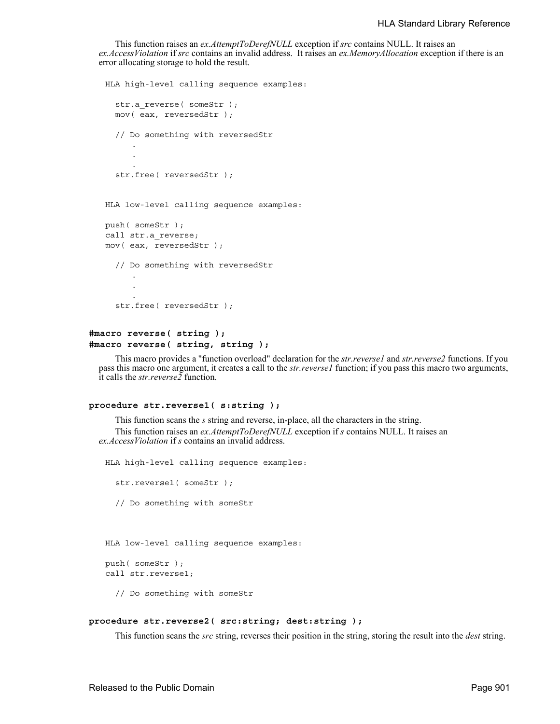This function raises an *ex.AttemptToDerefNULL* exception if *src* contains NULL. It raises an *ex.AccessViolation* if *src* contains an invalid address. It raises an *ex.MemoryAllocation* exception if there is an error allocating storage to hold the result.

```
HLA high-level calling sequence examples:
  str.a_reverse( someStr );
  mov( eax, reversedStr );
  // Do something with reversedStr 
      .
      .
      .
  str.free( reversedStr ); 
HLA low-level calling sequence examples:
push( someStr );
call str.a_reverse;
mov( eax, reversedStr );
  // Do something with reversedStr 
      .
      .
      .
  str.free( reversedStr );
```
# **#macro reverse( string ); #macro reverse( string, string );**

This macro provides a "function overload" declaration for the *str.reverse1* and *str.reverse2* functions. If you pass this macro one argument, it creates a call to the *str.reverse1* function; if you pass this macro two arguments, it calls the *str.reverse2* function.

## **procedure str.reverse1( s:string );**

This function scans the *s* string and reverse, in-place, all the characters in the string. This function raises an *ex.AttemptToDerefNULL* exception if *s* contains NULL. It raises an *ex.AccessViolation* if *s* contains an invalid address.

```
HLA high-level calling sequence examples:
  str.reverse1( someStr );
  // Do something with someStr
HLA low-level calling sequence examples:
push( someStr );
call str.reverse1;
  // Do something with someStr
```
## **procedure str.reverse2( src:string; dest:string );**

This function scans the *src* string, reverses their position in the string, storing the result into the *dest* string.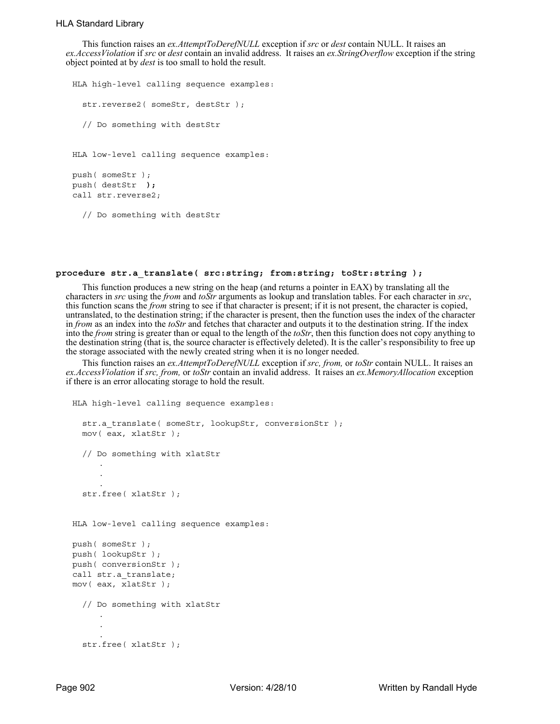This function raises an *ex.AttemptToDerefNULL* exception if *src* or *dest* contain NULL. It raises an *ex.AccessViolation* if *src* or *dest* contain an invalid address. It raises an *ex.StringOverflow* exception if the string object pointed at by *dest* is too small to hold the result.

```
HLA high-level calling sequence examples:
  str.reverse2( someStr, destStr );
  // Do something with destStr 
HLA low-level calling sequence examples:
push( someStr );
push( destStr );
call str.reverse2;
  // Do something with destStr
```
# **procedure str.a\_translate( src:string; from:string; toStr:string );**

This function produces a new string on the heap (and returns a pointer in EAX) by translating all the characters in *src* using the *from* and *toStr* arguments as lookup and translation tables. For each character in *src*, this function scans the *from* string to see if that character is present; if it is not present, the character is copied, untranslated, to the destination string; if the character is present, then the function uses the index of the character in *from* as an index into the *toStr* and fetches that character and outputs it to the destination string. If the index into the *from* string is greater than or equal to the length of the *toStr*, then this function does not copy anything to the destination string (that is, the source character is effectively deleted). It is the caller's responsibility to free up the storage associated with the newly created string when it is no longer needed.

This function raises an *ex.AttemptToDerefNULL* exception if *src, from,* or *toStr* contain NULL. It raises an *ex.AccessViolation* if *src, from,* or *toStr* contain an invalid address. It raises an *ex.MemoryAllocation* exception if there is an error allocating storage to hold the result.

```
HLA high-level calling sequence examples:
  str.a_translate( someStr, lookupStr, conversionStr );
  mov( eax, xlatStr );
  // Do something with xlatStr 
     .
      .
      .
  str.free( xlatStr ); 
HLA low-level calling sequence examples:
push( someStr );
push( lookupStr );
push( conversionStr );
call str.a translate;
mov( eax, xlatStr );
  // Do something with xlatStr 
      .
      .
      .
  str.free( xlatStr );
```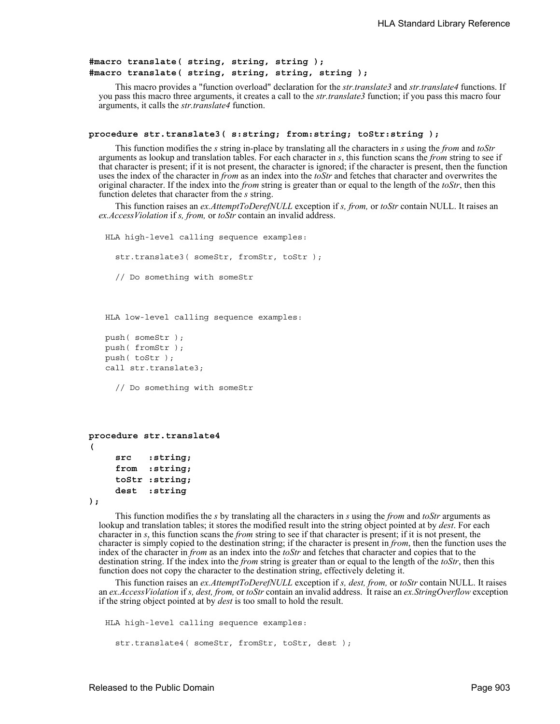```
#macro translate( string, string, string );
#macro translate( string, string, string, string );
```
This macro provides a "function overload" declaration for the *str.translate3* and *str.translate4* functions. If you pass this macro three arguments, it creates a call to the *str.translate3* function; if you pass this macro four arguments, it calls the *str.translate4* function.

```
procedure str.translate3( s:string; from:string; toStr:string );
```
This function modifies the *s* string in-place by translating all the characters in *s* using the *from* and *toStr* arguments as lookup and translation tables. For each character in *s*, this function scans the *from* string to see if that character is present; if it is not present, the character is ignored; if the character is present, then the function uses the index of the character in *from* as an index into the *toStr* and fetches that character and overwrites the original character. If the index into the *from* string is greater than or equal to the length of the *toStr*, then this function deletes that character from the *s* string.

This function raises an *ex.AttemptToDerefNULL* exception if *s, from,* or *toStr* contain NULL. It raises an *ex.AccessViolation* if *s, from,* or *toStr* contain an invalid address.

```
HLA high-level calling sequence examples:
  str.translate3( someStr, fromStr, toStr );
  // Do something with someStr
```
HLA low-level calling sequence examples:

```
push( someStr );
push( fromStr );
push( toStr );
call str.translate3;
```
// Do something with someStr

```
procedure str.translate4
( 
     src :string; 
     from :string; 
     toStr :string; 
     dest :string
```
**);**

This function modifies the *s* by translating all the characters in *s* using the *from* and *toStr* arguments as lookup and translation tables; it stores the modified result into the string object pointed at by *dest*. For each character in *s*, this function scans the *from* string to see if that character is present; if it is not present, the character is simply copied to the destination string; if the character is present in *from*, then the function uses the index of the character in *from* as an index into the *toStr* and fetches that character and copies that to the destination string. If the index into the *from* string is greater than or equal to the length of the *toStr*, then this function does not copy the character to the destination string, effectively deleting it.

This function raises an *ex.AttemptToDerefNULL* exception if *s, dest, from,* or *toStr* contain NULL. It raises an *ex.AccessViolation* if *s, dest, from,* or *toStr* contain an invalid address. It raise an *ex.StringOverflow* exception if the string object pointed at by *dest* is too small to hold the result.

```
HLA high-level calling sequence examples:
  str.translate4( someStr, fromStr, toStr, dest );
```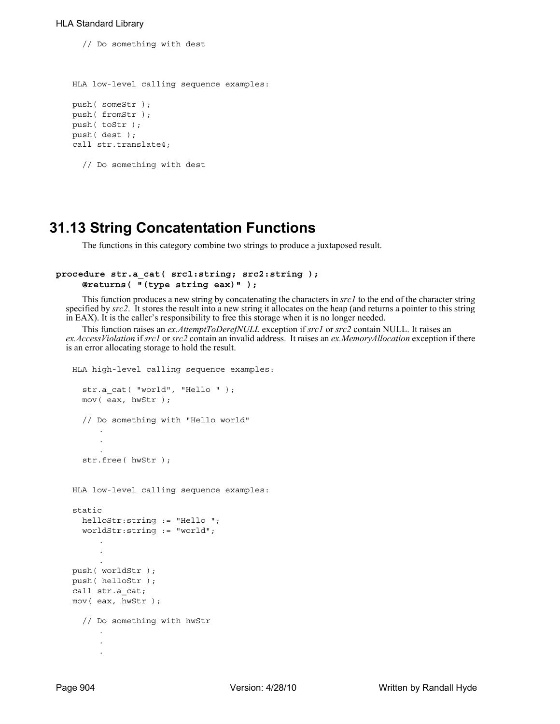// Do something with dest

```
HLA low-level calling sequence examples:
push( someStr );
push( fromStr );
push( toStr );
push( dest );
call str.translate4;
```

```
// Do something with dest
```
# **31.13 String Concatentation Functions**

The functions in this category combine two strings to produce a juxtaposed result.

# **procedure str.a\_cat( src1:string; src2:string ); @returns( "(type string eax)" );**

This function produces a new string by concatenating the characters in *src1* to the end of the character string specified by *src2*. It stores the result into a new string it allocates on the heap (and returns a pointer to this string in EAX). It is the caller's responsibility to free this storage when it is no longer needed.

This function raises an *ex.AttemptToDerefNULL* exception if *src1* or *src2* contain NULL. It raises an *ex.AccessViolation* if *src1* or *src2* contain an invalid address. It raises an *ex.MemoryAllocation* exception if there is an error allocating storage to hold the result.

```
HLA high-level calling sequence examples:
  str.a cat( "world", "Hello " );
  mov( eax, hwStr );
  // Do something with "Hello world" 
      .
      .
  str.free( hwStr ); 
HLA low-level calling sequence examples:
static
 helloStr:string := "Hello ";
  worldStr:string := "world";
     .
      .
push( worldStr );
push( helloStr );
call str.a_cat;
mov( eax, hwStr );
  // Do something with hwStr 
      .
      .
      .
```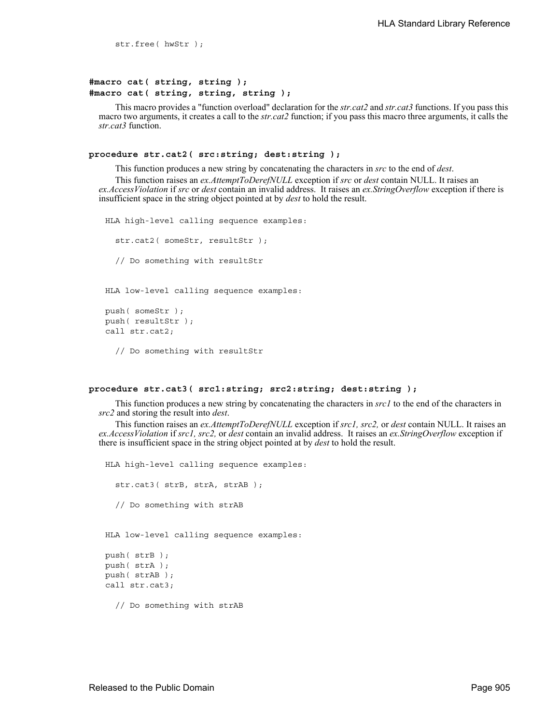str.free( hwStr );

# **#macro cat( string, string ); #macro cat( string, string, string );**

This macro provides a "function overload" declaration for the *str.cat2* and *str.cat3* functions. If you pass this macro two arguments, it creates a call to the *str.cat2* function; if you pass this macro three arguments, it calls the *str.cat3* function.

#### **procedure str.cat2( src:string; dest:string );**

This function produces a new string by concatenating the characters in *src* to the end of *dest*.

This function raises an *ex.AttemptToDerefNULL* exception if *src* or *dest* contain NULL. It raises an *ex.AccessViolation* if *src* or *dest* contain an invalid address. It raises an *ex.StringOverflow* exception if there is insufficient space in the string object pointed at by *dest* to hold the result.

```
HLA high-level calling sequence examples:
  str.cat2( someStr, resultStr );
  // Do something with resultStr 
HLA low-level calling sequence examples:
push( someStr );
push( resultStr );
call str.cat2;
  // Do something with resultStr
```
## **procedure str.cat3( src1:string; src2:string; dest:string );**

This function produces a new string by concatenating the characters in *src1* to the end of the characters in *src2* and storing the result into *dest*.

This function raises an *ex.AttemptToDerefNULL* exception if *src1, src2,* or *dest* contain NULL. It raises an *ex.AccessViolation* if *src1, src2,* or *dest* contain an invalid address. It raises an *ex.StringOverflow* exception if there is insufficient space in the string object pointed at by *dest* to hold the result.

```
HLA high-level calling sequence examples:
  str.cat3( strB, strA, strAB );
  // Do something with strAB 
HLA low-level calling sequence examples:
push( strB );
push( strA );
push( strAB );
call str.cat3;
  // Do something with strAB
```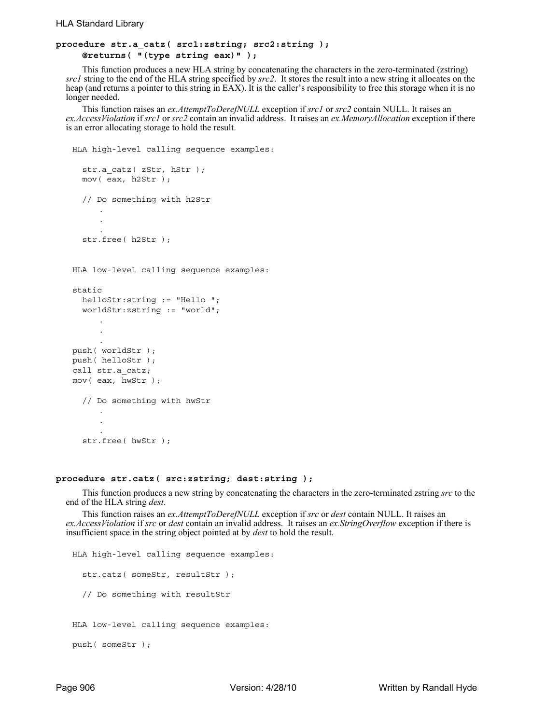# **procedure str.a\_catz( src1:zstring; src2:string ); @returns( "(type string eax)" );**

This function produces a new HLA string by concatenating the characters in the zero-terminated (zstring) *src1* string to the end of the HLA string specified by *src2*. It stores the result into a new string it allocates on the heap (and returns a pointer to this string in EAX). It is the caller's responsibility to free this storage when it is no longer needed.

This function raises an *ex.AttemptToDerefNULL* exception if *src1* or *src2* contain NULL. It raises an *ex.AccessViolation* if *src1* or *src2* contain an invalid address. It raises an *ex.MemoryAllocation* exception if there is an error allocating storage to hold the result.

```
HLA high-level calling sequence examples:
  str.a_catz( zStr, hStr );
  mov( eax, h2Str );
  // Do something with h2Str 
      .
      .
      .
  str.free( h2Str ); 
HLA low-level calling sequence examples:
static
 helloStr:string := "Hello ";
  worldStr:zstring := "world";
      .
      .
      .
push( worldStr );
push( helloStr );
call str.a_catz;
mov( eax, hwStr );
  // Do something with hwStr 
      .
      .
      .
  str.free( hwStr );
```
## **procedure str.catz( src:zstring; dest:string );**

This function produces a new string by concatenating the characters in the zero-terminated zstring *src* to the end of the HLA string *dest*.

This function raises an *ex.AttemptToDerefNULL* exception if *src* or *dest* contain NULL. It raises an *ex.AccessViolation* if *src* or *dest* contain an invalid address. It raises an *ex.StringOverflow* exception if there is insufficient space in the string object pointed at by *dest* to hold the result.

```
HLA high-level calling sequence examples:
  str.catz( someStr, resultStr );
  // Do something with resultStr 
HLA low-level calling sequence examples:
```
push( someStr );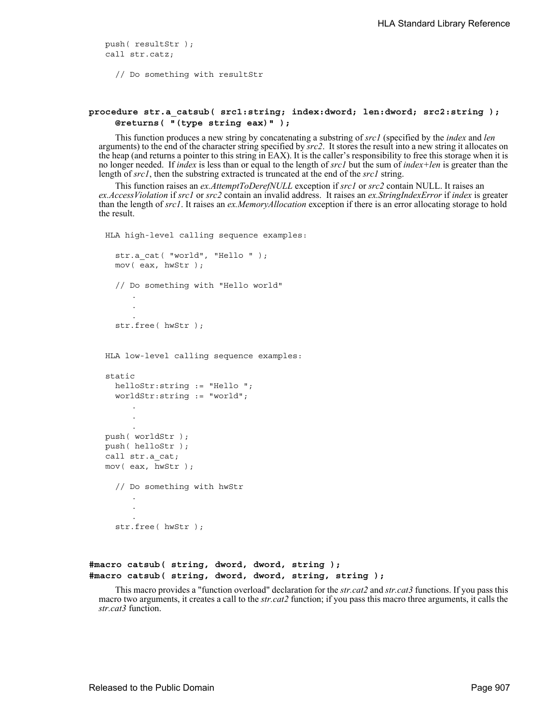push( resultStr ); call str.catz;

// Do something with resultStr

# **procedure str.a\_catsub( src1:string; index:dword; len:dword; src2:string ); @returns( "(type string eax)" );**

This function produces a new string by concatenating a substring of *src1* (specified by the *index* and *len* arguments) to the end of the character string specified by *src2*. It stores the result into a new string it allocates on the heap (and returns a pointer to this string in EAX). It is the caller's responsibility to free this storage when it is no longer needed. If *index* is less than or equal to the length of *src1* but the sum of *index+len* is greater than the length of *src1*, then the substring extracted is truncated at the end of the *src1* string.

This function raises an *ex.AttemptToDerefNULL* exception if *src1* or *src2* contain NULL. It raises an *ex.AccessViolation* if *src1* or *src2* contain an invalid address. It raises an *ex.StringIndexError* if *index* is greater than the length of *src1*. It raises an *ex.MemoryAllocation* exception if there is an error allocating storage to hold the result.

```
HLA high-level calling sequence examples:
  str.a cat( "world", "Hello " );
  mov( eax, hwStr );
  // Do something with "Hello world" 
      .
      .
      .
  str.free( hwStr ); 
HLA low-level calling sequence examples:
static
  helloStr:string := "Hello ";
  worldStr:string := "world";
      .
      .
      .
push( worldStr );
push( helloStr );
call str.a_cat;
mov( eax, hwStr );
  // Do something with hwStr 
      .
      .
      .
  str.free( hwStr );
```
# **#macro catsub( string, dword, dword, string ); #macro catsub( string, dword, dword, string, string );**

This macro provides a "function overload" declaration for the *str.cat2* and *str.cat3* functions. If you pass this macro two arguments, it creates a call to the *str.cat2* function; if you pass this macro three arguments, it calls the *str.cat3* function.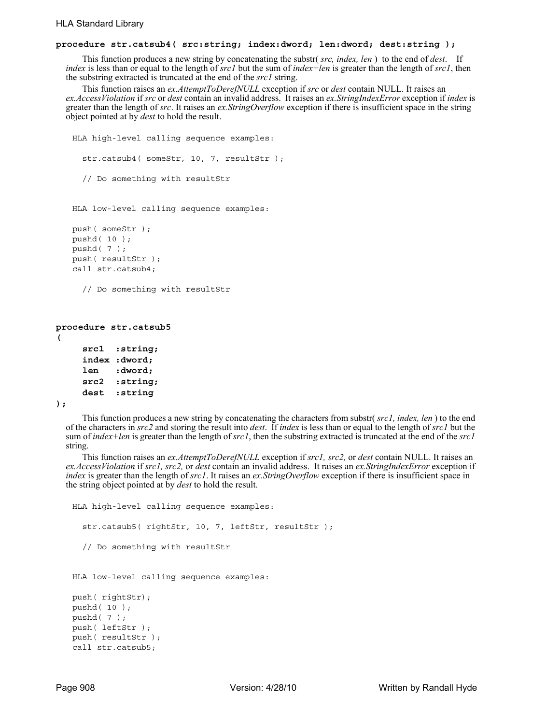# **procedure str.catsub4( src:string; index:dword; len:dword; dest:string );**

This function produces a new string by concatenating the substr( *src, index, len* ) to the end of *dest*. If *index* is less than or equal to the length of *src1* but the sum of *index+len* is greater than the length of *src1*, then the substring extracted is truncated at the end of the *src1* string.

This function raises an *ex.AttemptToDerefNULL* exception if *src* or *dest* contain NULL. It raises an *ex.AccessViolation* if *src* or *dest* contain an invalid address. It raises an *ex.StringIndexError* exception if *index* is greater than the length of *src*. It raises an *ex.StringOverflow* exception if there is insufficient space in the string object pointed at by *dest* to hold the result.

```
HLA high-level calling sequence examples:
  str.catsub4( someStr, 10, 7, resultStr );
  // Do something with resultStr 
HLA low-level calling sequence examples:
push( someStr );
pushd( 10 );
```
pushd( 7 ); push( resultStr ); call str.catsub4;

```
// Do something with resultStr
```

```
procedure str.catsub5
(
```

```
src1 :string;
index :dword;
len :dword;
src2 :string; 
dest :string
```
**);**

This function produces a new string by concatenating the characters from substr( *src1, index, len* ) to the end of the characters in *src2* and storing the result into *dest*. If *index* is less than or equal to the length of *src1* but the sum of *index+len* is greater than the length of *src1*, then the substring extracted is truncated at the end of the *src1* string.

This function raises an *ex.AttemptToDerefNULL* exception if *src1, src2,* or *dest* contain NULL. It raises an *ex.AccessViolation* if *src1, src2,* or *dest* contain an invalid address. It raises an *ex.StringIndexError* exception if *index* is greater than the length of *src1*. It raises an *ex.StringOverflow* exception if there is insufficient space in the string object pointed at by *dest* to hold the result.

```
HLA high-level calling sequence examples:
  str.catsub5( rightStr, 10, 7, leftStr, resultStr );
  // Do something with resultStr 
HLA low-level calling sequence examples:
push( rightStr);
pushd( 10 );
```
pushd( 7 ); push( leftStr ); push( resultStr ); call str.catsub5;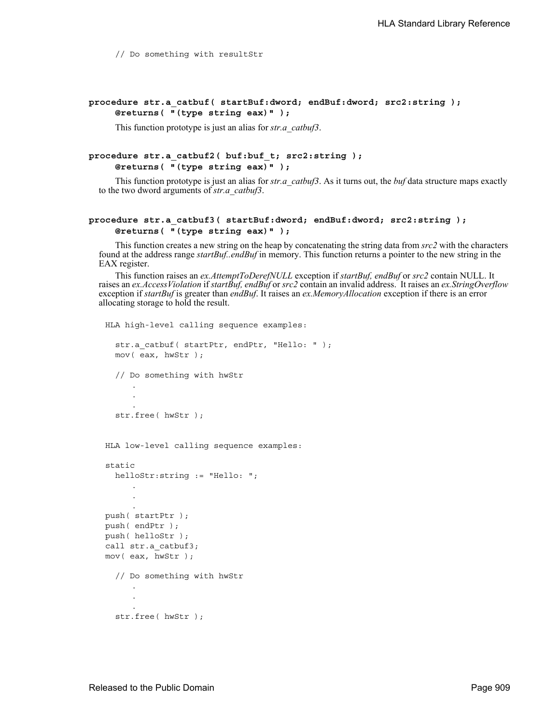// Do something with resultStr

# **procedure str.a\_catbuf( startBuf:dword; endBuf:dword; src2:string ); @returns( "(type string eax)" );**

This function prototype is just an alias for *str.a\_catbuf3*.

# **procedure str.a\_catbuf2( buf:buf\_t; src2:string ); @returns( "(type string eax)" );**

This function prototype is just an alias for *str.a\_catbuf3*. As it turns out, the *buf* data structure maps exactly to the two dword arguments of *str.a\_catbuf3*.

# **procedure str.a\_catbuf3( startBuf:dword; endBuf:dword; src2:string ); @returns( "(type string eax)" );**

This function creates a new string on the heap by concatenating the string data from *src2* with the characters found at the address range *startBuf..endBuf* in memory. This function returns a pointer to the new string in the EAX register.

This function raises an *ex.AttemptToDerefNULL* exception if *startBuf, endBuf* or *src2* contain NULL. It raises an *ex.AccessViolation* if *startBuf, endBuf* or *src2* contain an invalid address. It raises an *ex.StringOverflow* exception if *startBuf* is greater than *endBuf*. It raises an *ex.MemoryAllocation* exception if there is an error allocating storage to hold the result.

```
HLA high-level calling sequence examples:
  str.a catbuf( startPtr, endPtr, "Hello: " );
  mov( eax, hwStr );
  // Do something with hwStr 
      .
      .
      .
  str.free( hwStr ); 
HLA low-level calling sequence examples:
static
  helloStr:string := "Hello: ";
      .
      .
      .
push( startPtr );
push( endPtr );
push( helloStr );
call str.a_catbuf3;
mov( eax, hwStr );
  // Do something with hwStr 
      .
      .
      .
  str.free( hwStr );
```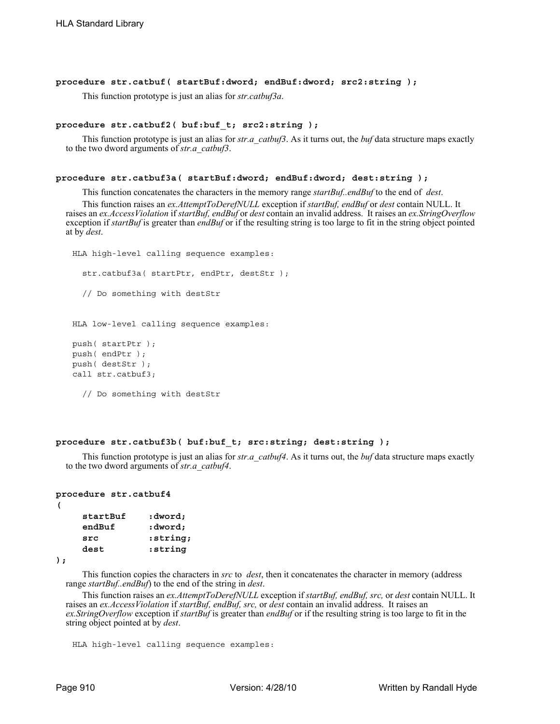## **procedure str.catbuf( startBuf:dword; endBuf:dword; src2:string );**

This function prototype is just an alias for *str.catbuf3a*.

## **procedure str.catbuf2( buf:buf\_t; src2:string );**

This function prototype is just an alias for *str.a\_catbuf3*. As it turns out, the *buf* data structure maps exactly to the two dword arguments of *str.a\_catbuf3*.

#### **procedure str.catbuf3a( startBuf:dword; endBuf:dword; dest:string );**

This function concatenates the characters in the memory range *startBuf..endBuf* to the end of *dest*.

This function raises an *ex.AttemptToDerefNULL* exception if *startBuf, endBuf* or *dest* contain NULL. It raises an *ex.AccessViolation* if *startBuf, endBuf* or *dest* contain an invalid address. It raises an *ex.StringOverflow* exception if *startBuf* is greater than *endBuf* or if the resulting string is too large to fit in the string object pointed at by *dest*.

```
HLA high-level calling sequence examples:
  str.catbuf3a( startPtr, endPtr, destStr );
  // Do something with destStr 
HLA low-level calling sequence examples:
push( startPtr );
push( endPtr );
push( destStr );
call str.catbuf3;
```
// Do something with destStr

# **procedure str.catbuf3b( buf:buf\_t; src:string; dest:string );**

This function prototype is just an alias for *str.a\_catbuf4*. As it turns out, the *buf* data structure maps exactly to the two dword arguments of *str.a\_catbuf4*.

#### **procedure str.catbuf4**

| č<br>× |  |  |
|--------|--|--|
|        |  |  |

| startBuf<br>endBuf | :dword;<br>:dword; |
|--------------------|--------------------|
| src                | :string;           |
| dest               | :string            |

**);**

This function copies the characters in *src* to *dest*, then it concatenates the character in memory (address range *startBuf..endBuf*) to the end of the string in *dest*.

This function raises an *ex.AttemptToDerefNULL* exception if *startBuf, endBuf, src,* or *dest* contain NULL. It raises an *ex.AccessViolation* if *startBuf, endBuf, src,* or *dest* contain an invalid address. It raises an *ex.StringOverflow* exception if *startBuf* is greater than *endBuf* or if the resulting string is too large to fit in the string object pointed at by *dest*.

```
HLA high-level calling sequence examples:
```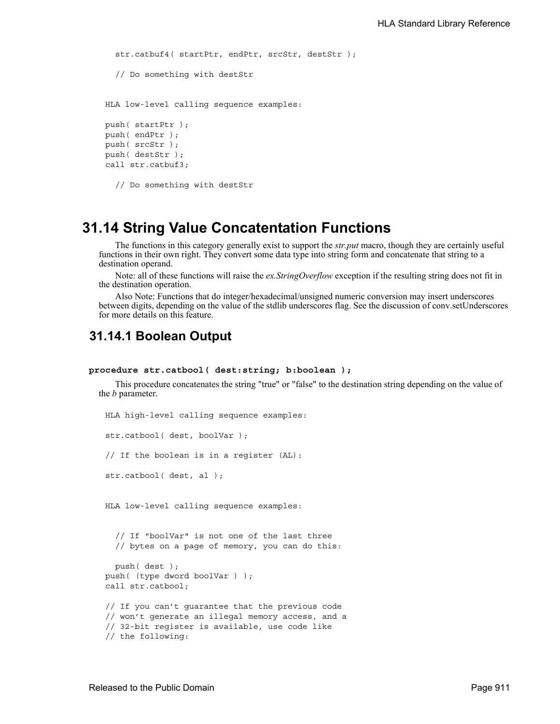```
str.catbuf4( startPtr, endPtr, srcStr, destStr );
  // Do something with destStr 
HLA low-level calling sequence examples:
push( startPtr );
push( endPtr );
push( srcStr );
push( destStr );
call str.catbuf3;
  // Do something with destStr
```
# **31.14 String Value Concatentation Functions**

The functions in this category generally exist to support the *str.put* macro, though they are certainly useful functions in their own right. They convert some data type into string form and concatenate that string to a destination operand.

Note: all of these functions will raise the *ex.StringOverflow* exception if the resulting string does not fit in the destination operation.

Also Note: Functions that do integer/hexadecimal/unsigned numeric conversion may insert underscores between digits, depending on the value of the stdlib underscores flag. See the discussion of conv.setUnderscores for more details on this feature.

# **31.14.1 Boolean Output**

## **procedure str.catbool( dest:string; b:boolean );**

This procedure concatenates the string "true" or "false" to the destination string depending on the value of the *b* parameter.

```
HLA high-level calling sequence examples:
str.catbool( dest, boolVar );
// If the boolean is in a register (AL):
str.catbool( dest, al );
HLA low-level calling sequence examples:
  // If "boolVar" is not one of the last three
  // bytes on a page of memory, you can do this:
  push( dest );
push( (type dword boolVar ) );
call str.catbool;
// If you can't guarantee that the previous code
// won't generate an illegal memory access, and a
// 32-bit register is available, use code like
// the following:
```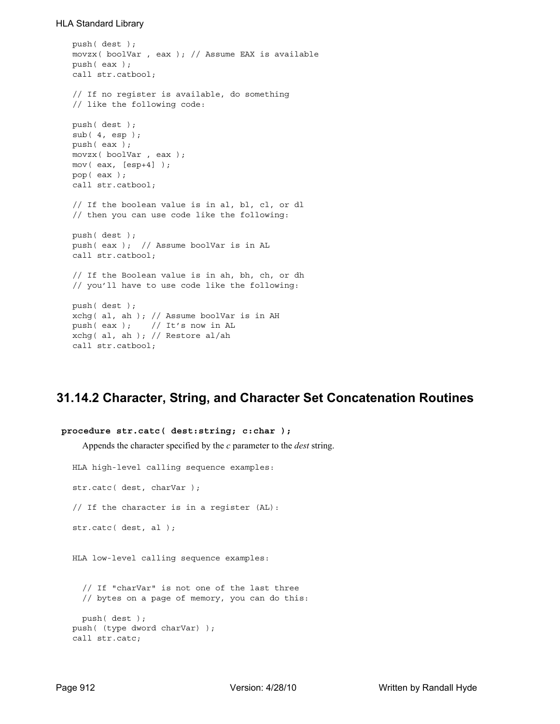```
push( dest );
movzx( boolVar , eax ); // Assume EAX is available
push( eax );
call str.catbool;
// If no register is available, do something
// like the following code:
push( dest );
sub( 4, esp );
push( eax );
movzx( boolVar , eax );
mov( eax, [esp+4] );
pop( eax );
call str.catbool;
// If the boolean value is in al, bl, cl, or dl
// then you can use code like the following:
push( dest );
push( eax ); // Assume boolVar is in AL
call str.catbool;
// If the Boolean value is in ah, bh, ch, or dh
// you'll have to use code like the following:
push( dest );
xchg( al, ah ); // Assume boolVar is in AH
push( eax ); // It's now in AL
xchg( al, ah ); // Restore al/ah
call str.catbool;
```
# **31.14.2 Character, String, and Character Set Concatenation Routines**

```
 procedure str.catc( dest:string; c:char );
    Appends the character specified by the c parameter to the dest string.
  HLA high-level calling sequence examples:
  str.catc( dest, charVar );
  // If the character is in a register (AL):
  str.catc( dest, al );
  HLA low-level calling sequence examples:
    // If "charVar" is not one of the last three
    // bytes on a page of memory, you can do this:
    push( dest );
  push( (type dword charVar) );
  call str.catc;
```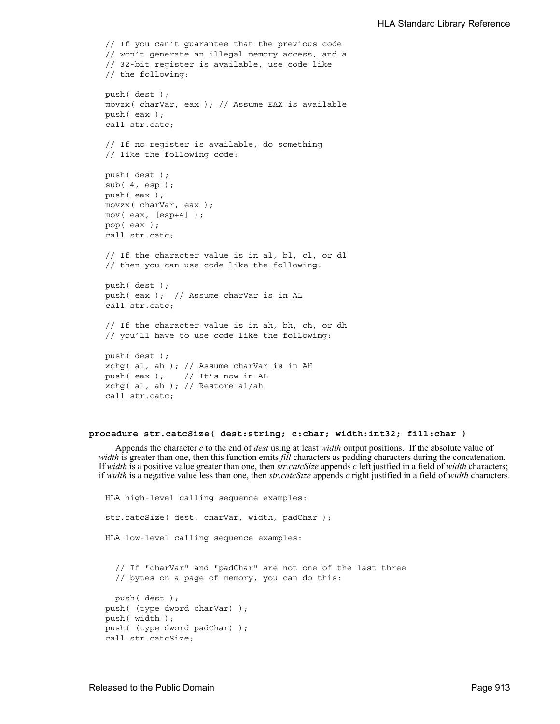```
// If you can't guarantee that the previous code
// won't generate an illegal memory access, and a
// 32-bit register is available, use code like
// the following:
push( dest );
movzx( charVar, eax ); // Assume EAX is available
push( eax );
call str.catc;
// If no register is available, do something
// like the following code:
push( dest );
sub(4, esp);push( eax );
movzx( charVar, eax );
mov( eax, [esp+4] );
pop( eax );
call str.catc;
// If the character value is in al, bl, cl, or dl
// then you can use code like the following:
push( dest );
push( eax ); // Assume charVar is in AL
call str.catc;
// If the character value is in ah, bh, ch, or dh
// you'll have to use code like the following:
push( dest );
xchg( al, ah ); // Assume charVar is in AH
push( eax ); // It's now in AL
xchg( al, ah ); // Restore al/ah
call str.catc;
```
## **procedure str.catcSize( dest:string; c:char; width:int32; fill:char )**

Appends the character *c* to the end of *dest* using at least *width* output positions. If the absolute value of *width* is greater than one, then this function emits *fill* characters as padding characters during the concatenation. If *width* is a positive value greater than one, then *str.catcSize* appends *c* left justfied in a field of *width* characters; if *width* is a negative value less than one, then *str.catcSize* appends *c* right justified in a field of *width* characters.

HLA high-level calling sequence examples: str.catcSize( dest, charVar, width, padChar ); HLA low-level calling sequence examples: // If "charVar" and "padChar" are not one of the last three // bytes on a page of memory, you can do this: push( dest ); push( (type dword charVar) ); push( width ); push( (type dword padChar) ); call str.catcSize;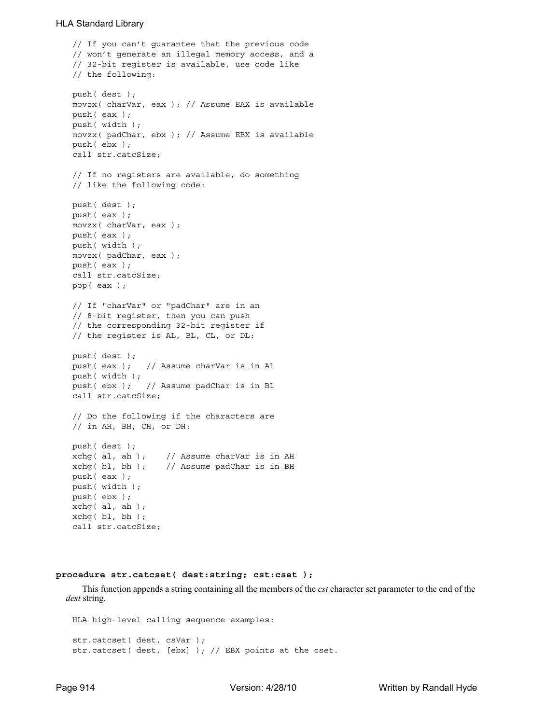```
// If you can't guarantee that the previous code
// won't generate an illegal memory access, and a
// 32-bit register is available, use code like
// the following:
push( dest );
movzx( charVar, eax ); // Assume EAX is available
push( eax );
push( width );
movzx( padChar, ebx ); // Assume EBX is available
push( ebx );
call str.catcSize;
// If no registers are available, do something
// like the following code:
push( dest );
push( eax );
movzx( charVar, eax );
push( eax );
push( width );
movzx( padChar, eax );
push( eax );
call str.catcSize;
pop( eax );
// If "charVar" or "padChar" are in an
// 8-bit register, then you can push
// the corresponding 32-bit register if
// the register is AL, BL, CL, or DL:
push( dest );
push( eax ); // Assume charVar is in AL
push( width );
push( ebx ); // Assume padChar is in BL
call str.catcSize;
// Do the following if the characters are
// in AH, BH, CH, or DH:
push( dest );
xchq( al, ah ); // Assume charVar is in AH
xchg( bl, bh ); // Assume padChar is in BH
push( eax ); 
push( width );
push( ebx );
xchg( al, ah );
xchq( bl, bh);call str.catcSize;
```
## **procedure str.catcset( dest:string; cst:cset );**

This function appends a string containing all the members of the *cst* character set parameter to the end of the *dest* string.

```
HLA high-level calling sequence examples:
str.catcset( dest, csVar );
str.catcset( dest, [ebx] ); // EBX points at the cset.
```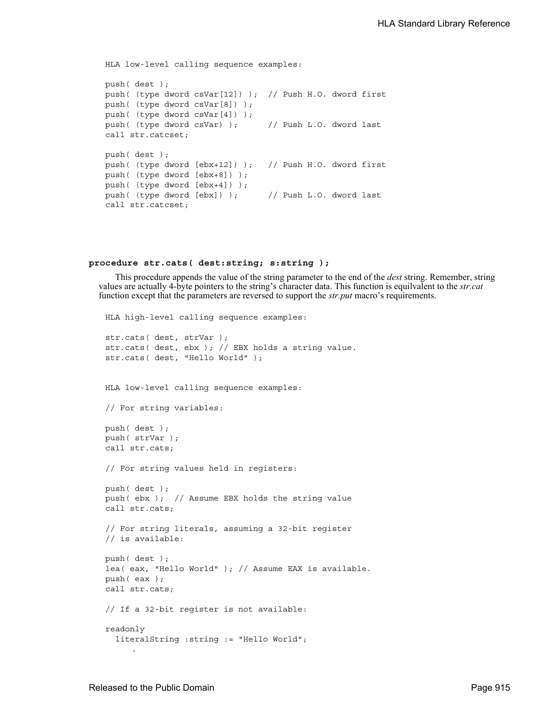```
HLA low-level calling sequence examples:
push( dest );
push( (type dword csVar[12]) ); // Push H.O. dword first
push( (type dword csVar[8]) );
push( (type dword csVar[4]) );
push( (type dword csVar) ); // Push L.O. dword last
call str.catcset;
push( dest );
push( (type dword [ebx+12]) ); // Push H.O. dword first
push( (type dword [ebx+8]) );
push( (type dword [ebx+4]) );
push( (type dword [ebx]) ); // Push L.O. dword last
call str.catcset;
```
## **procedure str.cats( dest:string; s:string );**

This procedure appends the value of the string parameter to the end of the *dest* string. Remember, string values are actually 4-byte pointers to the string's character data. This function is equilvalent to the *str.cat* function except that the parameters are reversed to support the *str.put* macro's requirements.

```
HLA high-level calling sequence examples:
str.cats( dest, strVar );
str.cats( dest, ebx ); // EBX holds a string value.
str.cats( dest, "Hello World" );
HLA low-level calling sequence examples:
// For string variables:
push( dest );
push( strVar );
call str.cats;
// For string values held in registers:
push( dest );
push( ebx ); // Assume EBX holds the string value
call str.cats;
// For string literals, assuming a 32-bit register
// is available:
push( dest );
lea( eax, "Hello World" ); // Assume EAX is available.
push( eax );
call str.cats;
// If a 32-bit register is not available:
readonly
  literalString :string := "Hello World";
```
.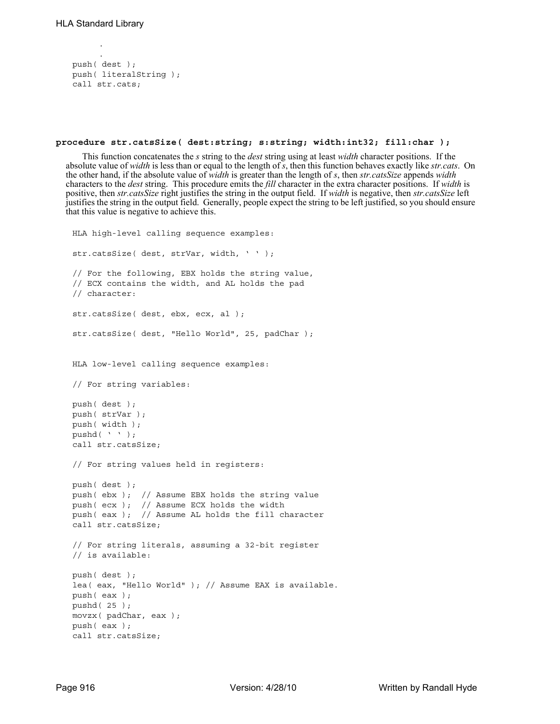.

```
.
push( dest );
push( literalString );
call str.cats;
```
## **procedure str.catsSize( dest:string; s:string; width:int32; fill:char );**

This function concatenates the *s* string to the *dest* string using at least *width* character positions. If the absolute value of *width* is less than or equal to the length of *s*, then this function behaves exactly like *str.cats*. On the other hand, if the absolute value of *width* is greater than the length of *s*, then *str.catsSize* appends *width* characters to the *dest* string. This procedure emits the *fill* character in the extra character positions. If *width* is positive, then *str.catsSize* right justifies the string in the output field. If *width* is negative, then *str.catsSize* left justifies the string in the output field. Generally, people expect the string to be left justified, so you should ensure that this value is negative to achieve this.

```
HLA high-level calling sequence examples:
str.catsSize( dest, strVar, width, ' ' );
// For the following, EBX holds the string value,
// ECX contains the width, and AL holds the pad
// character:
str.catsSize( dest, ebx, ecx, al );
str.catsSize( dest, "Hello World", 25, padChar );
HLA low-level calling sequence examples:
// For string variables:
push( dest );
push( strVar );
push( width );
pushd( ' ' );
call str.catsSize;
// For string values held in registers:
push( dest );
push( ebx ); // Assume EBX holds the string value
push( ecx ); // Assume ECX holds the width
push( eax ); // Assume AL holds the fill character
call str.catsSize;
// For string literals, assuming a 32-bit register
// is available:
push( dest );
lea( eax, "Hello World" ); // Assume EAX is available.
push( eax );
pushd( 25 );
movzx( padChar, eax );
push( eax );
call str.catsSize;
```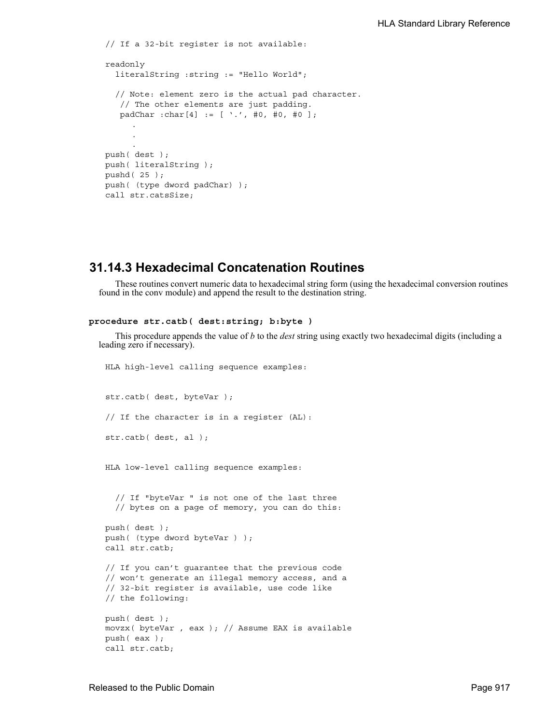```
// If a 32-bit register is not available:
readonly
  literalString :string := "Hello World";
  // Note: element zero is the actual pad character.
   // The other elements are just padding.
    padChar :char[4] := [ '.', #0, #0, #0 ];
     .
     .
     .
push( dest );
push( literalString );
pushd( 25 );
push( (type dword padChar) );
call str.catsSize;
```
# **31.14.3 Hexadecimal Concatenation Routines**

These routines convert numeric data to hexadecimal string form (using the hexadecimal conversion routines found in the conv module) and append the result to the destination string.

```
procedure str.catb( dest:string; b:byte )
```
This procedure appends the value of *b* to the *dest* string using exactly two hexadecimal digits (including a leading zero if necessary).

HLA high-level calling sequence examples: str.catb( dest, byteVar ); // If the character is in a register (AL): str.catb( dest, al ); HLA low-level calling sequence examples: // If "byteVar " is not one of the last three // bytes on a page of memory, you can do this: push( dest ); push( (type dword byteVar ) ); call str.catb; // If you can't guarantee that the previous code // won't generate an illegal memory access, and a // 32-bit register is available, use code like // the following: push( dest ); movzx( byteVar , eax ); // Assume EAX is available push( eax ); call str.catb;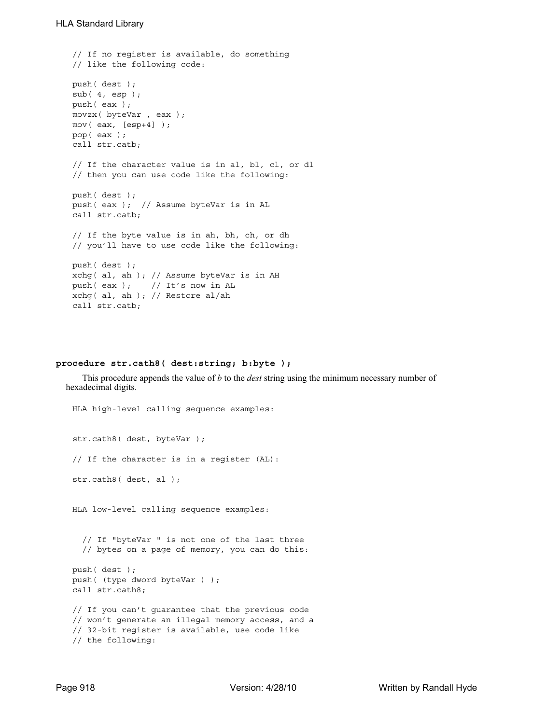```
// If no register is available, do something
// like the following code:
push( dest );
sub(4, esp);push( eax );
movzx( byteVar , eax );
mov( eax, [esp+4] );
pop( eax );
call str.catb;
// If the character value is in al, bl, cl, or dl
// then you can use code like the following:
push( dest );
push( eax ); // Assume byteVar is in AL
call str.catb;
// If the byte value is in ah, bh, ch, or dh
// you'll have to use code like the following:
push( dest );
xchg( al, ah ); // Assume byteVar is in AH
push( eax ); // It's now in AL
xchg( al, ah ); // Restore al/ah
call str.catb;
```
# **procedure str.cath8( dest:string; b:byte );**

This procedure appends the value of *b* to the *dest* string using the minimum necessary number of hexadecimal digits.

```
HLA high-level calling sequence examples:
str.cath8( dest, byteVar );
// If the character is in a register (AL):
str.cath8( dest, al );
HLA low-level calling sequence examples:
  // If "byteVar " is not one of the last three
  // bytes on a page of memory, you can do this:
push( dest );
push( (type dword byteVar ) );
call str.cath8;
// If you can't guarantee that the previous code
// won't generate an illegal memory access, and a
// 32-bit register is available, use code like
// the following:
```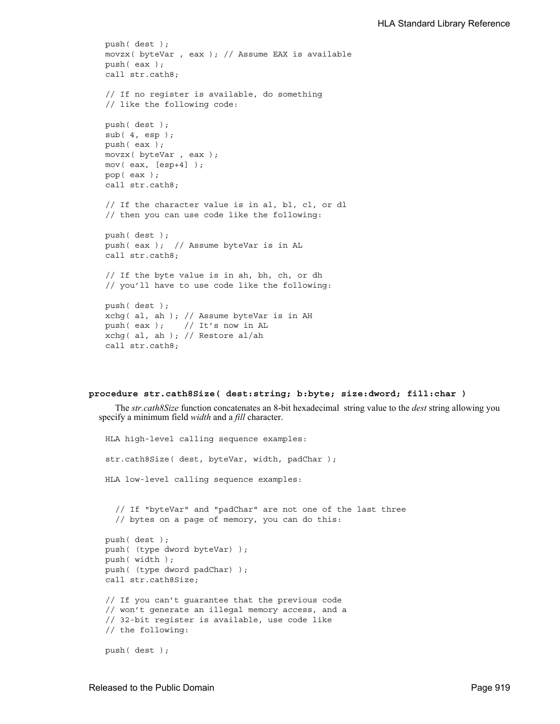```
push( dest );
movzx( byteVar , eax ); // Assume EAX is available
push( eax );
call str.cath8;
// If no register is available, do something
// like the following code:
push( dest );
sub( 4, esp );
push( eax );
movzx( byteVar , eax );
mov( eax, [esp+4] );
pop( eax );
call str.cath8;
// If the character value is in al, bl, cl, or dl
// then you can use code like the following:
push( dest );
push( eax ); // Assume byteVar is in AL
call str.cath8;
// If the byte value is in ah, bh, ch, or dh
// you'll have to use code like the following:
push( dest );
xchg( al, ah ); // Assume byteVar is in AH
push( eax ); // It's now in AL
xchg( al, ah ); // Restore al/ah
call str.cath8;
```
#### **procedure str.cath8Size( dest:string; b:byte; size:dword; fill:char )**

The *str.cath8Size* function concatenates an 8-bit hexadecimal string value to the *dest* string allowing you specify a minimum field *width* and a *fill* character.

```
HLA high-level calling sequence examples:
str.cath8Size( dest, byteVar, width, padChar );
HLA low-level calling sequence examples:
  // If "byteVar" and "padChar" are not one of the last three
  // bytes on a page of memory, you can do this:
push( dest );
push( (type dword byteVar) );
push( width );
push( (type dword padChar) );
call str.cath8Size;
// If you can't guarantee that the previous code
// won't generate an illegal memory access, and a
// 32-bit register is available, use code like
// the following:
push( dest );
```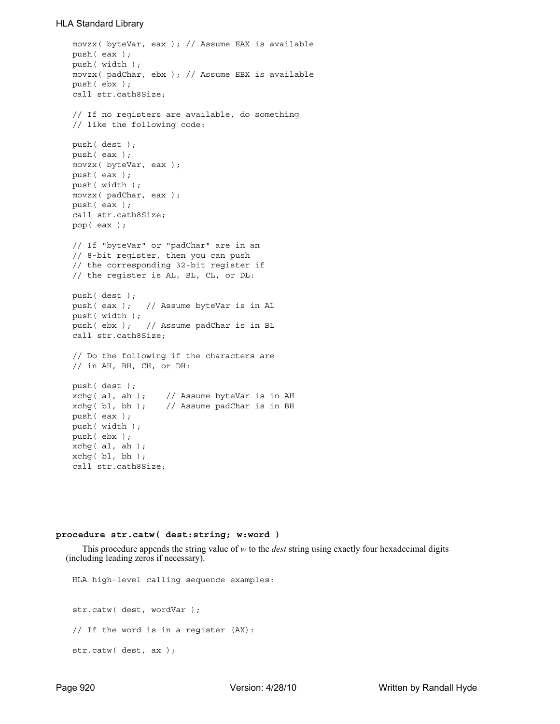```
movzx( byteVar, eax ); // Assume EAX is available
push( eax );
push( width );
movzx( padChar, ebx ); // Assume EBX is available
push( ebx );
call str.cath8Size;
// If no registers are available, do something
// like the following code:
push( dest );
push( eax );
movzx( byteVar, eax );
push( eax );
push( width );
movzx( padChar, eax );
push( eax );
call str.cath8Size;
pop( eax );
// If "byteVar" or "padChar" are in an
// 8-bit register, then you can push
// the corresponding 32-bit register if
// the register is AL, BL, CL, or DL:
push( dest );
push( eax ); // Assume byteVar is in AL
push( width );
push( ebx ); // Assume padChar is in BL
call str.cath8Size;
// Do the following if the characters are
// in AH, BH, CH, or DH:
push( dest );
xchg( al, ah ); // Assume byteVar is in AH
xchg( bl, bh ); // Assume padChar is in BH
push( eax ); 
push( width );
push( ebx );
xchg( al, ah );
xchg(b1, bh);call str.cath8Size;
```
### **procedure str.catw( dest:string; w:word )**

This procedure appends the string value of *w* to the *dest* string using exactly four hexadecimal digits (including leading zeros if necessary).

HLA high-level calling sequence examples: str.catw( dest, wordVar ); // If the word is in a register (AX): str.catw( dest, ax );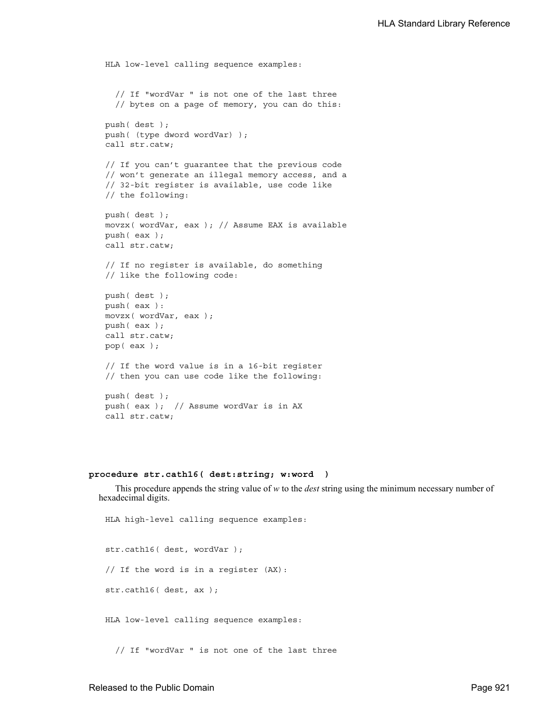```
HLA low-level calling sequence examples:
  // If "wordVar " is not one of the last three
  // bytes on a page of memory, you can do this:
push( dest );
push( (type dword wordVar) );
call str.catw;
// If you can't guarantee that the previous code
// won't generate an illegal memory access, and a
// 32-bit register is available, use code like
// the following:
push( dest );
movzx( wordVar, eax ); // Assume EAX is available
push( eax );
call str.catw;
// If no register is available, do something
// like the following code:
push( dest );
push( eax ):
movzx( wordVar, eax );
push( eax );
call str.catw;
pop( eax );
// If the word value is in a 16-bit register
// then you can use code like the following:
push( dest );
push( eax ); // Assume wordVar is in AX
call str.catw;
```
# **procedure str.cath16( dest:string; w:word )**

This procedure appends the string value of *w* to the *dest* string using the minimum necessary number of hexadecimal digits.

HLA high-level calling sequence examples: str.cath16( dest, wordVar ); // If the word is in a register (AX): str.cath16( dest, ax ); HLA low-level calling sequence examples: // If "wordVar " is not one of the last three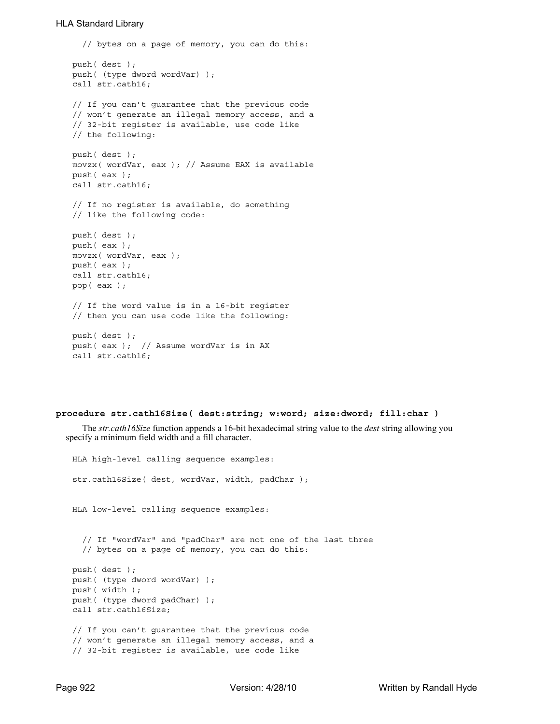```
// bytes on a page of memory, you can do this:
push( dest );
push( (type dword wordVar) );
call str.cath16;
// If you can't guarantee that the previous code
// won't generate an illegal memory access, and a
// 32-bit register is available, use code like
// the following:
push( dest );
movzx( wordVar, eax ); // Assume EAX is available
push( eax );
call str.cath16;
// If no register is available, do something
// like the following code:
push( dest );
push( eax );
movzx( wordVar, eax );
push( eax );
call str.cath16;
pop( eax );
// If the word value is in a 16-bit register
// then you can use code like the following:
push( dest );
push( eax ); // Assume wordVar is in AX
call str.cath16;
```
## **procedure str.cath16Size( dest:string; w:word; size:dword; fill:char )**

The *str.cath16Size* function appends a 16-bit hexadecimal string value to the *dest* string allowing you specify a minimum field width and a fill character.

```
HLA high-level calling sequence examples:
str.cath16Size( dest, wordVar, width, padChar );
HLA low-level calling sequence examples:
  // If "wordVar" and "padChar" are not one of the last three
  // bytes on a page of memory, you can do this:
push( dest );
push( (type dword wordVar) );
push( width );
push( (type dword padChar) );
call str.cath16Size;
// If you can't guarantee that the previous code
// won't generate an illegal memory access, and a
// 32-bit register is available, use code like
```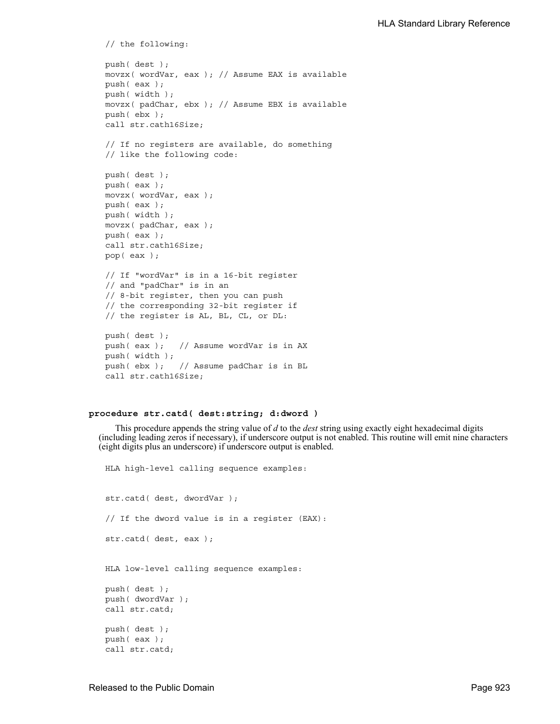```
// the following:
push( dest );
movzx( wordVar, eax ); // Assume EAX is available
push( eax );
push( width );
movzx( padChar, ebx ); // Assume EBX is available
push( ebx );
call str.cath16Size;
// If no registers are available, do something
// like the following code:
push( dest );
push( eax );
movzx( wordVar, eax );
push( eax );
push( width );
movzx( padChar, eax );
push( eax );
call str.cath16Size;
pop( eax );
// If "wordVar" is in a 16-bit register
// and "padChar" is in an
// 8-bit register, then you can push
// the corresponding 32-bit register if
// the register is AL, BL, CL, or DL:
push( dest );
push( eax ); // Assume wordVar is in AX
push( width );
push( ebx ); // Assume padChar is in BL
call str.cath16Size;
```
## **procedure str.catd( dest:string; d:dword )**

This procedure appends the string value of *d* to the *dest* string using exactly eight hexadecimal digits (including leading zeros if necessary), if underscore output is not enabled. This routine will emit nine characters (eight digits plus an underscore) if underscore output is enabled.

```
HLA high-level calling sequence examples:
str.catd( dest, dwordVar );
// If the dword value is in a register (EAX):
str.catd( dest, eax );
HLA low-level calling sequence examples:
push( dest );
push( dwordVar );
call str.catd;
push( dest );
push( eax );
call str.catd;
```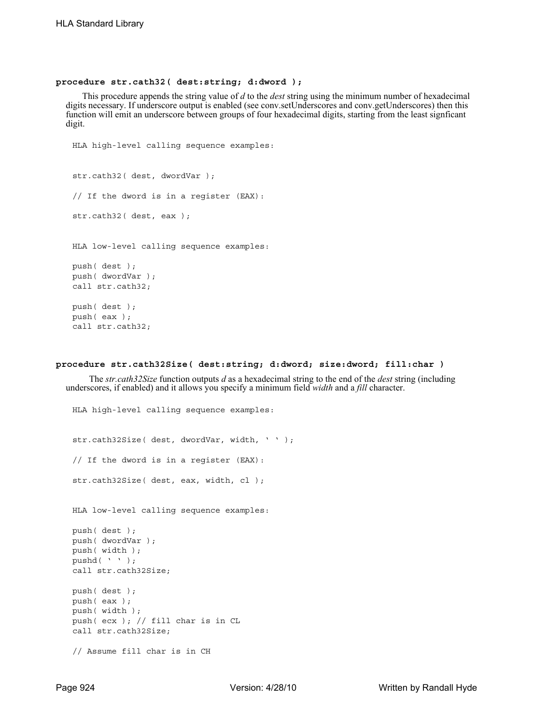### **procedure str.cath32( dest:string; d:dword );**

This procedure appends the string value of *d* to the *dest* string using the minimum number of hexadecimal digits necessary. If underscore output is enabled (see conv.setUnderscores and conv.getUnderscores) then this function will emit an underscore between groups of four hexadecimal digits, starting from the least signficant digit.

```
HLA high-level calling sequence examples:
str.cath32( dest, dwordVar );
// If the dword is in a register (EAX):
str.cath32( dest, eax );
HLA low-level calling sequence examples:
push( dest );
push( dwordVar );
call str.cath32;
push( dest );
push( eax );
call str.cath32;
```
HLA high-level calling sequence examples:

### **procedure str.cath32Size( dest:string; d:dword; size:dword; fill:char )**

 The *str.cath32Size* function outputs *d* as a hexadecimal string to the end of the *dest* string (including underscores, if enabled) and it allows you specify a minimum field *width* and a *fill* character.

```
str.cath32Size( dest, dwordVar, width, ' ' );
// If the dword is in a register (EAX):
str.cath32Size( dest, eax, width, cl );
HLA low-level calling sequence examples:
push( dest );
push( dwordVar );
push( width );
pushd( ' ' );call str.cath32Size;
push( dest );
push( eax );
push( width );
push( ecx ); // fill char is in CL
call str.cath32Size;
// Assume fill char is in CH
```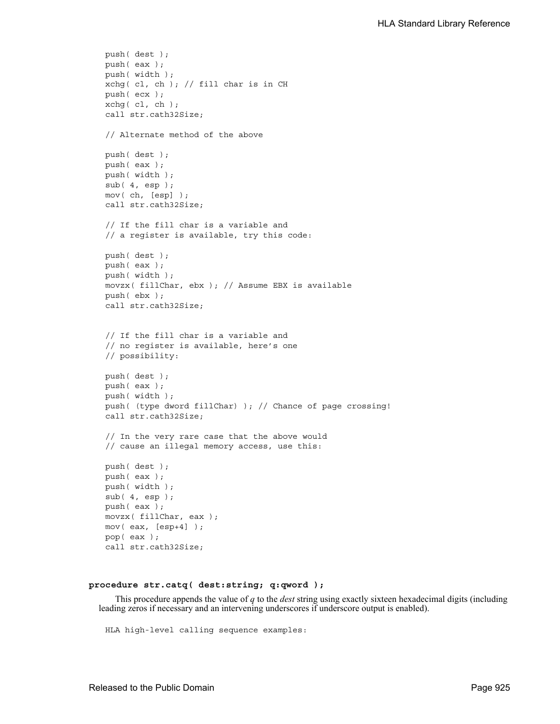```
push( dest );
push( eax );
push( width );
xchg( cl, ch ); // fill char is in CH
push( ecx ); 
xchg( cl, ch );
call str.cath32Size;
// Alternate method of the above
push( dest );
push( eax );
push( width );
sub( 4, esp );
mov( ch, [esp] );
call str.cath32Size;
// If the fill char is a variable and
// a register is available, try this code:
push( dest );
push( eax );
push( width );
movzx( fillChar, ebx ); // Assume EBX is available
push( ebx );
call str.cath32Size;
// If the fill char is a variable and
// no register is available, here's one
// possibility:
push( dest );
push( eax );
push( width );
push( (type dword fillChar) ); // Chance of page crossing!
call str.cath32Size;
// In the very rare case that the above would
// cause an illegal memory access, use this:
push( dest );
push( eax );
push( width );
sub( 4, esp );
push( eax );
movzx( fillChar, eax );
mov( eax, [esp+4] );
pop( eax );
call str.cath32Size;
```
## **procedure str.catq( dest:string; q:qword );**

This procedure appends the value of *q* to the *dest* string using exactly sixteen hexadecimal digits (including leading zeros if necessary and an intervening underscores if underscore output is enabled).

HLA high-level calling sequence examples: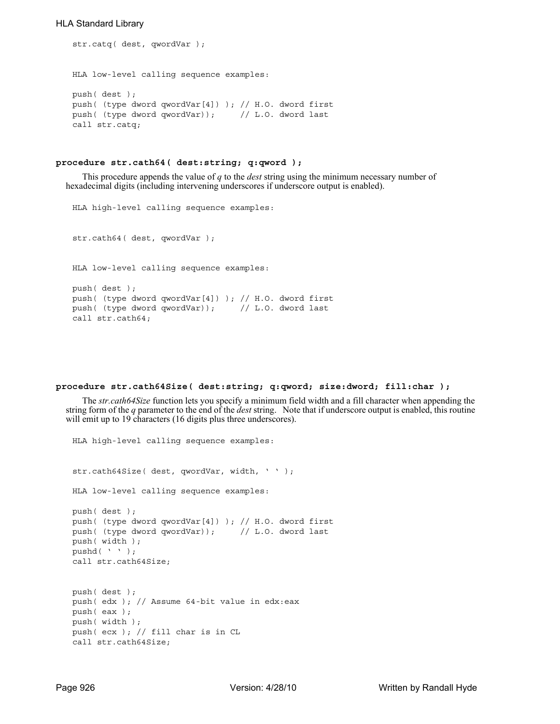```
str.catq( dest, qwordVar );
HLA low-level calling sequence examples:
push( dest );
push( (type dword qwordVar[4]) ); // H.O. dword first
push( (type dword qwordVar)); // L.O. dword last
call str.catq;
```
## **procedure str.cath64( dest:string; q:qword );**

This procedure appends the value of *q* to the *dest* string using the minimum necessary number of hexadecimal digits (including intervening underscores if underscore output is enabled).

```
HLA high-level calling sequence examples:
str.cath64( dest, qwordVar );
HLA low-level calling sequence examples:
push( dest );
push( (type dword qwordVar[4]) ); // H.O. dword first
push( (type dword qwordVar)); // L.O. dword last
call str.cath64;
```
### **procedure str.cath64Size( dest:string; q:qword; size:dword; fill:char );**

The *str.cath64Size* function lets you specify a minimum field width and a fill character when appending the string form of the *q* parameter to the end of the *dest* string. Note that if underscore output is enabled, this routine will emit up to 19 characters (16 digits plus three underscores).

```
HLA high-level calling sequence examples:
str.cath64Size( dest, qwordVar, width, ' ' );
HLA low-level calling sequence examples:
push( dest );
push( (type dword qwordVar[4]) ); // H.O. dword first
push( (type dword qwordVar)); // L.O. dword last
push( width );
pushd( ' ' );
call str.cath64Size;
push( dest );
push( edx ); // Assume 64-bit value in edx:eax
push( eax );
push( width );
push( ecx ); // fill char is in CL
call str.cath64Size;
```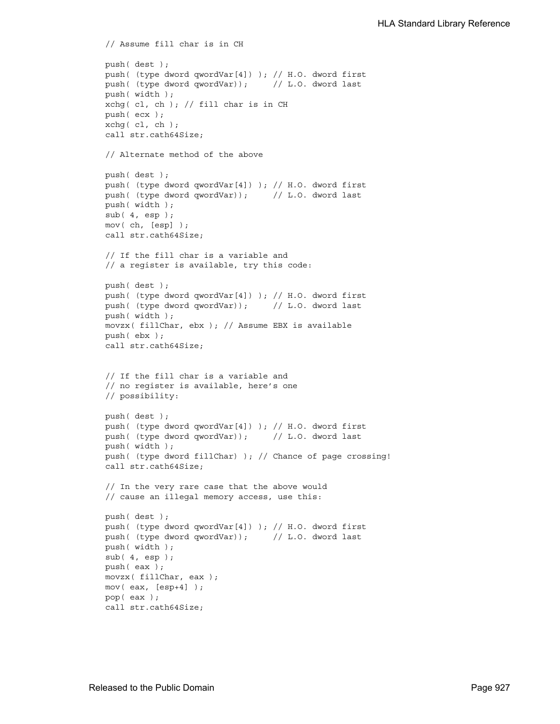```
// Assume fill char is in CH
push( dest );
push( (type dword qwordVar[4]) ); // H.O. dword first
push( (type dword qwordVar)); // L.O. dword last
push( width );
xchg( cl, ch ); // fill char is in CH
push( ecx ); 
xchg(|c1, ch|);call str.cath64Size;
// Alternate method of the above
push( dest );
push( (type dword qwordVar[4]) ); // H.O. dword first
push( (type dword qwordVar)); // L.O. dword last
push( width );
sub(4, esp);mov( ch, [esp] );
call str.cath64Size;
// If the fill char is a variable and
// a register is available, try this code:
push( dest );
push( (type dword qwordVar[4]) ); // H.O. dword first
push( (type dword qwordVar)); // L.O. dword last
push( width );
movzx( fillChar, ebx ); // Assume EBX is available
push( ebx );
call str.cath64Size;
// If the fill char is a variable and
// no register is available, here's one
// possibility:
push( dest );
push( (type dword qwordVar[4]) ); // H.O. dword first
push( (type dword qwordVar)); // L.O. dword last
push( width );
push( (type dword fillChar) ); // Chance of page crossing!
call str.cath64Size;
// In the very rare case that the above would
// cause an illegal memory access, use this:
push( dest );
push( (type dword qwordVar[4]) ); // H.O. dword first
push( (type dword qwordVar)); // L.O. dword last
push( width );
sub( 4, esp );
push( eax );
movzx( fillChar, eax );
mov( eax, [esp+4] );
pop( eax );
call str.cath64Size;
```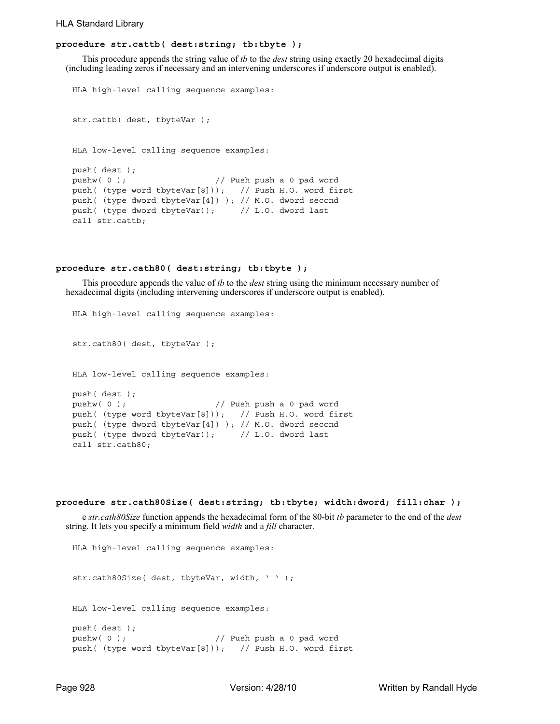## **procedure str.cattb( dest:string; tb:tbyte );**

This procedure appends the string value of *tb* to the *dest* string using exactly 20 hexadecimal digits (including leading zeros if necessary and an intervening underscores if underscore output is enabled).

```
HLA high-level calling sequence examples:
str.cattb( dest, tbyteVar );
HLA low-level calling sequence examples:
push( dest );
pushw(0); \frac{1}{2} Push push a 0 pad word
push( (type word tbyteVar[8])); // Push H.O. word first
push( (type dword tbyteVar[4]) ); // M.O. dword second
push( (type dword tbyteVar)); // L.O. dword last
call str.cattb;
```
#### **procedure str.cath80( dest:string; tb:tbyte );**

This procedure appends the value of *tb* to the *dest* string using the minimum necessary number of hexadecimal digits (including intervening underscores if underscore output is enabled).

```
HLA high-level calling sequence examples:
str.cath80( dest, tbyteVar );
HLA low-level calling sequence examples:
push( dest );
pushw( 0 ); // Push push a 0 pad word
push( (type word tbyteVar[8])); // Push H.O. word first
push( (type dword tbyteVar[4]) ); // M.O. dword second
push( (type dword tbyteVar)); // L.O. dword last
call str.cath80;
```

```
procedure str.cath80Size( dest:string; tb:tbyte; width:dword; fill:char );
```
e *str.cath80Size* function appends the hexadecimal form of the 80-bit *tb* parameter to the end of the *dest* string. It lets you specify a minimum field *width* and a *fill* character.

```
HLA high-level calling sequence examples:
str.cath80Size( dest, tbyteVar, width, ' ' );
HLA low-level calling sequence examples:
push( dest );
pushw(0); \frac{1}{2} // Push push a 0 pad word
push( (type word tbyteVar[8])); // Push H.O. word first
```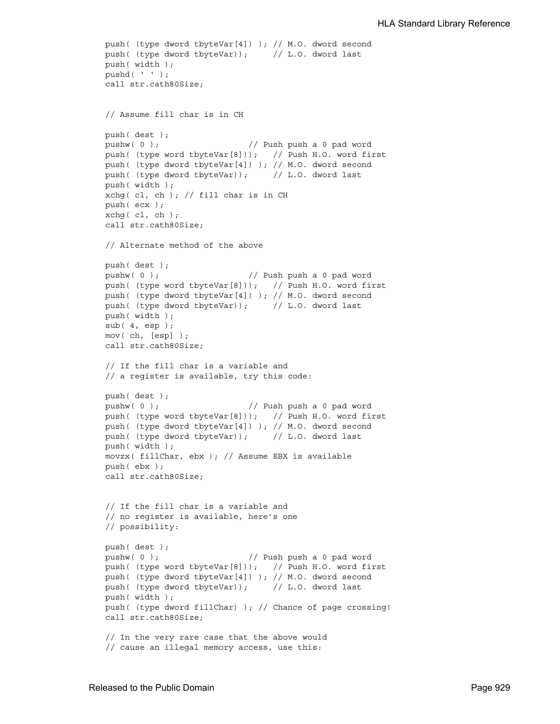```
push( (type dword tbyteVar[4]) ); // M.O. dword second
push( (type dword tbyteVar)); // L.O. dword last
push( width );
pushd( ' ' );
call str.cath80Size;
// Assume fill char is in CH
push( dest );
pushw(0); \frac{1}{2} // Push push a 0 pad word
push( (type word tbyteVar[8])); // Push H.O. word first
push( (type dword tbyteVar[4]) ); // M.O. dword second
push( (type dword tbyteVar)); // L.O. dword last
push( width );
xchg( cl, ch ); // fill char is in CH
push( ecx ); 
xchg( cl, ch );
call str.cath80Size;
// Alternate method of the above
push( dest );
pushw( 0 ); // Push push a 0 pad word
push( (type word tbyteVar[8])); // Push H.O. word first
push( (type dword tbyteVar[4]) ); // M.O. dword second
push( (type dword tbyteVar)); // L.O. dword last
push( width );
sub(4, esp);mov( ch, [esp] );
call str.cath80Size;
// If the fill char is a variable and
// a register is available, try this code:
push( dest );
pushw( 0 ); \frac{1}{2} // Push push a 0 pad word
push( (type word tbyteVar[8])); // Push H.O. word first
push( (type dword tbyteVar[4]) ); // M.O. dword second
push( (type dword tbyteVar)); // L.O. dword last
push( width );
movzx( fillChar, ebx ); // Assume EBX is available
push( ebx );
call str.cath80Size;
// If the fill char is a variable and
// no register is available, here's one
// possibility:
push( dest );
pushw( 0 ); // Push push a 0 pad word
push( (type word tbyteVar[8])); // Push H.O. word first
push( (type dword tbyteVar[4]) ); // M.O. dword second
push( (type dword tbyteVar)); // L.O. dword last
push( width );
push( (type dword fillChar) ); // Chance of page crossing!
call str.cath80Size;
// In the very rare case that the above would
// cause an illegal memory access, use this:
```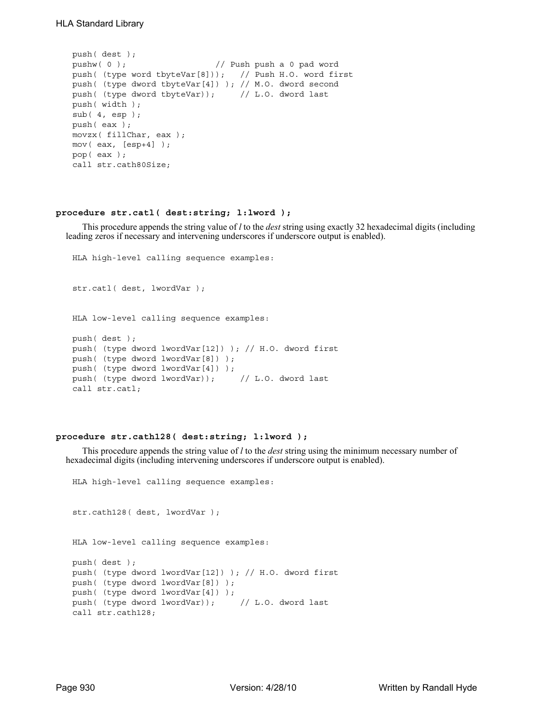```
push( dest );
pushw( 0 ); // Push push a 0 pad word
push( (type word tbyteVar[8])); // Push H.O. word first
push( (type dword tbyteVar[4]) ); // M.O. dword second
push( (type dword tbyteVar)); // L.O. dword last
push( width );
sub( 4, esp );
push( eax );
movzx( fillChar, eax );
mov( eax, [esp+4] );
pop( eax );
call str.cath80Size;
```
## **procedure str.catl( dest:string; l:lword );**

This procedure appends the string value of *l* to the *dest* string using exactly 32 hexadecimal digits (including leading zeros if necessary and intervening underscores if underscore output is enabled).

```
HLA high-level calling sequence examples:
str.catl( dest, lwordVar );
HLA low-level calling sequence examples:
push( dest );
push( (type dword lwordVar[12]) ); // H.O. dword first
push( (type dword lwordVar[8]) ); 
push( (type dword lwordVar[4]) );
push( (type dword lwordVar)); // L.O. dword last
call str.catl;
```
## **procedure str.cath128( dest:string; l:lword );**

This procedure appends the string value of *l* to the *dest* string using the minimum necessary number of hexadecimal digits (including intervening underscores if underscore output is enabled).

```
HLA high-level calling sequence examples:
```

```
str.cath128( dest, lwordVar );
HLA low-level calling sequence examples:
push( dest );
push( (type dword lwordVar[12]) ); // H.O. dword first
push( (type dword lwordVar[8]) ); 
push( (type dword lwordVar[4]) );
push( (type dword lwordVar)); // L.O. dword last
call str.cath128;
```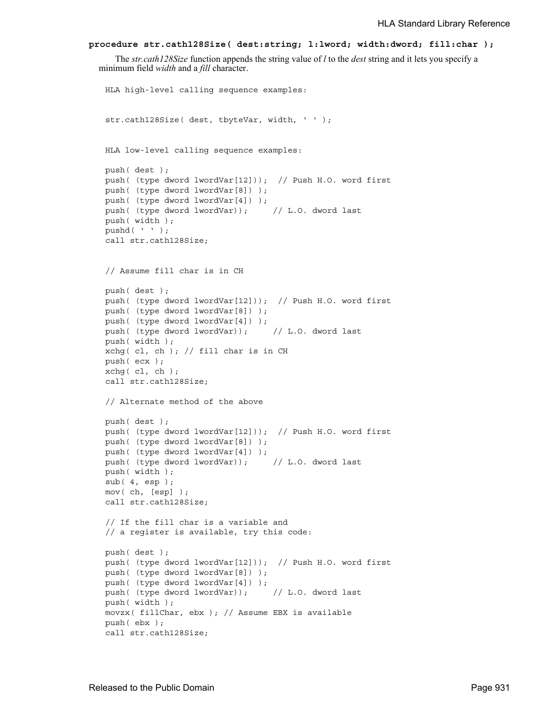```
procedure str.cath128Size( dest:string; l:lword; width:dword; fill:char );
```
The *str.cath128Size* function appends the string value of *l* to the *dest* string and it lets you specify a minimum field *width* and a *fill* character.

```
HLA high-level calling sequence examples:
str.cath128Size( dest, tbyteVar, width, ' ' );
HLA low-level calling sequence examples:
push( dest );
push( (type dword lwordVar[12])); // Push H.O. word first
push( (type dword lwordVar[8]) );
push( (type dword lwordVar[4]) );
push( (type dword lwordVar)); // L.O. dword last
push( width );
pushd( ' ' );
call str.cath128Size;
// Assume fill char is in CH
push( dest );
push( (type dword lwordVar[12])); // Push H.O. word first
push( (type dword lwordVar[8]) );
push( (type dword lwordVar[4]) );
push( (type dword lwordVar)); // L.O. dword last
push( width );
xchg( cl, ch ); // fill char is in CH
push( ecx ); 
xchg(|c1, ch|);call str.cath128Size;
// Alternate method of the above
push( dest );
push( (type dword lwordVar[12])); // Push H.O. word first
push( (type dword lwordVar[8]) );
push( (type dword lwordVar[4]) );
push( (type dword lwordVar)); // L.O. dword last
push( width );
sub( 4, esp );
mov( ch, [esp] );
call str.cath128Size;
// If the fill char is a variable and
// a register is available, try this code:
push( dest );
push( (type dword lwordVar[12])); // Push H.O. word first
push( (type dword lwordVar[8]) );
push( (type dword lwordVar[4]) );
push( (type dword lwordVar)); // L.O. dword last
push( width );
movzx( fillChar, ebx ); // Assume EBX is available
push( ebx );
call str.cath128Size;
```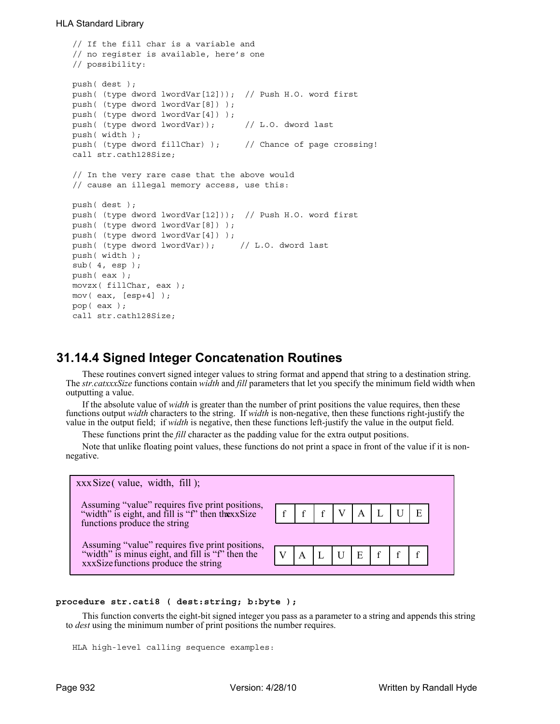```
// If the fill char is a variable and
// no register is available, here's one
// possibility:
push( dest );
push( (type dword lwordVar[12])); // Push H.O. word first
push( (type dword lwordVar[8]) );
push( (type dword lwordVar[4]) );
push( (type dword lwordVar)); // L.O. dword last
push( width );
push( (type dword fillChar) ); // Chance of page crossing!
call str.cath128Size;
// In the very rare case that the above would
// cause an illegal memory access, use this:
push( dest );
push( (type dword lwordVar[12])); // Push H.O. word first
push( (type dword lwordVar[8]) );
push( (type dword lwordVar[4]) );
push( (type dword lwordVar)); // L.O. dword last
push( width );
sub(4, esp);push( eax );
movzx( fillChar, eax );
mov( eax, [esp+4] );
pop( eax );
call str.cath128Size;
```
# **31.14.4 Signed Integer Concatenation Routines**

These routines convert signed integer values to string format and append that string to a destination string. The *str.catxxxSize* functions contain *width* and *fill* parameters that let you specify the minimum field width when outputting a value.

If the absolute value of *width* is greater than the number of print positions the value requires, then these functions output *width* characters to the string. If *width* is non-negative, then these functions right-justify the value in the output field; if *width* is negative, then these functions left-justify the value in the output field.

These functions print the *fill* character as the padding value for the extra output positions.

Note that unlike floating point values, these functions do not print a space in front of the value if it is nonnegative.



# **procedure str.cati8 ( dest:string; b:byte );**

This function converts the eight-bit signed integer you pass as a parameter to a string and appends this string to *dest* using the minimum number of print positions the number requires.

HLA high-level calling sequence examples: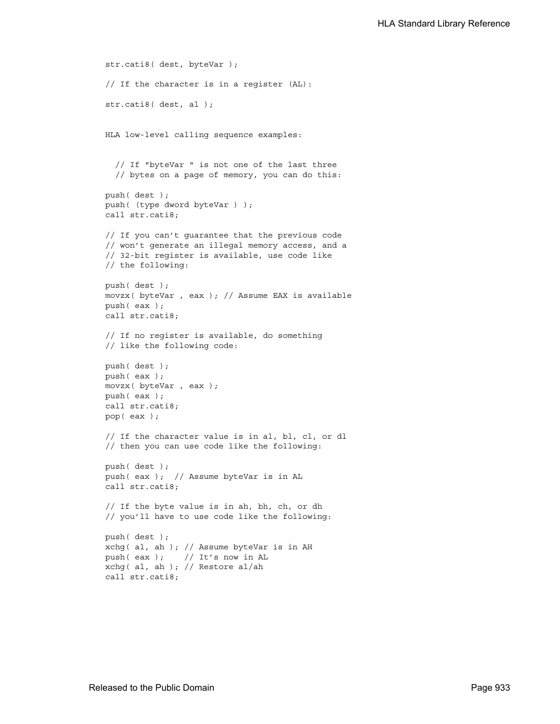```
str.cati8( dest, byteVar );
// If the character is in a register (AL):
str.cati8( dest, al );
HLA low-level calling sequence examples:
  // If "byteVar " is not one of the last three
  // bytes on a page of memory, you can do this:
push( dest );
push( (type dword byteVar ) );
call str.cati8;
// If you can't guarantee that the previous code
// won't generate an illegal memory access, and a
// 32-bit register is available, use code like
// the following:
push( dest );
movzx( byteVar , eax ); // Assume EAX is available
push( eax );
call str.cati8;
// If no register is available, do something
// like the following code:
push( dest );
push( eax );
movzx( byteVar , eax );
push( eax );
call str.cati8;
pop( eax );
// If the character value is in al, bl, cl, or dl
// then you can use code like the following:
push( dest );
push( eax ); // Assume byteVar is in AL
call str.cati8;
// If the byte value is in ah, bh, ch, or dh
// you'll have to use code like the following:
push( dest );
xchg( al, ah ); // Assume byteVar is in AH
push( eax ); // It's now in AL
xchg( al, ah ); // Restore al/ah
call str.cati8;
```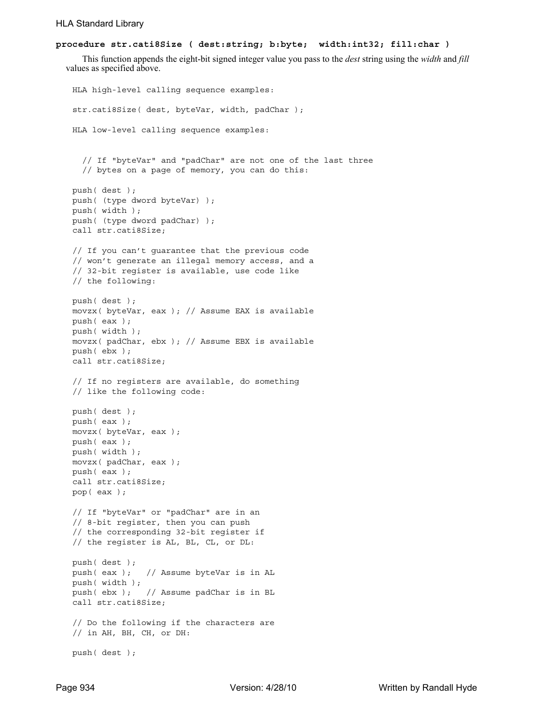# **procedure str.cati8Size ( dest:string; b:byte; width:int32; fill:char )**

This function appends the eight-bit signed integer value you pass to the *dest* string using the *width* and *fill* values as specified above.

```
HLA high-level calling sequence examples:
str.cati8Size( dest, byteVar, width, padChar );
HLA low-level calling sequence examples:
  // If "byteVar" and "padChar" are not one of the last three
  // bytes on a page of memory, you can do this:
push( dest );
push( (type dword byteVar) );
push( width );
push( (type dword padChar) );
call str.cati8Size;
// If you can't guarantee that the previous code
// won't generate an illegal memory access, and a
// 32-bit register is available, use code like
// the following:
push( dest );
movzx( byteVar, eax ); // Assume EAX is available
push( eax );
push( width );
movzx( padChar, ebx ); // Assume EBX is available
push( ebx );
call str.cati8Size;
// If no registers are available, do something
// like the following code:
push( dest );
push( eax );
movzx( byteVar, eax );
push( eax );
push( width );
movzx( padChar, eax );
push( eax );
call str.cati8Size;
pop( eax );
// If "byteVar" or "padChar" are in an
// 8-bit register, then you can push
// the corresponding 32-bit register if
// the register is AL, BL, CL, or DL:
push( dest );
push( eax ); // Assume byteVar is in AL
push( width );
push( ebx ); // Assume padChar is in BL
call str.cati8Size;
// Do the following if the characters are
// in AH, BH, CH, or DH:
push( dest );
```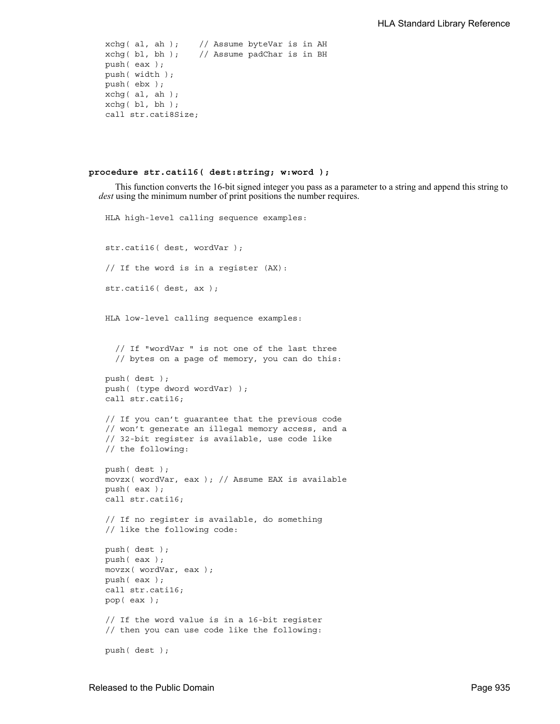```
xchg( al, ah ); // Assume byteVar is in AH
xchg( bl, bh ); // Assume padChar is in BH
push( eax ); 
push( width );
push( ebx );
xchg( al, ah );
xchg( bl, bh );
call str.cati8Size;
```
#### **procedure str.cati16( dest:string; w:word );**

HLA high-level calling sequence examples:

This function converts the 16-bit signed integer you pass as a parameter to a string and append this string to *dest* using the minimum number of print positions the number requires.

```
str.cati16( dest, wordVar );
// If the word is in a register (AX):
str.cati16( dest, ax );
HLA low-level calling sequence examples:
  // If "wordVar " is not one of the last three
  // bytes on a page of memory, you can do this:
push( dest );
push( (type dword wordVar) );
call str.cati16;
// If you can't guarantee that the previous code
// won't generate an illegal memory access, and a
// 32-bit register is available, use code like
// the following:
push( dest );
movzx( wordVar, eax ); // Assume EAX is available
push( eax );
call str.cati16;
// If no register is available, do something
// like the following code:
push( dest );
push( eax );
movzx( wordVar, eax );
push( eax );
call str.cati16;
pop( eax );
// If the word value is in a 16-bit register
// then you can use code like the following:
push( dest );
```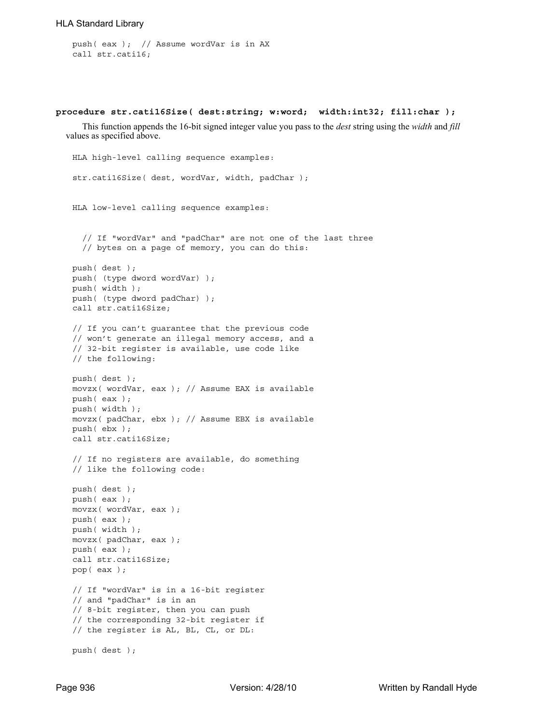```
push( eax ); // Assume wordVar is in AX
call str.cati16;
```
#### **procedure str.cati16Size( dest:string; w:word; width:int32; fill:char );**

This function appends the 16-bit signed integer value you pass to the *dest* string using the *width* and *fill* values as specified above.

```
HLA high-level calling sequence examples:
str.cati16Size( dest, wordVar, width, padChar );
HLA low-level calling sequence examples:
  // If "wordVar" and "padChar" are not one of the last three
  // bytes on a page of memory, you can do this:
push( dest );
push( (type dword wordVar) );
push( width );
push( (type dword padChar) );
call str.cati16Size;
// If you can't guarantee that the previous code
// won't generate an illegal memory access, and a
// 32-bit register is available, use code like
// the following:
push( dest );
movzx( wordVar, eax ); // Assume EAX is available
push( eax );
push( width );
movzx( padChar, ebx ); // Assume EBX is available
push( ebx );
call str.cati16Size;
// If no registers are available, do something
// like the following code:
push( dest );
push( eax );
movzx( wordVar, eax );
push( eax );
push( width );
movzx( padChar, eax );
push( eax );
call str.cati16Size;
pop( eax );
// If "wordVar" is in a 16-bit register
// and "padChar" is in an
// 8-bit register, then you can push
// the corresponding 32-bit register if
// the register is AL, BL, CL, or DL:
push( dest );
```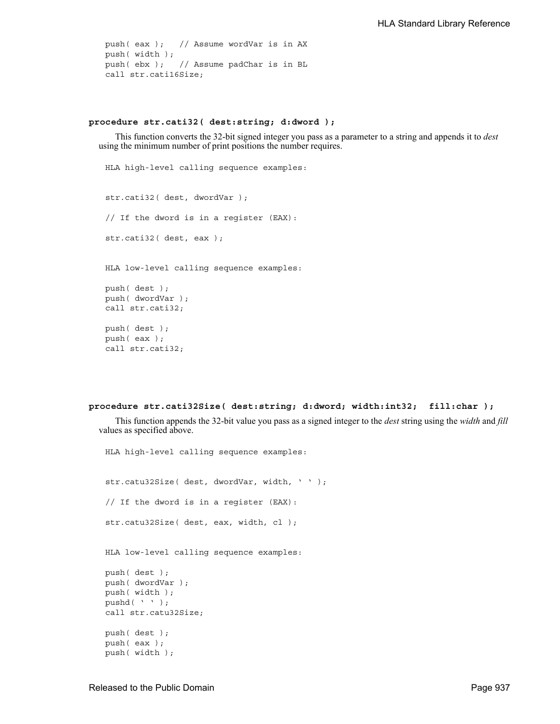```
push( eax ); // Assume wordVar is in AX
push( width );
push( ebx ); // Assume padChar is in BL
call str.cati16Size;
```
# **procedure str.cati32( dest:string; d:dword );**

This function converts the 32-bit signed integer you pass as a parameter to a string and appends it to *dest* using the minimum number of print positions the number requires.

```
HLA high-level calling sequence examples:
str.cati32( dest, dwordVar );
// If the dword is in a register (EAX):
str.cati32( dest, eax );
HLA low-level calling sequence examples:
push( dest );
push( dwordVar );
call str.cati32;
push( dest );
push( eax );
call str.cati32;
```

```
procedure str.cati32Size( dest:string; d:dword; width:int32; fill:char );
```
This function appends the 32-bit value you pass as a signed integer to the *dest* string using the *width* and *fill* values as specified above.

```
HLA high-level calling sequence examples:
str.catu32Size( dest, dwordVar, width, ' ' );
// If the dword is in a register (EAX):
str.catu32Size( dest, eax, width, cl );
HLA low-level calling sequence examples:
push( dest );
push( dwordVar );
push( width );
pushd( ' ' );
call str.catu32Size;
push( dest );
push( eax );
push( width );
```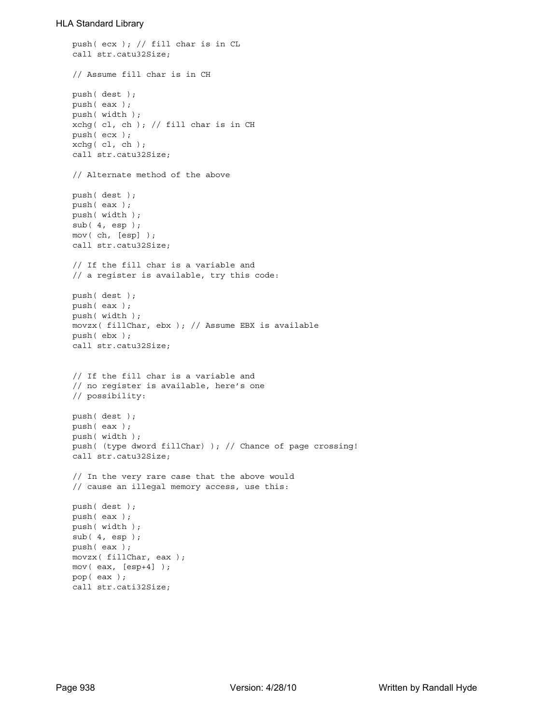```
push( ecx ); // fill char is in CL
call str.catu32Size;
// Assume fill char is in CH
push( dest );
push( eax );
push( width );
xchg( cl, ch ); // fill char is in CH
push( ecx ); 
xchg(|c1, ch|);call str.catu32Size;
// Alternate method of the above
push( dest );
push( eax );
push( width );
sub( 4, esp );
mov( ch, [esp] );
call str.catu32Size;
// If the fill char is a variable and
// a register is available, try this code:
push( dest );
push( eax );
push( width );
movzx( fillChar, ebx ); // Assume EBX is available
push( ebx );
call str.catu32Size;
// If the fill char is a variable and
// no register is available, here's one
// possibility:
push( dest );
push( eax );
push( width );
push( (type dword fillChar) ); // Chance of page crossing!
call str.catu32Size;
// In the very rare case that the above would
// cause an illegal memory access, use this:
push( dest );
push( eax );
push( width );
sub( 4, esp );
push( eax );
movzx( fillChar, eax );
mov( eax, [esp+4] );
pop( eax );
call str.cati32Size;
```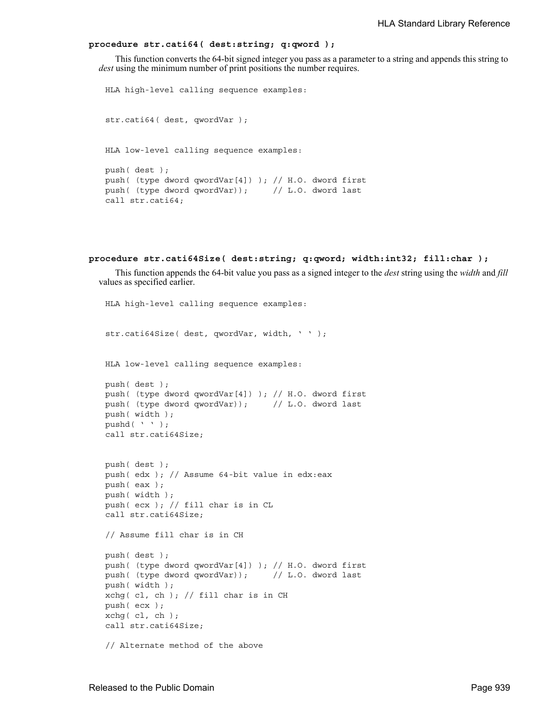### **procedure str.cati64( dest:string; q:qword );**

This function converts the 64-bit signed integer you pass as a parameter to a string and appends this string to *dest* using the minimum number of print positions the number requires.

```
HLA high-level calling sequence examples:
str.cati64( dest, qwordVar );
HLA low-level calling sequence examples:
push( dest );
push( (type dword qwordVar[4]) ); // H.O. dword first
push( (type dword qwordVar)); // L.O. dword last
call str.cati64;
```

```
procedure str.cati64Size( dest:string; q:qword; width:int32; fill:char );
```
This function appends the 64-bit value you pass as a signed integer to the *dest* string using the *width* and *fill* values as specified earlier.

```
HLA high-level calling sequence examples:
str.cati64Size( dest, qwordVar, width, ' ' );
HLA low-level calling sequence examples:
push( dest );
push( (type dword qwordVar[4]) ); // H.O. dword first
push( (type dword qwordVar)); // L.O. dword last
push( width );
pushd( ' ' );
call str.cati64Size;
push( dest );
push( edx ); // Assume 64-bit value in edx:eax
push( eax );
push( width );
push( ecx ); // fill char is in CL
call str.cati64Size;
// Assume fill char is in CH
push( dest );
push( (type dword qwordVar[4]) ); // H.O. dword first
push( (type dword qwordVar)); // L.O. dword last
push( width );
xchg( cl, ch ); // fill char is in CH
push( ecx ); 
xchg( cl, ch );
call str.cati64Size;
// Alternate method of the above
```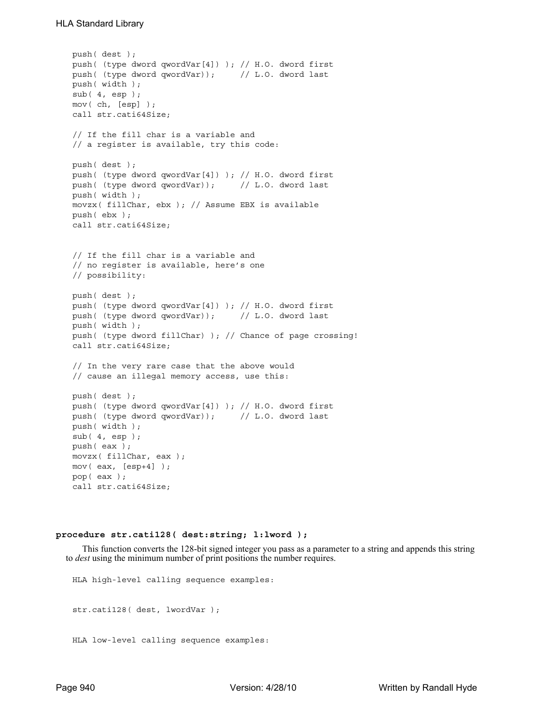```
push( dest );
push( (type dword qwordVar[4]) ); // H.O. dword first
push( (type dword qwordVar)); // L.O. dword last
push( width );
sub( 4, esp );
mov( ch, [esp] );
call str.cati64Size;
// If the fill char is a variable and
// a register is available, try this code:
push( dest );
push( (type dword qwordVar[4]) ); // H.O. dword first
push( (type dword qwordVar)); // L.O. dword last
push( width );
movzx( fillChar, ebx ); // Assume EBX is available
push( ebx );
call str.cati64Size;
// If the fill char is a variable and
// no register is available, here's one
// possibility:
push( dest );
push( (type dword qwordVar[4]) ); // H.O. dword first
push( (type dword qwordVar)); // L.O. dword last
push( width );
push( (type dword fillChar) ); // Chance of page crossing!
call str.cati64Size;
// In the very rare case that the above would
// cause an illegal memory access, use this:
push( dest );
push( (type dword qwordVar[4]) ); // H.O. dword first
push( (type dword qwordVar)); // L.O. dword last
push( width );
sub( 4, esp );
push( eax );
movzx( fillChar, eax );
mov( eax, [esp+4] );
pop( eax );
call str.cati64Size;
```
#### **procedure str.cati128( dest:string; l:lword );**

This function converts the 128-bit signed integer you pass as a parameter to a string and appends this string to *dest* using the minimum number of print positions the number requires.

HLA high-level calling sequence examples: str.cati128( dest, lwordVar ); HLA low-level calling sequence examples: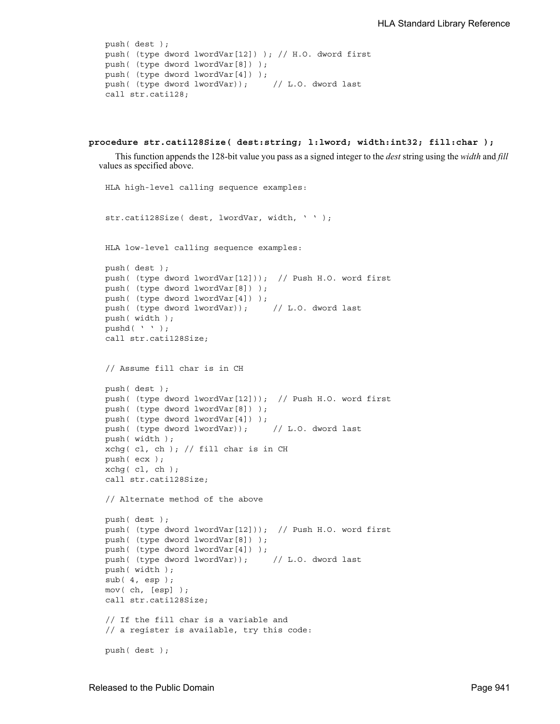```
push( dest );
push( (type dword lwordVar[12]) ); // H.O. dword first
push( (type dword lwordVar[8]) ); 
push( (type dword lwordVar[4]) );
push( (type dword lwordVar)); // L.O. dword last
call str.cati128;
```

```
procedure str.cati128Size( dest:string; l:lword; width:int32; fill:char );
```
This function appends the 128-bit value you pass as a signed integer to the *dest* string using the *width* and *fill* values as specified above.

```
HLA high-level calling sequence examples:
str.cati128Size( dest, lwordVar, width, ' ' );
HLA low-level calling sequence examples:
push( dest );
push( (type dword lwordVar[12])); // Push H.O. word first
push( (type dword lwordVar[8]) );
push( (type dword lwordVar[4]) );
push( (type dword lwordVar)); // L.O. dword last
push( width );
pushd( ' ' );
call str.cati128Size;
// Assume fill char is in CH
push( dest );
push( (type dword lwordVar[12])); // Push H.O. word first
push( (type dword lwordVar[8]) );
push( (type dword lwordVar[4]) );
push( (type dword lwordVar)); // L.O. dword last
push( width );
xchg( cl, ch ); // fill char is in CH
push( ecx ); 
xchg( cl, ch );
call str.cati128Size;
// Alternate method of the above
push( dest );
push( (type dword lwordVar[12])); // Push H.O. word first
push( (type dword lwordVar[8]) );
push( (type dword lwordVar[4]) );
push( (type dword lwordVar)); // L.O. dword last
push( width );
sub(4, esp);mov( ch, [esp] );
call str.cati128Size;
// If the fill char is a variable and
// a register is available, try this code:
push( dest );
```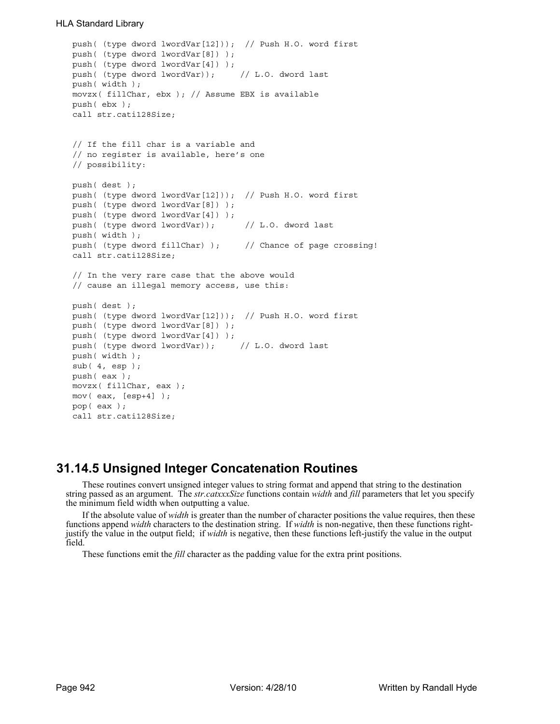```
push( (type dword lwordVar[12])); // Push H.O. word first
push( (type dword lwordVar[8]) );
push( (type dword lwordVar[4]) );
push( (type dword lwordVar)); // L.O. dword last
push( width );
movzx( fillChar, ebx ); // Assume EBX is available
push( ebx );
call str.cati128Size;
// If the fill char is a variable and
// no register is available, here's one
// possibility:
push( dest );
push( (type dword lwordVar[12])); // Push H.O. word first
push( (type dword lwordVar[8]) );
push( (type dword lwordVar[4]) );
push( (type dword lwordVar)); // L.O. dword last
push( width );
push( (type dword fillChar) ); // Chance of page crossing!
call str.cati128Size;
// In the very rare case that the above would
// cause an illegal memory access, use this:
push( dest );
push( (type dword lwordVar[12])); // Push H.O. word first
push( (type dword lwordVar[8]) );
push( (type dword lwordVar[4]) );
push( (type dword lwordVar)); // L.O. dword last
push( width );
sub(4, esp);push( eax );
movzx( fillChar, eax );
mov( eax, [esp+4] );
pop( eax );
call str.cati128Size;
```
# **31.14.5 Unsigned Integer Concatenation Routines**

These routines convert unsigned integer values to string format and append that string to the destination string passed as an argument. The *str.catxxxSize* functions contain *width* and *fill* parameters that let you specify the minimum field width when outputting a value.

If the absolute value of *width* is greater than the number of character positions the value requires, then these functions append *width* characters to the destination string. If *width* is non-negative, then these functions rightjustify the value in the output field; if *width* is negative, then these functions left-justify the value in the output field.

These functions emit the *fill* character as the padding value for the extra print positions.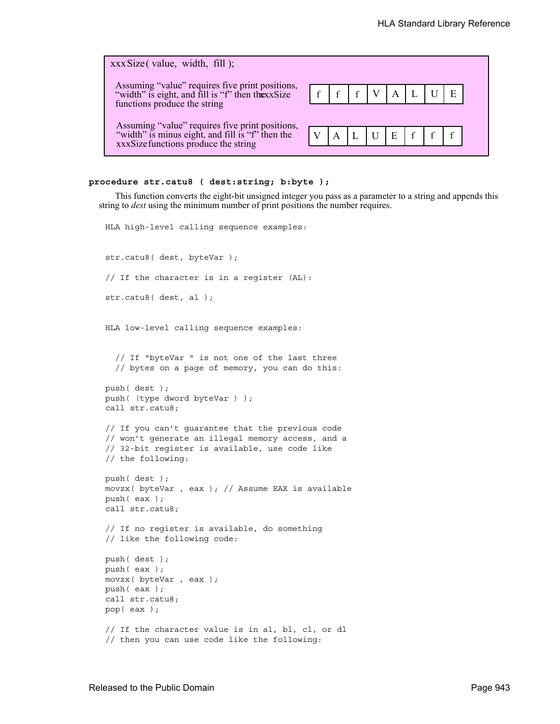| $xxxSize$ (value, width, fill);                                                                                                             |  |                               |  |  |  |
|---------------------------------------------------------------------------------------------------------------------------------------------|--|-------------------------------|--|--|--|
| Assuming "value" requires five print positions,<br>"width" is eight, and fill is "f" then thexxSize<br>functions produce the string         |  | f   f   f   V   A   L   U   E |  |  |  |
| Assuming "value" requires five print positions,<br>"width" is minus eight, and fill is "f" then the<br>xxxSize functions produce the string |  | $V$ $A$ $L$ $U$ $E$ $f$ $f$   |  |  |  |

#### **procedure str.catu8 ( dest:string; b:byte );**

This function converts the eight-bit unsigned integer you pass as a parameter to a string and appends this string to *dest* using the minimum number of print positions the number requires.

```
HLA high-level calling sequence examples:
str.catu8( dest, byteVar );
// If the character is in a register (AL):
str.catu8( dest, al );
HLA low-level calling sequence examples:
  // If "byteVar " is not one of the last three
  // bytes on a page of memory, you can do this:
push( dest );
push( (type dword byteVar ) );
call str.catu8;
// If you can't guarantee that the previous code
// won't generate an illegal memory access, and a
// 32-bit register is available, use code like
// the following:
push( dest );
movzx( byteVar , eax ); // Assume EAX is available
push( eax );
call str.catu8;
// If no register is available, do something
// like the following code:
push( dest );
push( eax );
movzx( byteVar , eax );
push( eax );
call str.catu8;
pop( eax );
// If the character value is in al, bl, cl, or dl
// then you can use code like the following:
```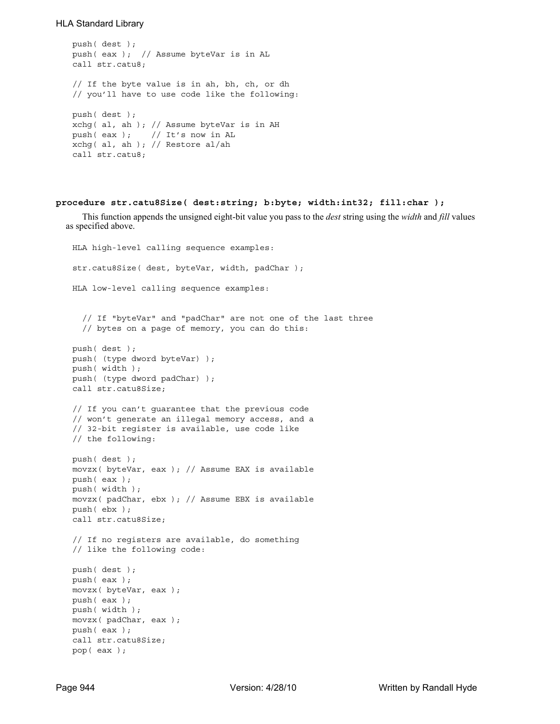```
push( dest );
push( eax ); // Assume byteVar is in AL
call str.catu8;
// If the byte value is in ah, bh, ch, or dh
// you'll have to use code like the following:
push( dest );
xchg( al, ah ); // Assume byteVar is in AH
push( eax ); // It's now in AL
xchg( al, ah ); // Restore al/ah
call str.catu8;
```
### **procedure str.catu8Size( dest:string; b:byte; width:int32; fill:char );**

This function appends the unsigned eight-bit value you pass to the *dest* string using the *width* and *fill* values as specified above.

```
HLA high-level calling sequence examples:
str.catu8Size( dest, byteVar, width, padChar );
HLA low-level calling sequence examples:
  // If "byteVar" and "padChar" are not one of the last three
  // bytes on a page of memory, you can do this:
push( dest );
push( (type dword byteVar) );
push( width );
push( (type dword padChar) );
call str.catu8Size;
// If you can't guarantee that the previous code
// won't generate an illegal memory access, and a
// 32-bit register is available, use code like
// the following:
push( dest );
movzx( byteVar, eax ); // Assume EAX is available
push( eax );
push( width );
movzx( padChar, ebx ); // Assume EBX is available
push( ebx );
call str.catu8Size;
// If no registers are available, do something
// like the following code:
push( dest );
push( eax );
movzx( byteVar, eax );
push( eax );
push( width );
movzx( padChar, eax );
push( eax );
call str.catu8Size;
pop( eax );
```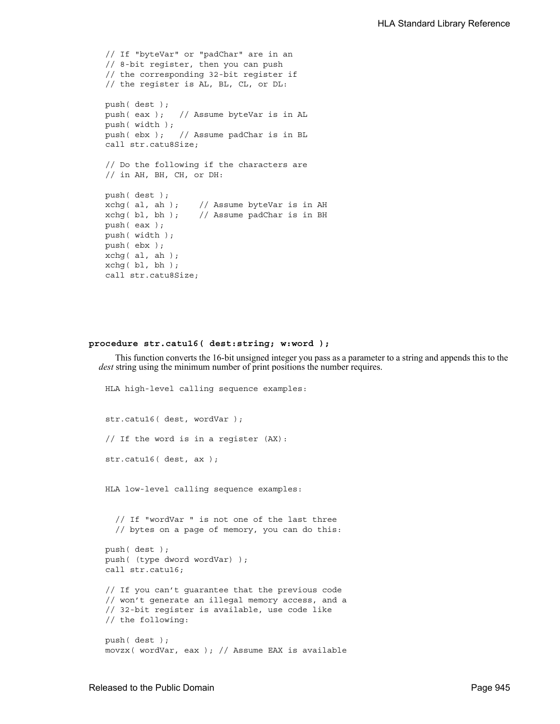```
// If "byteVar" or "padChar" are in an
// 8-bit register, then you can push
// the corresponding 32-bit register if
// the register is AL, BL, CL, or DL:
push( dest );
push( eax ); // Assume byteVar is in AL
push( width );
push( ebx ); // Assume padChar is in BL
call str.catu8Size;
// Do the following if the characters are
// in AH, BH, CH, or DH:
push( dest );
xchg( al, ah ); // Assume byteVar is in AH
xchg( bl, bh ); // Assume padChar is in BH
push( eax ); 
push( width );
push( ebx );
xchg( al, ah );
xchg( bl, bh );
call str.catu8Size;
```
# **procedure str.catu16( dest:string; w:word );**

This function converts the 16-bit unsigned integer you pass as a parameter to a string and appends this to the *dest* string using the minimum number of print positions the number requires.

```
HLA high-level calling sequence examples:
str.catu16( dest, wordVar );
// If the word is in a register (AX):
str.catu16( dest, ax );
HLA low-level calling sequence examples:
  // If "wordVar " is not one of the last three
  // bytes on a page of memory, you can do this:
push( dest );
push( (type dword wordVar) );
call str.catu16;
// If you can't guarantee that the previous code
// won't generate an illegal memory access, and a
// 32-bit register is available, use code like
// the following:
push( dest );
movzx( wordVar, eax ); // Assume EAX is available
```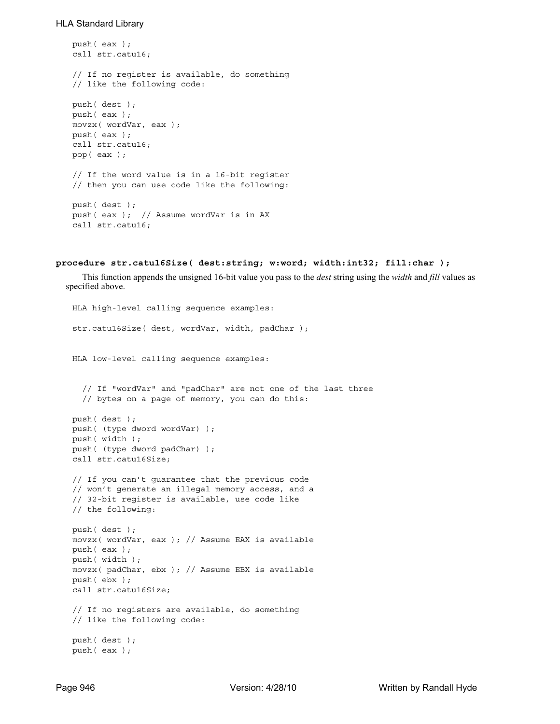```
push( eax );
call str.catu16;
// If no register is available, do something
// like the following code:
push( dest );
push( eax );
movzx( wordVar, eax );
push( eax );
call str.catu16;
pop( eax );
// If the word value is in a 16-bit register
// then you can use code like the following:
push( dest );
push( eax ); // Assume wordVar is in AX
call str.catu16;
```

```
procedure str.catu16Size( dest:string; w:word; width:int32; fill:char );
```
This function appends the unsigned 16-bit value you pass to the *dest* string using the *width* and *fill* values as specified above.

```
HLA high-level calling sequence examples:
str.catu16Size( dest, wordVar, width, padChar );
HLA low-level calling sequence examples:
  // If "wordVar" and "padChar" are not one of the last three
  // bytes on a page of memory, you can do this:
push( dest );
push( (type dword wordVar) );
push( width );
push( (type dword padChar) );
call str.catu16Size;
// If you can't guarantee that the previous code
// won't generate an illegal memory access, and a
// 32-bit register is available, use code like
// the following:
push( dest );
movzx( wordVar, eax ); // Assume EAX is available
push( eax );
push( width );
movzx( padChar, ebx ); // Assume EBX is available
push( ebx );
call str.catu16Size;
// If no registers are available, do something
// like the following code:
push( dest );
push( eax );
```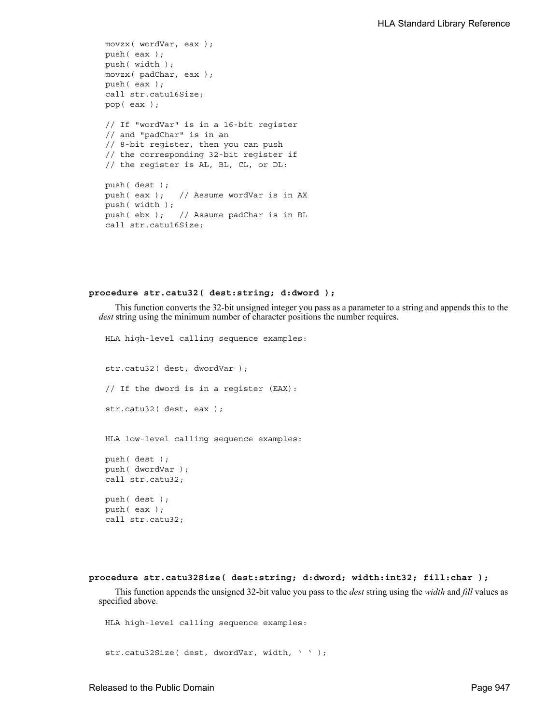```
movzx( wordVar, eax );
push( eax );
push( width );
movzx( padChar, eax );
push( eax );
call str.catu16Size;
pop( eax );
// If "wordVar" is in a 16-bit register
// and "padChar" is in an
// 8-bit register, then you can push
// the corresponding 32-bit register if
// the register is AL, BL, CL, or DL:
push( dest );
push( eax ); // Assume wordVar is in AX
push( width );
push( ebx ); // Assume padChar is in BL
call str.catu16Size;
```
#### **procedure str.catu32( dest:string; d:dword );**

This function converts the 32-bit unsigned integer you pass as a parameter to a string and appends this to the *dest* string using the minimum number of character positions the number requires.

HLA high-level calling sequence examples: str.catu32( dest, dwordVar ); // If the dword is in a register (EAX): str.catu32( dest, eax ); HLA low-level calling sequence examples: push( dest ); push( dwordVar ); call str.catu32; push( dest ); push( eax ); call str.catu32;

```
procedure str.catu32Size( dest:string; d:dword; width:int32; fill:char );
```
This function appends the unsigned 32-bit value you pass to the *dest* string using the *width* and *fill* values as specified above.

HLA high-level calling sequence examples:

str.catu32Size( dest, dwordVar, width, ' ' );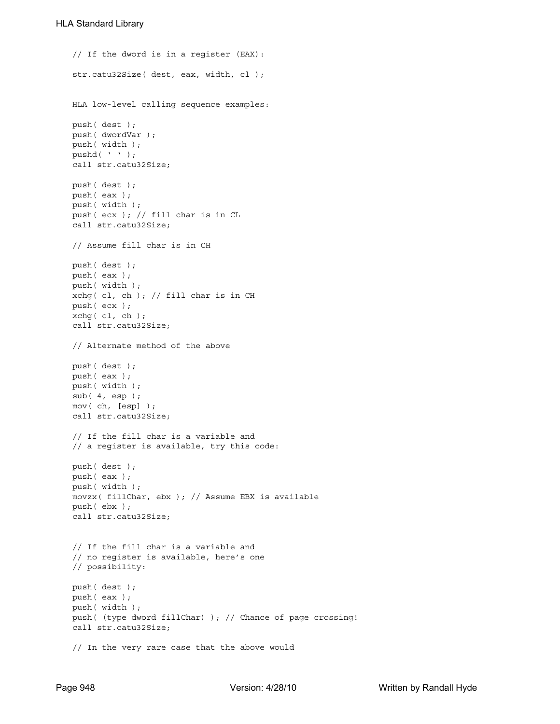// If the dword is in a register (EAX): str.catu32Size( dest, eax, width, cl ); HLA low-level calling sequence examples: push( dest ); push( dwordVar ); push( width ); pushd( ' ' ); call str.catu32Size; push( dest ); push( eax ); push( width ); push( ecx ); // fill char is in CL call str.catu32Size; // Assume fill char is in CH push( dest ); push( eax ); push( width ); xchg( cl, ch ); // fill char is in CH push( ecx ); xchg( cl, ch ); call str.catu32Size; // Alternate method of the above push( dest ); push( eax ); push( width );  $sub(4, esp);$ mov( ch, [esp] ); call str.catu32Size; // If the fill char is a variable and // a register is available, try this code: push( dest ); push( eax ); push( width ); movzx( fillChar, ebx ); // Assume EBX is available push( ebx ); call str.catu32Size; // If the fill char is a variable and // no register is available, here's one // possibility: push( dest ); push( eax ); push( width ); push( (type dword fillChar) ); // Chance of page crossing! call str.catu32Size; // In the very rare case that the above would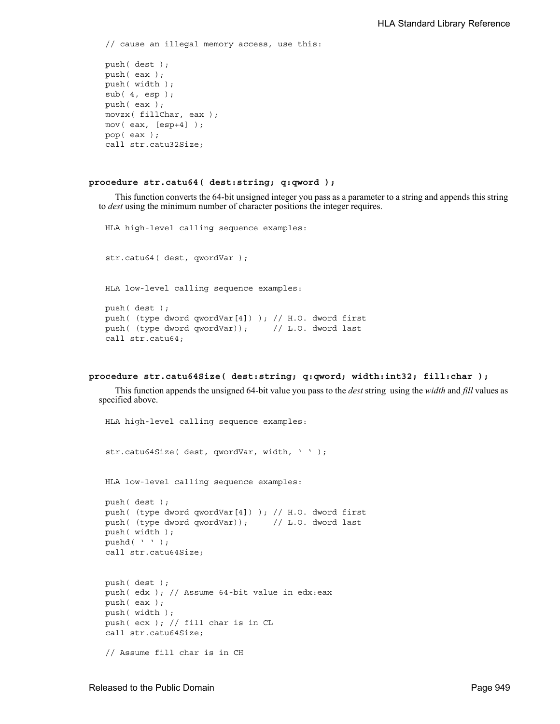// cause an illegal memory access, use this: push( dest ); push( eax ); push( width );  $sub(4, esp);$ push( eax ); movzx( fillChar, eax ); mov(  $eax$ ,  $[esp+4]$  ); pop( eax );

call str.catu32Size;

#### **procedure str.catu64( dest:string; q:qword );**

This function converts the 64-bit unsigned integer you pass as a parameter to a string and appends this string to *dest* using the minimum number of character positions the integer requires.

HLA high-level calling sequence examples: str.catu64( dest, qwordVar ); HLA low-level calling sequence examples: push( dest ); push( (type dword qwordVar[4]) ); // H.O. dword first push( (type dword qwordVar)); // L.O. dword last call str.catu64;

```
procedure str.catu64Size( dest:string; q:qword; width:int32; fill:char );
```
This function appends the unsigned 64-bit value you pass to the *dest* string using the *width* and *fill* values as specified above.

HLA high-level calling sequence examples: str.catu64Size( dest, qwordVar, width, ' ' ); HLA low-level calling sequence examples: push( dest ); push( (type dword qwordVar[4]) ); // H.O. dword first push( (type dword qwordVar)); // L.O. dword last push( width ); pushd( ' ' ); call str.catu64Size; push( dest ); push( edx ); // Assume 64-bit value in edx:eax push( eax ); push( width ); push( ecx ); // fill char is in CL call str.catu64Size; // Assume fill char is in CH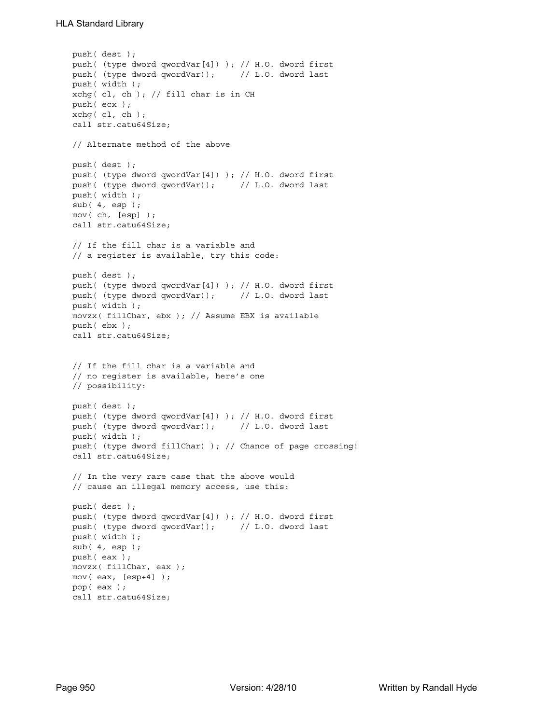```
push( dest );
push( (type dword qwordVar[4]) ); // H.O. dword first
push( (type dword qwordVar)); // L.O. dword last
push( width );
xchg(|c1, ch|); // fill char is in CHpush( ecx ); 
xchg( cl, ch );
call str.catu64Size;
// Alternate method of the above
push( dest );
push( (type dword qwordVar[4]) ); // H.O. dword first
push( (type dword qwordVar)); // L.O. dword last
push( width );
sub(4, esp);mov( ch, [esp] );
call str.catu64Size;
// If the fill char is a variable and
// a register is available, try this code:
push( dest );
push( (type dword qwordVar[4]) ); // H.O. dword first
push( (type dword qwordVar)); // L.O. dword last
push( width );
movzx( fillChar, ebx ); // Assume EBX is available
push( ebx );
call str.catu64Size;
// If the fill char is a variable and
// no register is available, here's one
// possibility:
push( dest );
push( (type dword qwordVar[4]) ); // H.O. dword first
push( (type dword qwordVar)); // L.O. dword last
push( width );
push( (type dword fillChar) ); // Chance of page crossing!
call str.catu64Size;
// In the very rare case that the above would
// cause an illegal memory access, use this:
push( dest );
push( (type dword qwordVar[4]) ); // H.O. dword first
push( (type dword qwordVar)); // L.O. dword last
push( width );
sub( 4, esp );
push( eax );
movzx( fillChar, eax );
mov( eax, [esp+4] );
pop( eax );
call str.catu64Size;
```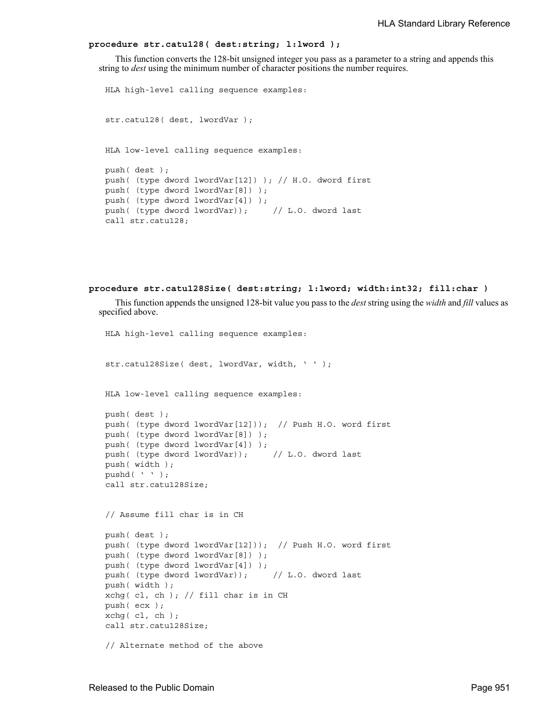### **procedure str.catu128( dest:string; l:lword );**

This function converts the 128-bit unsigned integer you pass as a parameter to a string and appends this string to *dest* using the minimum number of character positions the number requires.

```
HLA high-level calling sequence examples:
str.catu128( dest, lwordVar );
HLA low-level calling sequence examples:
push( dest );
push( (type dword lwordVar[12]) ); // H.O. dword first
push( (type dword lwordVar[8]) ); 
push( (type dword lwordVar[4]) );
push( (type dword lwordVar)); // L.O. dword last
call str.catu128;
```

```
procedure str.catu128Size( dest:string; l:lword; width:int32; fill:char )
```
This function appends the unsigned 128-bit value you pass to the *dest* string using the *width* and *fill* values as specified above.

```
HLA high-level calling sequence examples:
str.catu128Size( dest, lwordVar, width, ' ' );
HLA low-level calling sequence examples:
push( dest );
push( (type dword lwordVar[12])); // Push H.O. word first
push( (type dword lwordVar[8]) );
push( (type dword lwordVar[4]) );
push( (type dword lwordVar)); // L.O. dword last
push( width );
pushd( ' ' );
call str.catu128Size;
// Assume fill char is in CH
push( dest );
push( (type dword lwordVar[12])); // Push H.O. word first
push( (type dword lwordVar[8]) );
push( (type dword lwordVar[4]) );
push( (type dword lwordVar)); // L.O. dword last
push( width );
xchg( cl, ch ); // fill char is in CH
push( ecx ); 
xchg( cl, ch );
call str.catu128Size;
// Alternate method of the above
```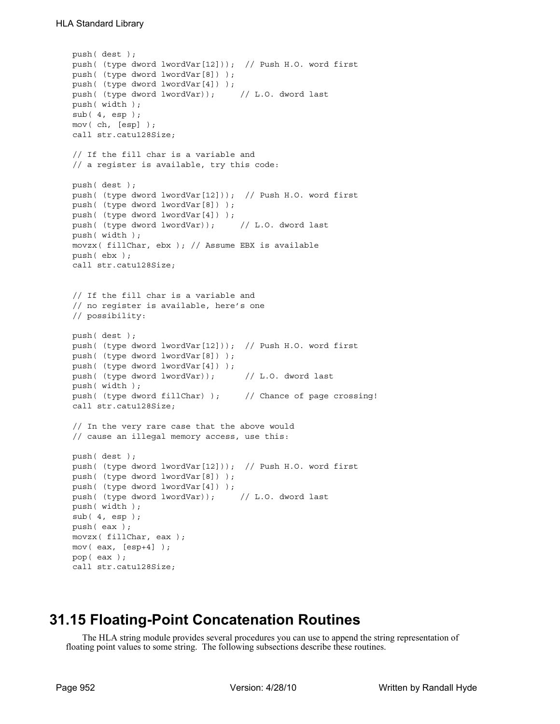```
push( dest );
push( (type dword lwordVar[12])); // Push H.O. word first
push( (type dword lwordVar[8]) );
push( (type dword lwordVar[4]) );
push( (type dword lwordVar)); // L.O. dword last
push( width );
sub( 4, esp );
mov( ch, [esp] );
call str.catu128Size;
// If the fill char is a variable and
// a register is available, try this code:
push( dest );
push( (type dword lwordVar[12])); // Push H.O. word first
push( (type dword lwordVar[8]) );
push( (type dword lwordVar[4]) );
push( (type dword lwordVar)); // L.O. dword last
push( width );
movzx( fillChar, ebx ); // Assume EBX is available
push( ebx );
call str.catu128Size;
// If the fill char is a variable and
// no register is available, here's one
// possibility:
push( dest );
push( (type dword lwordVar[12])); // Push H.O. word first
push( (type dword lwordVar[8]) );
push( (type dword lwordVar[4]) );
push( (type dword lwordVar)); // L.O. dword last
push( width );
push( (type dword fillChar) ); \qquad // Chance of page crossing!
call str.catu128Size;
// In the very rare case that the above would
// cause an illegal memory access, use this:
push( dest );
push( (type dword lwordVar[12])); // Push H.O. word first
push( (type dword lwordVar[8]) );
push( (type dword lwordVar[4]) );
push( (type dword lwordVar)); // L.O. dword last
push( width );
sub( 4, esp );
push( eax );
movzx( fillChar, eax );
mov( eax, [esp+4] );
pop( eax );
call str.catu128Size;
```
# **31.15 Floating-Point Concatenation Routines**

The HLA string module provides several procedures you can use to append the string representation of floating point values to some string. The following subsections describe these routines.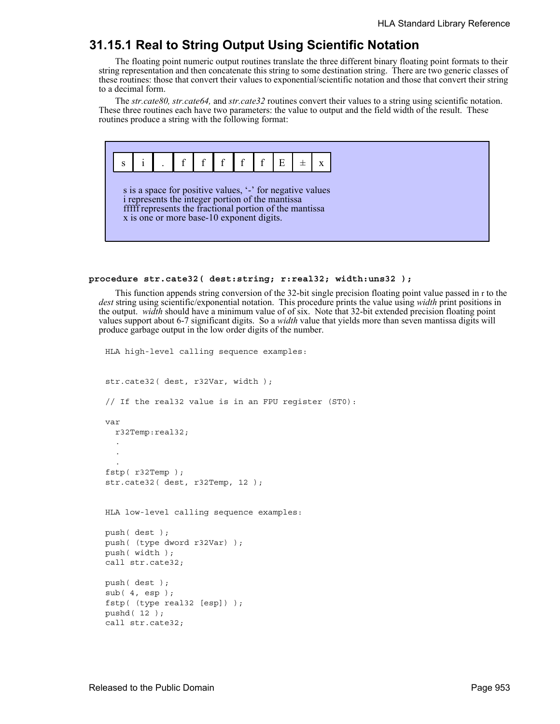# **31.15.1 Real to String Output Using Scientific Notation**

The floating point numeric output routines translate the three different binary floating point formats to their string representation and then concatenate this string to some destination string. There are two generic classes of these routines: those that convert their values to exponential/scientific notation and those that convert their string to a decimal form.

The *str.cate80, str.cate64,* and *str.cate32* routines convert their values to a string using scientific notation. These three routines each have two parameters: the value to output and the field width of the result. These routines produce a string with the following format:



#### **procedure str.cate32( dest:string; r:real32; width:uns32 );**

This function appends string conversion of the 32-bit single precision floating point value passed in r to the *dest* string using scientific/exponential notation. This procedure prints the value using *width* print positions in the output. *width* should have a minimum value of of six. Note that 32-bit extended precision floating point values support about 6-7 significant digits. So a *width* value that yields more than seven mantissa digits will produce garbage output in the low order digits of the number.

```
str.cate32( dest, r32Var, width );
// If the real32 value is in an FPU register (ST0):
var
  r32Temp:real32;
  .
  .
  .
fstp( r32Temp );
str.cate32( dest, r32Temp, 12 );
HLA low-level calling sequence examples:
push( dest );
push( (type dword r32Var) );
push( width );
call str.cate32;
push( dest );
sub( 4, esp );
fstp( (type real32 [esp]) );
pushd( 12 );
call str.cate32;
```
HLA high-level calling sequence examples: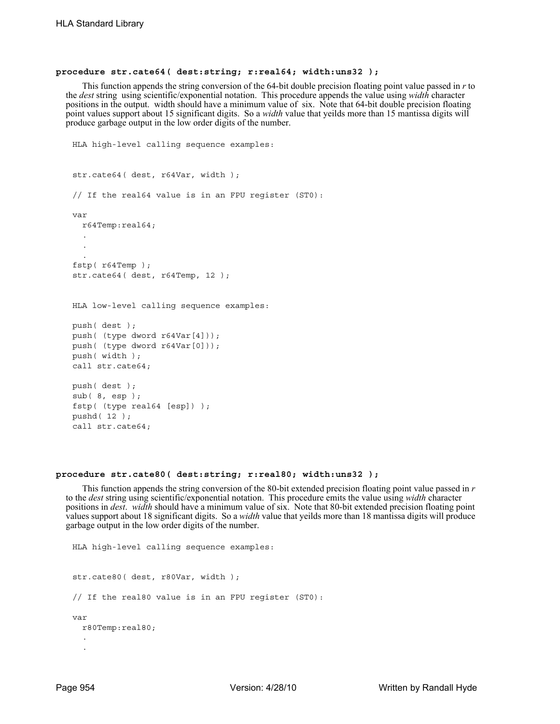#### **procedure str.cate64( dest:string; r:real64; width:uns32 );**

This function appends the string conversion of the 64-bit double precision floating point value passed in *r* to the *dest* string using scientific/exponential notation. This procedure appends the value using *width* character positions in the output. width should have a minimum value of six. Note that 64-bit double precision floating point values support about 15 significant digits. So a *width* value that yeilds more than 15 mantissa digits will produce garbage output in the low order digits of the number.

```
HLA high-level calling sequence examples:
str.cate64( dest, r64Var, width );
// If the real64 value is in an FPU register (ST0):
var
  r64Temp:real64;
  .
  .
  .
fstp( r64Temp );
str.cate64( dest, r64Temp, 12 );
HLA low-level calling sequence examples:
push( dest );
push( (type dword r64Var[4]));
push( (type dword r64Var[0]));
push( width );
call str.cate64;
push( dest );
sub( 8, esp );
fstp( (type real64 [esp]) );
pushd( 12 );
call str.cate64;
```
#### **procedure str.cate80( dest:string; r:real80; width:uns32 );**

This function appends the string conversion of the 80-bit extended precision floating point value passed in *r* to the *dest* string using scientific/exponential notation. This procedure emits the value using *width* character positions in *dest*. *width* should have a minimum value of six. Note that 80-bit extended precision floating point values support about 18 significant digits. So a *width* value that yeilds more than 18 mantissa digits will produce garbage output in the low order digits of the number.

```
HLA high-level calling sequence examples:
str.cate80( dest, r80Var, width );
// If the real80 value is in an FPU register (ST0):
var
  r80Temp:real80;
  .
  .
```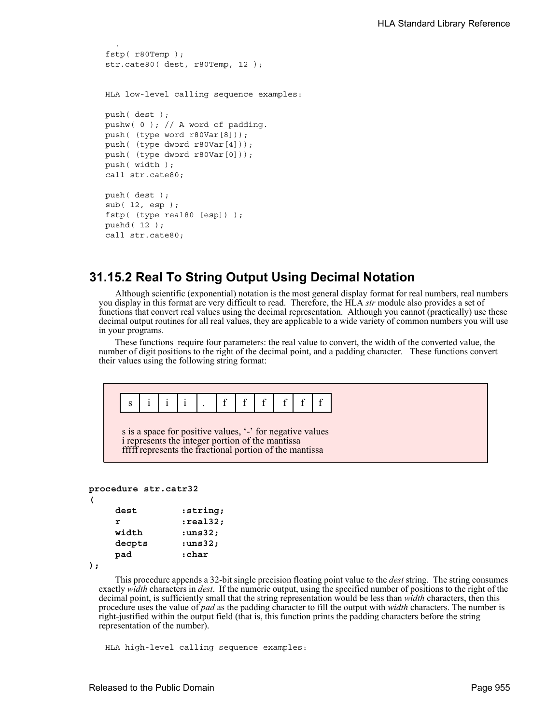```
.
fstp( r80Temp );
str.cate80( dest, r80Temp, 12 );
HLA low-level calling sequence examples:
push( dest );
pushw( 0 ); // A word of padding.
push( (type word r80Var[8]));
push( (type dword r80Var[4]));
push( (type dword r80Var[0]));
push( width );
call str.cate80;
push( dest );
sub( 12, esp );
fstp( (type real80 [esp]) );
pushd( 12 );
call str.cate80;
```
# **31.15.2 Real To String Output Using Decimal Notation**

Although scientific (exponential) notation is the most general display format for real numbers, real numbers you display in this format are very difficult to read. Therefore, the HLA *str* module also provides a set of functions that convert real values using the decimal representation. Although you cannot (practically) use these decimal output routines for all real values, they are applicable to a wide variety of common numbers you will use in your programs.

These functions require four parameters: the real value to convert, the width of the converted value, the number of digit positions to the right of the decimal point, and a padding character. These functions convert their values using the following string format:

```
procedure str.catr32
```

```
(
```

| dest   | :string;      |
|--------|---------------|
| r      | :real32:      |
| width  | :uns32;       |
| decpts | $: \sqrt{32}$ |
| pad    | :char         |

```
);
```
This procedure appends a 32-bit single precision floating point value to the *dest* string. The string consumes exactly *width* characters in *dest*. If the numeric output, using the specified number of positions to the right of the decimal point, is sufficiently small that the string representation would be less than *width* characters, then this procedure uses the value of *pad* as the padding character to fill the output with *width* characters. The number is right-justified within the output field (that is, this function prints the padding characters before the string representation of the number).

HLA high-level calling sequence examples: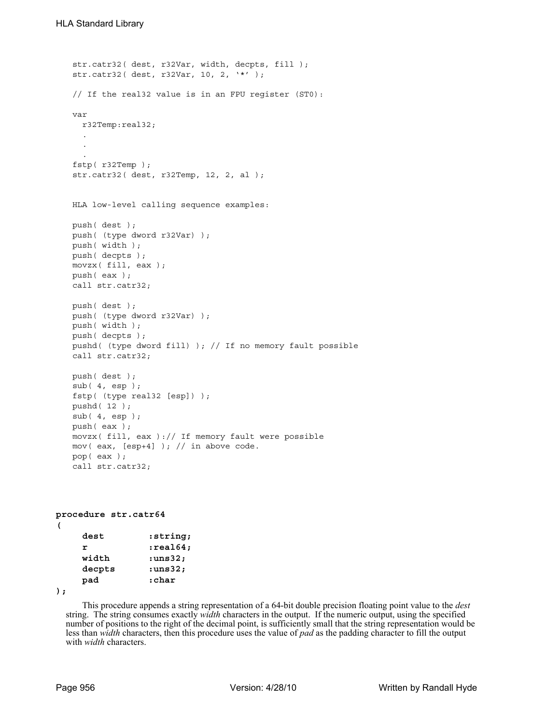```
str.catr32( dest, r32Var, width, decpts, fill );
str.catr32( dest, r32Var, 10, 2, '*' );
// If the real32 value is in an FPU register (ST0):
var
 r32Temp:real32;
  .
  .
  .
fstp( r32Temp );
str.catr32( dest, r32Temp, 12, 2, al );
HLA low-level calling sequence examples:
push( dest );
push( (type dword r32Var) );
push( width );
push( decpts );
movzx( fill, eax );
push( eax );
call str.catr32;
push( dest );
push( (type dword r32Var) );
push( width );
push( decpts );
pushd( (type dword fill) ); // If no memory fault possible
call str.catr32;
push( dest );
sub(4, esp);fstp( (type real32 [esp]) );
pushd( 12 );
sub( 4, esp );
push( eax );
movzx( fill, eax ):// If memory fault were possible
mov( eax, [esp+4] ); // in above code.
pop( eax );
call str.catr32;
```

```
procedure str.catr64
( 
   dest :string; 
   r :real64; 
   width :uns32; 
   decpts :uns32; 
   pad :char
```
**);**

This procedure appends a string representation of a 64-bit double precision floating point value to the *dest* string. The string consumes exactly *width* characters in the output. If the numeric output, using the specified number of positions to the right of the decimal point, is sufficiently small that the string representation would be less than *width* characters, then this procedure uses the value of *pad* as the padding character to fill the output with *width* characters.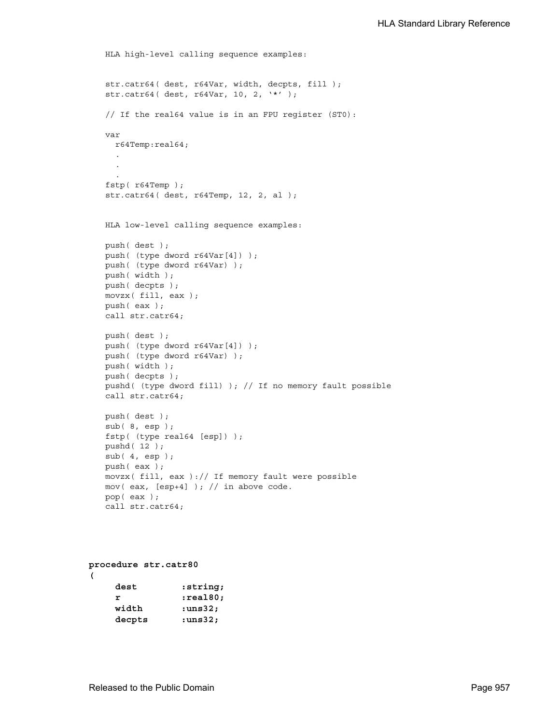```
HLA high-level calling sequence examples:
str.catr64( dest, r64Var, width, decpts, fill );
str.catr64( dest, r64Var, 10, 2, '*' );
// If the real64 value is in an FPU register (ST0):
var
 r64Temp:real64;
  .
  .
  .
fstp( r64Temp );
str.catr64( dest, r64Temp, 12, 2, al );
HLA low-level calling sequence examples:
push( dest );
push( (type dword r64Var[4]) );
push( (type dword r64Var) );
push( width );
push( decpts );
movzx( fill, eax );
push( eax );
call str.catr64;
push( dest );
push( (type dword r64Var[4]) );
push( (type dword r64Var) );
push( width );
push( decpts );
pushd( (type dword fill) ); // If no memory fault possible
call str.catr64;
push( dest );
sub( 8, esp );
fstp( (type real64 [esp]) );
pushd( 12 );
sub(4, esp);push( eax );
movzx( fill, eax ):// If memory fault were possible
mov( eax, [esp+4] ); // in above code.
pop( eax );
call str.catr64;
```

```
procedure str.catr80
( 
    dest :string;
    r :real80;<br>
r :real80;
```

| width  | $: \{1, 3, 2\}$ |
|--------|-----------------|
| decpts | $: \tan32;$     |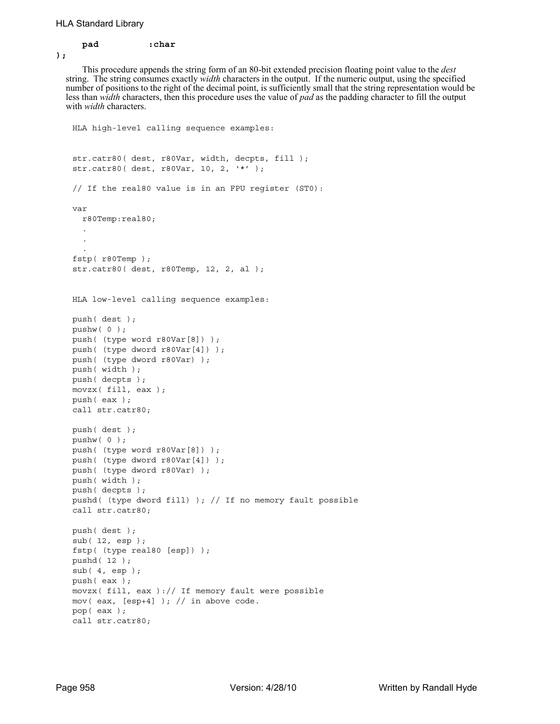## **pad :char**

**);**

This procedure appends the string form of an 80-bit extended precision floating point value to the *dest* string. The string consumes exactly *width* characters in the output. If the numeric output, using the specified number of positions to the right of the decimal point, is sufficiently small that the string representation would be less than *width* characters, then this procedure uses the value of *pad* as the padding character to fill the output with *width* characters.

```
HLA high-level calling sequence examples:
str.catr80( dest, r80Var, width, decpts, fill );
str.catr80( dest, r80Var, 10, 2, '*' );
// If the real80 value is in an FPU register (ST0):
var
 r80Temp:real80;
  .
  .
  .
fstp( r80Temp );
str.catr80( dest, r80Temp, 12, 2, al );
HLA low-level calling sequence examples:
push( dest );
pushw( 0 );
push( (type word r80Var[8]) );
push( (type dword r80Var[4]) );
push( (type dword r80Var) );
push( width );
push( decpts );
movzx( fill, eax );
push( eax );
call str.catr80;
push( dest );
pushw( 0 );
push( (type word r80Var[8]) );
push( (type dword r80Var[4]) );
push( (type dword r80Var) );
push( width );
push( decpts );
pushd( (type dword fill) ); // If no memory fault possible
call str.catr80;
push( dest );
sub( 12, esp );
fstp( (type real80 [esp]) );
pushd( 12 );
sub( 4, esp );
push( eax );
movzx( fill, eax ):// If memory fault were possible
mov( eax, [esp+4] ); // in above code.
pop( eax );
call str.catr80;
```